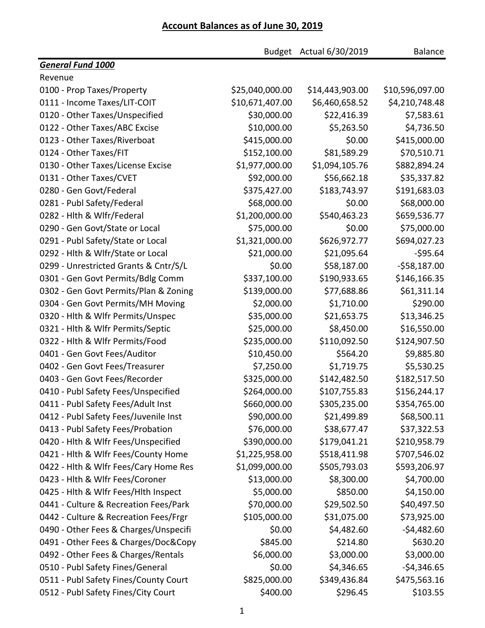## **Account Balances as of June 30, 2019**

| Budget Actual 6/30/2019                                               | <b>Balance</b>  |
|-----------------------------------------------------------------------|-----------------|
| <b>General Fund 1000</b>                                              |                 |
| Revenue                                                               |                 |
| \$25,040,000.00<br>0100 - Prop Taxes/Property<br>\$14,443,903.00      | \$10,596,097.00 |
| \$10,671,407.00<br>0111 - Income Taxes/LIT-COIT<br>\$6,460,658.52     | \$4,210,748.48  |
| \$30,000.00                                                           | \$22,416.39     |
| 0120 - Other Taxes/Unspecified                                        | \$7,583.61      |
| \$10,000.00                                                           | \$4,736.50      |
| 0122 - Other Taxes/ABC Excise                                         | \$5,263.50      |
| \$415,000.00                                                          | \$0.00          |
| 0123 - Other Taxes/Riverboat                                          | \$415,000.00    |
| \$152,100.00                                                          | \$70,510.71     |
| 0124 - Other Taxes/FIT                                                | \$81,589.29     |
| \$1,977,000.00<br>\$1,094,105.76<br>0130 - Other Taxes/License Excise | \$882,894.24    |
| \$92,000.00                                                           | \$35,337.82     |
| 0131 - Other Taxes/CVET                                               | \$56,662.18     |
| \$375,427.00                                                          | \$183,743.97    |
| 0280 - Gen Govt/Federal                                               | \$191,683.03    |
| \$68,000.00                                                           | \$0.00          |
| 0281 - Publ Safety/Federal                                            | \$68,000.00     |
| 0282 - Hlth & Wlfr/Federal                                            | \$540,463.23    |
| \$1,200,000.00                                                        | \$659,536.77    |
| \$75,000.00                                                           | \$0.00          |
| 0290 - Gen Govt/State or Local                                        | \$75,000.00     |
| \$1,321,000.00                                                        | \$694,027.23    |
| 0291 - Publ Safety/State or Local                                     | \$626,972.77    |
| \$21,000.00                                                           | \$21,095.64     |
| 0292 - Hlth & Wlfr/State or Local                                     | $-595.64$       |
| \$0.00                                                                | \$58,187.00     |
| 0299 - Unrestricted Grants & Cntr/S/L                                 | $-558,187.00$   |
| 0301 - Gen Govt Permits/Bdlg Comm                                     | \$146,166.35    |
| \$337,100.00                                                          | \$190,933.65    |
| \$139,000.00                                                          | \$61,311.14     |
| 0302 - Gen Govt Permits/Plan & Zoning                                 | \$77,688.86     |
| \$2,000.00                                                            | \$1,710.00      |
| 0304 - Gen Govt Permits/MH Moving                                     | \$290.00        |
| 0320 - Hlth & Wlfr Permits/Unspec                                     | \$21,653.75     |
| \$35,000.00                                                           | \$13,346.25     |
| \$25,000.00                                                           | \$8,450.00      |
| 0321 - Hlth & Wlfr Permits/Septic                                     | \$16,550.00     |
| \$235,000.00                                                          | \$110,092.50    |
| 0322 - Hlth & Wlfr Permits/Food                                       | \$124,907.50    |
| \$10,450.00                                                           | \$564.20        |
| 0401 - Gen Govt Fees/Auditor                                          | \$9,885.80      |
| 0402 - Gen Govt Fees/Treasurer                                        | \$1,719.75      |
| \$7,250.00                                                            | \$5,530.25      |
| 0403 - Gen Govt Fees/Recorder                                         | \$142,482.50    |
| \$325,000.00                                                          | \$182,517.50    |
| \$264,000.00                                                          | \$156,244.17    |
| 0410 - Publ Safety Fees/Unspecified                                   | \$107,755.83    |
| 0411 - Publ Safety Fees/Adult Inst                                    | \$305,235.00    |
| \$660,000.00                                                          | \$354,765.00    |
| \$90,000.00                                                           | \$21,499.89     |
| 0412 - Publ Safety Fees/Juvenile Inst                                 | \$68,500.11     |
| 0413 - Publ Safety Fees/Probation                                     | \$38,677.47     |
| \$76,000.00                                                           | \$37,322.53     |
| 0420 - Hlth & Wlfr Fees/Unspecified                                   | \$179,041.21    |
| \$390,000.00                                                          | \$210,958.79    |
| 0421 - Hlth & Wlfr Fees/County Home                                   | \$707,546.02    |
| \$1,225,958.00                                                        | \$518,411.98    |
| 0422 - Hlth & Wlfr Fees/Cary Home Res                                 | \$505,793.03    |
| \$1,099,000.00                                                        | \$593,206.97    |
| \$13,000.00                                                           | \$8,300.00      |
| 0423 - Hith & Wifr Fees/Coroner                                       | \$4,700.00      |
| 0425 - Hith & Wifr Fees/Hith Inspect                                  | \$850.00        |
| \$5,000.00                                                            | \$4,150.00      |
| \$70,000.00                                                           | \$29,502.50     |
| 0441 - Culture & Recreation Fees/Park                                 | \$40,497.50     |
| \$105,000.00                                                          | \$31,075.00     |
| 0442 - Culture & Recreation Fees/Frgr                                 | \$73,925.00     |
| 0490 - Other Fees & Charges/Unspecifi                                 | $-$4,482.60$    |
| \$0.00                                                                | \$4,482.60      |
| 0491 - Other Fees & Charges/Doc&Copy                                  | \$630.20        |
| \$845.00                                                              | \$214.80        |
| 0492 - Other Fees & Charges/Rentals                                   | \$3,000.00      |
| \$6,000.00                                                            | \$3,000.00      |
| \$0.00                                                                | \$4,346.65      |
| 0510 - Publ Safety Fines/General                                      | $-$4,346.65$    |
| \$825,000.00                                                          | \$349,436.84    |
| 0511 - Publ Safety Fines/County Court                                 | \$475,563.16    |
| \$400.00                                                              | \$296.45        |
| 0512 - Publ Safety Fines/City Court                                   | \$103.55        |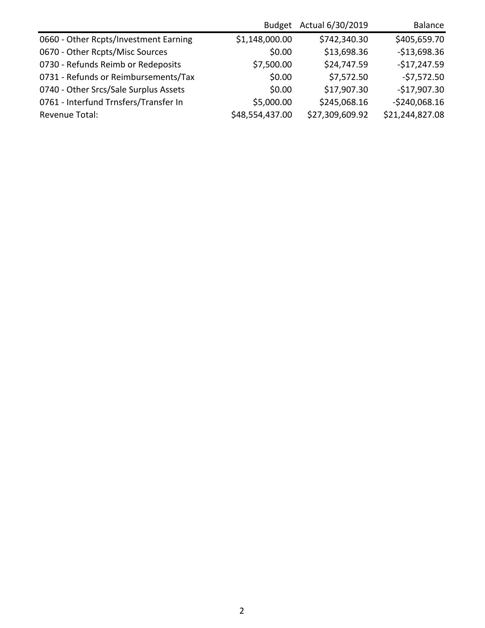|                                       | <b>Budget</b>   | Actual 6/30/2019 | <b>Balance</b>  |
|---------------------------------------|-----------------|------------------|-----------------|
| 0660 - Other Rcpts/Investment Earning | \$1,148,000.00  | \$742,340.30     | \$405,659.70    |
| 0670 - Other Rcpts/Misc Sources       | \$0.00          | \$13,698.36      | $-$13,698.36$   |
| 0730 - Refunds Reimb or Redeposits    | \$7,500.00      | \$24,747.59      | $-$17,247.59$   |
| 0731 - Refunds or Reimbursements/Tax  | \$0.00          | \$7,572.50       | $-57,572.50$    |
| 0740 - Other Srcs/Sale Surplus Assets | \$0.00          | \$17,907.30      | $-$17,907.30$   |
| 0761 - Interfund Trnsfers/Transfer In | \$5,000.00      | \$245,068.16     | $-$240,068.16$  |
| Revenue Total:                        | \$48,554,437.00 | \$27,309,609.92  | \$21,244,827.08 |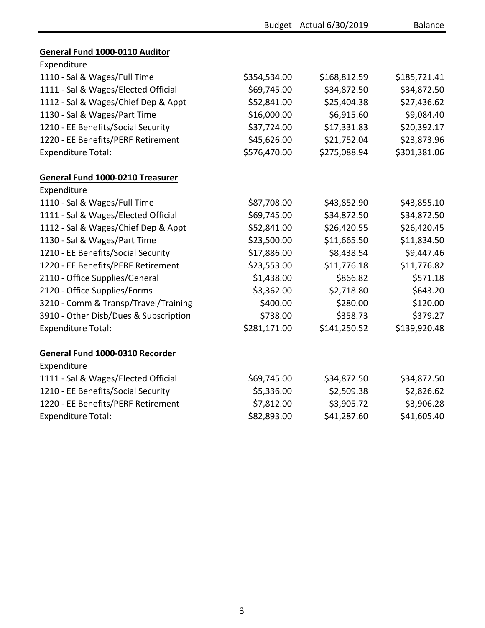|                                       |              | Budget Actual 6/30/2019 | <b>Balance</b> |
|---------------------------------------|--------------|-------------------------|----------------|
| <b>General Fund 1000-0110 Auditor</b> |              |                         |                |
| Expenditure                           |              |                         |                |
| 1110 - Sal & Wages/Full Time          | \$354,534.00 | \$168,812.59            | \$185,721.41   |
| 1111 - Sal & Wages/Elected Official   | \$69,745.00  | \$34,872.50             | \$34,872.50    |
| 1112 - Sal & Wages/Chief Dep & Appt   | \$52,841.00  | \$25,404.38             | \$27,436.62    |
| 1130 - Sal & Wages/Part Time          | \$16,000.00  | \$6,915.60              | \$9,084.40     |
| 1210 - EE Benefits/Social Security    | \$37,724.00  | \$17,331.83             | \$20,392.17    |
| 1220 - EE Benefits/PERF Retirement    | \$45,626.00  | \$21,752.04             | \$23,873.96    |
| <b>Expenditure Total:</b>             | \$576,470.00 | \$275,088.94            | \$301,381.06   |
|                                       |              |                         |                |
| General Fund 1000-0210 Treasurer      |              |                         |                |
| Expenditure                           |              |                         |                |
| 1110 - Sal & Wages/Full Time          | \$87,708.00  | \$43,852.90             | \$43,855.10    |
| 1111 - Sal & Wages/Elected Official   | \$69,745.00  | \$34,872.50             | \$34,872.50    |
| 1112 - Sal & Wages/Chief Dep & Appt   | \$52,841.00  | \$26,420.55             | \$26,420.45    |
| 1130 - Sal & Wages/Part Time          | \$23,500.00  | \$11,665.50             | \$11,834.50    |
| 1210 - EE Benefits/Social Security    | \$17,886.00  | \$8,438.54              | \$9,447.46     |
| 1220 - EE Benefits/PERF Retirement    | \$23,553.00  | \$11,776.18             | \$11,776.82    |
| 2110 - Office Supplies/General        | \$1,438.00   | \$866.82                | \$571.18       |
| 2120 - Office Supplies/Forms          | \$3,362.00   | \$2,718.80              | \$643.20       |
| 3210 - Comm & Transp/Travel/Training  | \$400.00     | \$280.00                | \$120.00       |
| 3910 - Other Disb/Dues & Subscription | \$738.00     | \$358.73                | \$379.27       |
| <b>Expenditure Total:</b>             | \$281,171.00 | \$141,250.52            | \$139,920.48   |
| General Fund 1000-0310 Recorder       |              |                         |                |
| Expenditure                           |              |                         |                |
| 1111 - Sal & Wages/Elected Official   | \$69,745.00  | \$34,872.50             | \$34,872.50    |
| 1210 - EE Benefits/Social Security    | \$5,336.00   | \$2,509.38              | \$2,826.62     |
| 1220 - EE Benefits/PERF Retirement    | \$7,812.00   | \$3,905.72              | \$3,906.28     |
| <b>Expenditure Total:</b>             | \$82,893.00  | \$41,287.60             | \$41,605.40    |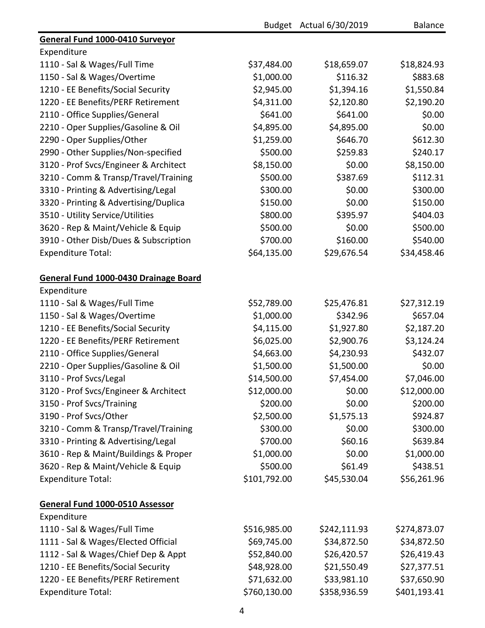|                                       |              | Budget Actual 6/30/2019 | Balance      |
|---------------------------------------|--------------|-------------------------|--------------|
| General Fund 1000-0410 Surveyor       |              |                         |              |
| Expenditure                           |              |                         |              |
| 1110 - Sal & Wages/Full Time          | \$37,484.00  | \$18,659.07             | \$18,824.93  |
| 1150 - Sal & Wages/Overtime           | \$1,000.00   | \$116.32                | \$883.68     |
| 1210 - EE Benefits/Social Security    | \$2,945.00   | \$1,394.16              | \$1,550.84   |
| 1220 - EE Benefits/PERF Retirement    | \$4,311.00   | \$2,120.80              | \$2,190.20   |
| 2110 - Office Supplies/General        | \$641.00     | \$641.00                | \$0.00       |
| 2210 - Oper Supplies/Gasoline & Oil   | \$4,895.00   | \$4,895.00              | \$0.00       |
| 2290 - Oper Supplies/Other            | \$1,259.00   | \$646.70                | \$612.30     |
| 2990 - Other Supplies/Non-specified   | \$500.00     | \$259.83                | \$240.17     |
| 3120 - Prof Svcs/Engineer & Architect | \$8,150.00   | \$0.00                  | \$8,150.00   |
| 3210 - Comm & Transp/Travel/Training  | \$500.00     | \$387.69                | \$112.31     |
| 3310 - Printing & Advertising/Legal   | \$300.00     | \$0.00                  | \$300.00     |
| 3320 - Printing & Advertising/Duplica | \$150.00     | \$0.00                  | \$150.00     |
| 3510 - Utility Service/Utilities      | \$800.00     | \$395.97                | \$404.03     |
| 3620 - Rep & Maint/Vehicle & Equip    | \$500.00     | \$0.00                  | \$500.00     |
| 3910 - Other Disb/Dues & Subscription | \$700.00     | \$160.00                | \$540.00     |
| <b>Expenditure Total:</b>             | \$64,135.00  | \$29,676.54             | \$34,458.46  |
| General Fund 1000-0430 Drainage Board |              |                         |              |
| Expenditure                           |              |                         |              |
| 1110 - Sal & Wages/Full Time          | \$52,789.00  | \$25,476.81             | \$27,312.19  |
| 1150 - Sal & Wages/Overtime           | \$1,000.00   | \$342.96                | \$657.04     |
| 1210 - EE Benefits/Social Security    | \$4,115.00   | \$1,927.80              | \$2,187.20   |
| 1220 - EE Benefits/PERF Retirement    | \$6,025.00   | \$2,900.76              | \$3,124.24   |
| 2110 - Office Supplies/General        | \$4,663.00   | \$4,230.93              | \$432.07     |
| 2210 - Oper Supplies/Gasoline & Oil   | \$1,500.00   | \$1,500.00              | \$0.00       |
| 3110 - Prof Svcs/Legal                | \$14,500.00  | \$7,454.00              | \$7,046.00   |
| 3120 - Prof Svcs/Engineer & Architect | \$12,000.00  | \$0.00                  | \$12,000.00  |
| 3150 - Prof Svcs/Training             | \$200.00     | \$0.00                  | \$200.00     |
| 3190 - Prof Svcs/Other                | \$2,500.00   | \$1,575.13              | \$924.87     |
| 3210 - Comm & Transp/Travel/Training  | \$300.00     | \$0.00                  | \$300.00     |
| 3310 - Printing & Advertising/Legal   | \$700.00     | \$60.16                 | \$639.84     |
| 3610 - Rep & Maint/Buildings & Proper | \$1,000.00   | \$0.00                  | \$1,000.00   |
| 3620 - Rep & Maint/Vehicle & Equip    | \$500.00     | \$61.49                 | \$438.51     |
| <b>Expenditure Total:</b>             | \$101,792.00 | \$45,530.04             | \$56,261.96  |
|                                       |              |                         |              |
| General Fund 1000-0510 Assessor       |              |                         |              |
| Expenditure                           |              |                         |              |
| 1110 - Sal & Wages/Full Time          | \$516,985.00 | \$242,111.93            | \$274,873.07 |
| 1111 - Sal & Wages/Elected Official   | \$69,745.00  | \$34,872.50             | \$34,872.50  |
| 1112 - Sal & Wages/Chief Dep & Appt   | \$52,840.00  | \$26,420.57             | \$26,419.43  |
| 1210 - EE Benefits/Social Security    | \$48,928.00  | \$21,550.49             | \$27,377.51  |
| 1220 - EE Benefits/PERF Retirement    | \$71,632.00  | \$33,981.10             | \$37,650.90  |
| <b>Expenditure Total:</b>             | \$760,130.00 | \$358,936.59            | \$401,193.41 |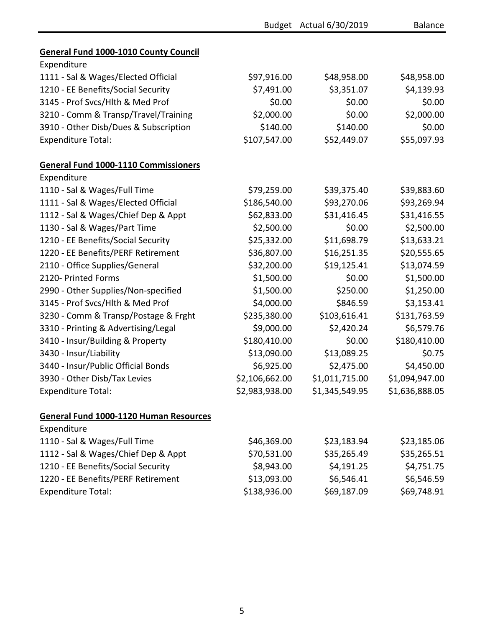|                                               |                | Budget Actual 6/30/2019 | <b>Balance</b> |
|-----------------------------------------------|----------------|-------------------------|----------------|
| <b>General Fund 1000-1010 County Council</b>  |                |                         |                |
| Expenditure                                   |                |                         |                |
| 1111 - Sal & Wages/Elected Official           | \$97,916.00    | \$48,958.00             | \$48,958.00    |
| 1210 - EE Benefits/Social Security            | \$7,491.00     | \$3,351.07              | \$4,139.93     |
| 3145 - Prof Svcs/Hlth & Med Prof              | \$0.00         | \$0.00                  | \$0.00         |
| 3210 - Comm & Transp/Travel/Training          | \$2,000.00     | \$0.00                  | \$2,000.00     |
| 3910 - Other Disb/Dues & Subscription         | \$140.00       | \$140.00                | \$0.00         |
| <b>Expenditure Total:</b>                     | \$107,547.00   | \$52,449.07             | \$55,097.93    |
| <b>General Fund 1000-1110 Commissioners</b>   |                |                         |                |
| Expenditure                                   |                |                         |                |
| 1110 - Sal & Wages/Full Time                  | \$79,259.00    | \$39,375.40             | \$39,883.60    |
| 1111 - Sal & Wages/Elected Official           | \$186,540.00   | \$93,270.06             | \$93,269.94    |
| 1112 - Sal & Wages/Chief Dep & Appt           | \$62,833.00    | \$31,416.45             | \$31,416.55    |
| 1130 - Sal & Wages/Part Time                  | \$2,500.00     | \$0.00                  | \$2,500.00     |
| 1210 - EE Benefits/Social Security            | \$25,332.00    | \$11,698.79             | \$13,633.21    |
| 1220 - EE Benefits/PERF Retirement            | \$36,807.00    | \$16,251.35             | \$20,555.65    |
| 2110 - Office Supplies/General                | \$32,200.00    | \$19,125.41             | \$13,074.59    |
| 2120- Printed Forms                           | \$1,500.00     | \$0.00                  | \$1,500.00     |
| 2990 - Other Supplies/Non-specified           | \$1,500.00     | \$250.00                | \$1,250.00     |
| 3145 - Prof Svcs/Hlth & Med Prof              | \$4,000.00     | \$846.59                | \$3,153.41     |
| 3230 - Comm & Transp/Postage & Frght          | \$235,380.00   | \$103,616.41            | \$131,763.59   |
| 3310 - Printing & Advertising/Legal           | \$9,000.00     | \$2,420.24              | \$6,579.76     |
| 3410 - Insur/Building & Property              | \$180,410.00   | \$0.00                  | \$180,410.00   |
| 3430 - Insur/Liability                        | \$13,090.00    | \$13,089.25             | \$0.75         |
| 3440 - Insur/Public Official Bonds            | \$6,925.00     | \$2,475.00              | \$4,450.00     |
| 3930 - Other Disb/Tax Levies                  | \$2,106,662.00 | \$1,011,715.00          | \$1,094,947.00 |
| <b>Expenditure Total:</b>                     | \$2,983,938.00 | \$1,345,549.95          | \$1,636,888.05 |
| <b>General Fund 1000-1120 Human Resources</b> |                |                         |                |
| Expenditure                                   |                |                         |                |
| 1110 - Sal & Wages/Full Time                  | \$46,369.00    | \$23,183.94             | \$23,185.06    |
| 1112 - Sal & Wages/Chief Dep & Appt           | \$70,531.00    | \$35,265.49             | \$35,265.51    |
| 1210 - EE Benefits/Social Security            | \$8,943.00     | \$4,191.25              | \$4,751.75     |
| 1220 - EE Benefits/PERF Retirement            | \$13,093.00    | \$6,546.41              | \$6,546.59     |
| <b>Expenditure Total:</b>                     | \$138,936.00   | \$69,187.09             | \$69,748.91    |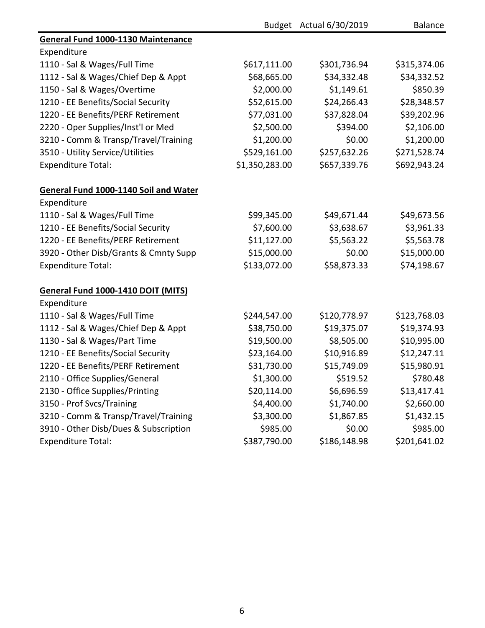|                                           |                | Budget Actual 6/30/2019 | <b>Balance</b> |
|-------------------------------------------|----------------|-------------------------|----------------|
| <b>General Fund 1000-1130 Maintenance</b> |                |                         |                |
| Expenditure                               |                |                         |                |
| 1110 - Sal & Wages/Full Time              | \$617,111.00   | \$301,736.94            | \$315,374.06   |
| 1112 - Sal & Wages/Chief Dep & Appt       | \$68,665.00    | \$34,332.48             | \$34,332.52    |
| 1150 - Sal & Wages/Overtime               | \$2,000.00     | \$1,149.61              | \$850.39       |
| 1210 - EE Benefits/Social Security        | \$52,615.00    | \$24,266.43             | \$28,348.57    |
| 1220 - EE Benefits/PERF Retirement        | \$77,031.00    | \$37,828.04             | \$39,202.96    |
| 2220 - Oper Supplies/Inst'l or Med        | \$2,500.00     | \$394.00                | \$2,106.00     |
| 3210 - Comm & Transp/Travel/Training      | \$1,200.00     | \$0.00                  | \$1,200.00     |
| 3510 - Utility Service/Utilities          | \$529,161.00   | \$257,632.26            | \$271,528.74   |
| <b>Expenditure Total:</b>                 | \$1,350,283.00 | \$657,339.76            | \$692,943.24   |
| General Fund 1000-1140 Soil and Water     |                |                         |                |
| Expenditure                               |                |                         |                |
| 1110 - Sal & Wages/Full Time              | \$99,345.00    | \$49,671.44             | \$49,673.56    |
| 1210 - EE Benefits/Social Security        | \$7,600.00     | \$3,638.67              | \$3,961.33     |
| 1220 - EE Benefits/PERF Retirement        | \$11,127.00    | \$5,563.22              | \$5,563.78     |
| 3920 - Other Disb/Grants & Cmnty Supp     | \$15,000.00    | \$0.00                  | \$15,000.00    |
| <b>Expenditure Total:</b>                 | \$133,072.00   | \$58,873.33             | \$74,198.67    |
| General Fund 1000-1410 DOIT (MITS)        |                |                         |                |
| Expenditure                               |                |                         |                |
| 1110 - Sal & Wages/Full Time              | \$244,547.00   | \$120,778.97            | \$123,768.03   |
| 1112 - Sal & Wages/Chief Dep & Appt       | \$38,750.00    | \$19,375.07             | \$19,374.93    |
| 1130 - Sal & Wages/Part Time              | \$19,500.00    | \$8,505.00              | \$10,995.00    |
| 1210 - EE Benefits/Social Security        | \$23,164.00    | \$10,916.89             | \$12,247.11    |
| 1220 - EE Benefits/PERF Retirement        | \$31,730.00    | \$15,749.09             | \$15,980.91    |
| 2110 - Office Supplies/General            | \$1,300.00     | \$519.52                | \$780.48       |
| 2130 - Office Supplies/Printing           | \$20,114.00    | \$6,696.59              | \$13,417.41    |
| 3150 - Prof Svcs/Training                 | \$4,400.00     | \$1,740.00              | \$2,660.00     |
| 3210 - Comm & Transp/Travel/Training      | \$3,300.00     | \$1,867.85              | \$1,432.15     |
| 3910 - Other Disb/Dues & Subscription     | \$985.00       | \$0.00                  | \$985.00       |
| <b>Expenditure Total:</b>                 | \$387,790.00   | \$186,148.98            | \$201,641.02   |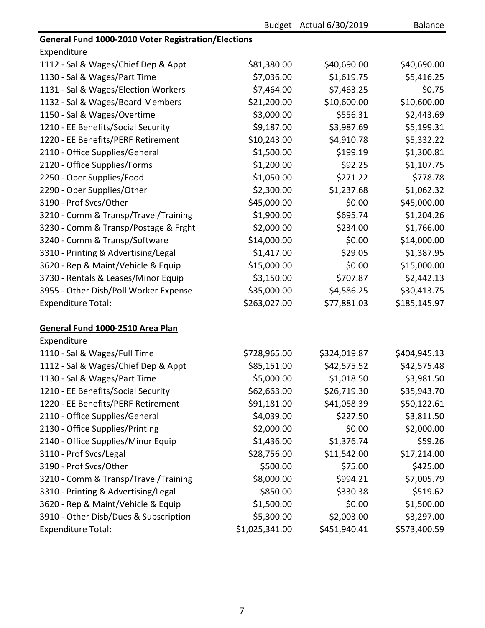|                                                            |                | Budget Actual 6/30/2019 | <b>Balance</b> |
|------------------------------------------------------------|----------------|-------------------------|----------------|
| <b>General Fund 1000-2010 Voter Registration/Elections</b> |                |                         |                |
| Expenditure                                                |                |                         |                |
| 1112 - Sal & Wages/Chief Dep & Appt                        | \$81,380.00    | \$40,690.00             | \$40,690.00    |
| 1130 - Sal & Wages/Part Time                               | \$7,036.00     | \$1,619.75              | \$5,416.25     |
| 1131 - Sal & Wages/Election Workers                        | \$7,464.00     | \$7,463.25              | \$0.75         |
| 1132 - Sal & Wages/Board Members                           | \$21,200.00    | \$10,600.00             | \$10,600.00    |
| 1150 - Sal & Wages/Overtime                                | \$3,000.00     | \$556.31                | \$2,443.69     |
| 1210 - EE Benefits/Social Security                         | \$9,187.00     | \$3,987.69              | \$5,199.31     |
| 1220 - EE Benefits/PERF Retirement                         | \$10,243.00    | \$4,910.78              | \$5,332.22     |
| 2110 - Office Supplies/General                             | \$1,500.00     | \$199.19                | \$1,300.81     |
| 2120 - Office Supplies/Forms                               | \$1,200.00     | \$92.25                 | \$1,107.75     |
| 2250 - Oper Supplies/Food                                  | \$1,050.00     | \$271.22                | \$778.78       |
| 2290 - Oper Supplies/Other                                 | \$2,300.00     | \$1,237.68              | \$1,062.32     |
| 3190 - Prof Svcs/Other                                     | \$45,000.00    | \$0.00                  | \$45,000.00    |
| 3210 - Comm & Transp/Travel/Training                       | \$1,900.00     | \$695.74                | \$1,204.26     |
| 3230 - Comm & Transp/Postage & Frght                       | \$2,000.00     | \$234.00                | \$1,766.00     |
| 3240 - Comm & Transp/Software                              | \$14,000.00    | \$0.00                  | \$14,000.00    |
| 3310 - Printing & Advertising/Legal                        | \$1,417.00     | \$29.05                 | \$1,387.95     |
| 3620 - Rep & Maint/Vehicle & Equip                         | \$15,000.00    | \$0.00                  | \$15,000.00    |
| 3730 - Rentals & Leases/Minor Equip                        | \$3,150.00     | \$707.87                | \$2,442.13     |
| 3955 - Other Disb/Poll Worker Expense                      | \$35,000.00    | \$4,586.25              | \$30,413.75    |
| <b>Expenditure Total:</b>                                  | \$263,027.00   | \$77,881.03             | \$185,145.97   |
| General Fund 1000-2510 Area Plan                           |                |                         |                |
| Expenditure                                                |                |                         |                |
| 1110 - Sal & Wages/Full Time                               | \$728,965.00   | \$324,019.87            | \$404,945.13   |
| 1112 - Sal & Wages/Chief Dep & Appt                        | \$85,151.00    | \$42,575.52             | \$42,575.48    |
| 1130 - Sal & Wages/Part Time                               | \$5,000.00     | \$1,018.50              | \$3,981.50     |
| 1210 - EE Benefits/Social Security                         | \$62,663.00    | \$26,719.30             | \$35,943.70    |
| 1220 - EE Benefits/PERF Retirement                         | \$91,181.00    | \$41,058.39             | \$50,122.61    |
| 2110 - Office Supplies/General                             | \$4,039.00     | \$227.50                | \$3,811.50     |
| 2130 - Office Supplies/Printing                            | \$2,000.00     | \$0.00                  | \$2,000.00     |
| 2140 - Office Supplies/Minor Equip                         | \$1,436.00     | \$1,376.74              | \$59.26        |
| 3110 - Prof Svcs/Legal                                     | \$28,756.00    | \$11,542.00             | \$17,214.00    |
| 3190 - Prof Svcs/Other                                     | \$500.00       | \$75.00                 | \$425.00       |
| 3210 - Comm & Transp/Travel/Training                       | \$8,000.00     | \$994.21                | \$7,005.79     |
| 3310 - Printing & Advertising/Legal                        | \$850.00       | \$330.38                | \$519.62       |
| 3620 - Rep & Maint/Vehicle & Equip                         | \$1,500.00     | \$0.00                  | \$1,500.00     |
| 3910 - Other Disb/Dues & Subscription                      | \$5,300.00     | \$2,003.00              | \$3,297.00     |
| <b>Expenditure Total:</b>                                  | \$1,025,341.00 | \$451,940.41            | \$573,400.59   |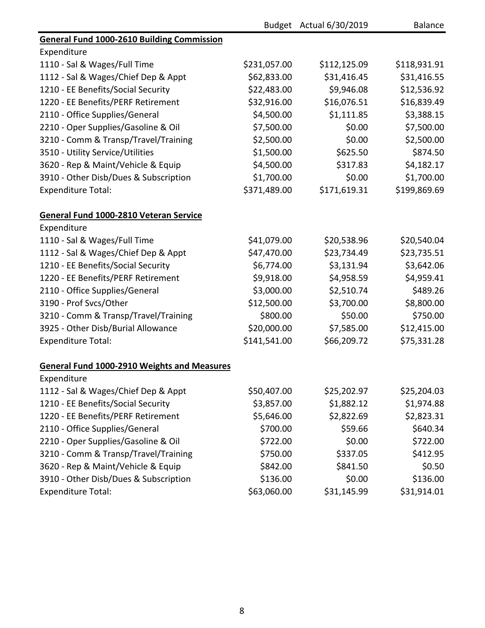|                                                    |              | Budget Actual 6/30/2019 | <b>Balance</b> |
|----------------------------------------------------|--------------|-------------------------|----------------|
| <b>General Fund 1000-2610 Building Commission</b>  |              |                         |                |
| Expenditure                                        |              |                         |                |
| 1110 - Sal & Wages/Full Time                       | \$231,057.00 | \$112,125.09            | \$118,931.91   |
| 1112 - Sal & Wages/Chief Dep & Appt                | \$62,833.00  | \$31,416.45             | \$31,416.55    |
| 1210 - EE Benefits/Social Security                 | \$22,483.00  | \$9,946.08              | \$12,536.92    |
| 1220 - EE Benefits/PERF Retirement                 | \$32,916.00  | \$16,076.51             | \$16,839.49    |
| 2110 - Office Supplies/General                     | \$4,500.00   | \$1,111.85              | \$3,388.15     |
| 2210 - Oper Supplies/Gasoline & Oil                | \$7,500.00   | \$0.00                  | \$7,500.00     |
| 3210 - Comm & Transp/Travel/Training               | \$2,500.00   | \$0.00                  | \$2,500.00     |
| 3510 - Utility Service/Utilities                   | \$1,500.00   | \$625.50                | \$874.50       |
| 3620 - Rep & Maint/Vehicle & Equip                 | \$4,500.00   | \$317.83                | \$4,182.17     |
| 3910 - Other Disb/Dues & Subscription              | \$1,700.00   | \$0.00                  | \$1,700.00     |
| <b>Expenditure Total:</b>                          | \$371,489.00 | \$171,619.31            | \$199,869.69   |
| General Fund 1000-2810 Veteran Service             |              |                         |                |
| Expenditure                                        |              |                         |                |
| 1110 - Sal & Wages/Full Time                       | \$41,079.00  | \$20,538.96             | \$20,540.04    |
| 1112 - Sal & Wages/Chief Dep & Appt                | \$47,470.00  | \$23,734.49             | \$23,735.51    |
| 1210 - EE Benefits/Social Security                 | \$6,774.00   | \$3,131.94              | \$3,642.06     |
| 1220 - EE Benefits/PERF Retirement                 | \$9,918.00   | \$4,958.59              | \$4,959.41     |
| 2110 - Office Supplies/General                     | \$3,000.00   | \$2,510.74              | \$489.26       |
| 3190 - Prof Svcs/Other                             | \$12,500.00  | \$3,700.00              | \$8,800.00     |
| 3210 - Comm & Transp/Travel/Training               | \$800.00     | \$50.00                 | \$750.00       |
| 3925 - Other Disb/Burial Allowance                 | \$20,000.00  | \$7,585.00              | \$12,415.00    |
| <b>Expenditure Total:</b>                          | \$141,541.00 | \$66,209.72             | \$75,331.28    |
| <b>General Fund 1000-2910 Weights and Measures</b> |              |                         |                |
| Expenditure                                        |              |                         |                |
| 1112 - Sal & Wages/Chief Dep & Appt                | \$50,407.00  | \$25,202.97             | \$25,204.03    |
| 1210 - EE Benefits/Social Security                 | \$3,857.00   | \$1,882.12              | \$1,974.88     |
| 1220 - EE Benefits/PERF Retirement                 | \$5,646.00   | \$2,822.69              | \$2,823.31     |
| 2110 - Office Supplies/General                     | \$700.00     | \$59.66                 | \$640.34       |
| 2210 - Oper Supplies/Gasoline & Oil                | \$722.00     | \$0.00                  | \$722.00       |
| 3210 - Comm & Transp/Travel/Training               | \$750.00     | \$337.05                | \$412.95       |
| 3620 - Rep & Maint/Vehicle & Equip                 | \$842.00     | \$841.50                | \$0.50         |
| 3910 - Other Disb/Dues & Subscription              | \$136.00     | \$0.00                  | \$136.00       |
| <b>Expenditure Total:</b>                          | \$63,060.00  | \$31,145.99             | \$31,914.01    |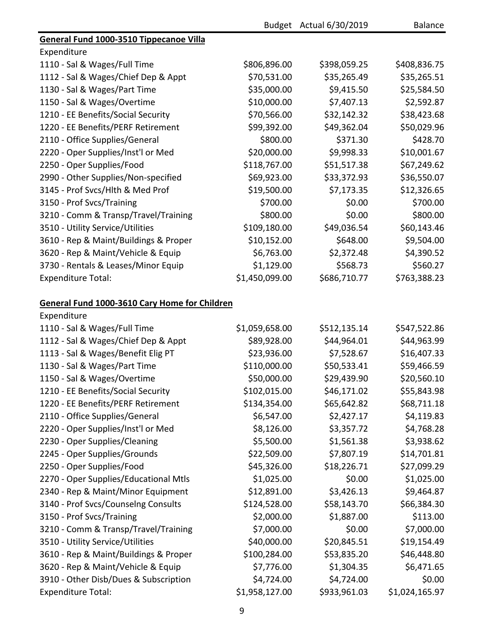|                                               |                | Budget Actual 6/30/2019 | <b>Balance</b> |
|-----------------------------------------------|----------------|-------------------------|----------------|
| General Fund 1000-3510 Tippecanoe Villa       |                |                         |                |
| Expenditure                                   |                |                         |                |
| 1110 - Sal & Wages/Full Time                  | \$806,896.00   | \$398,059.25            | \$408,836.75   |
| 1112 - Sal & Wages/Chief Dep & Appt           | \$70,531.00    | \$35,265.49             | \$35,265.51    |
| 1130 - Sal & Wages/Part Time                  | \$35,000.00    | \$9,415.50              | \$25,584.50    |
| 1150 - Sal & Wages/Overtime                   | \$10,000.00    | \$7,407.13              | \$2,592.87     |
| 1210 - EE Benefits/Social Security            | \$70,566.00    | \$32,142.32             | \$38,423.68    |
| 1220 - EE Benefits/PERF Retirement            | \$99,392.00    | \$49,362.04             | \$50,029.96    |
| 2110 - Office Supplies/General                | \$800.00       | \$371.30                | \$428.70       |
| 2220 - Oper Supplies/Inst'l or Med            | \$20,000.00    | \$9,998.33              | \$10,001.67    |
| 2250 - Oper Supplies/Food                     | \$118,767.00   | \$51,517.38             | \$67,249.62    |
| 2990 - Other Supplies/Non-specified           | \$69,923.00    | \$33,372.93             | \$36,550.07    |
| 3145 - Prof Svcs/Hlth & Med Prof              | \$19,500.00    | \$7,173.35              | \$12,326.65    |
| 3150 - Prof Svcs/Training                     | \$700.00       | \$0.00                  | \$700.00       |
| 3210 - Comm & Transp/Travel/Training          | \$800.00       | \$0.00                  | \$800.00       |
| 3510 - Utility Service/Utilities              | \$109,180.00   | \$49,036.54             | \$60,143.46    |
| 3610 - Rep & Maint/Buildings & Proper         | \$10,152.00    | \$648.00                | \$9,504.00     |
| 3620 - Rep & Maint/Vehicle & Equip            | \$6,763.00     | \$2,372.48              | \$4,390.52     |
| 3730 - Rentals & Leases/Minor Equip           | \$1,129.00     | \$568.73                | \$560.27       |
| <b>Expenditure Total:</b>                     | \$1,450,099.00 | \$686,710.77            | \$763,388.23   |
|                                               |                |                         |                |
| General Fund 1000-3610 Cary Home for Children |                |                         |                |
| Expenditure                                   |                |                         |                |
| 1110 - Sal & Wages/Full Time                  | \$1,059,658.00 | \$512,135.14            | \$547,522.86   |
| 1112 - Sal & Wages/Chief Dep & Appt           | \$89,928.00    | \$44,964.01             | \$44,963.99    |
| 1113 - Sal & Wages/Benefit Elig PT            | \$23,936.00    | \$7,528.67              | \$16,407.33    |
| 1130 - Sal & Wages/Part Time                  | \$110,000.00   | \$50,533.41             | \$59,466.59    |
| 1150 - Sal & Wages/Overtime                   | \$50,000.00    | \$29,439.90             | \$20,560.10    |
| 1210 - EE Benefits/Social Security            | \$102,015.00   | \$46,171.02             | \$55,843.98    |
| 1220 - EE Benefits/PERF Retirement            | \$134,354.00   | \$65,642.82             | \$68,711.18    |
| 2110 - Office Supplies/General                | \$6,547.00     | \$2,427.17              | \$4,119.83     |
| 2220 - Oper Supplies/Inst'l or Med            | \$8,126.00     | \$3,357.72              | \$4,768.28     |
| 2230 - Oper Supplies/Cleaning                 | \$5,500.00     | \$1,561.38              | \$3,938.62     |
| 2245 - Oper Supplies/Grounds                  | \$22,509.00    | \$7,807.19              | \$14,701.81    |
| 2250 - Oper Supplies/Food                     | \$45,326.00    | \$18,226.71             | \$27,099.29    |
| 2270 - Oper Supplies/Educational Mtls         | \$1,025.00     | \$0.00                  | \$1,025.00     |
| 2340 - Rep & Maint/Minor Equipment            | \$12,891.00    | \$3,426.13              | \$9,464.87     |
| 3140 - Prof Svcs/Counselng Consults           | \$124,528.00   | \$58,143.70             | \$66,384.30    |
| 3150 - Prof Svcs/Training                     | \$2,000.00     | \$1,887.00              | \$113.00       |
| 3210 - Comm & Transp/Travel/Training          | \$7,000.00     | \$0.00                  | \$7,000.00     |
| 3510 - Utility Service/Utilities              | \$40,000.00    | \$20,845.51             | \$19,154.49    |
| 3610 - Rep & Maint/Buildings & Proper         | \$100,284.00   | \$53,835.20             | \$46,448.80    |
| 3620 - Rep & Maint/Vehicle & Equip            | \$7,776.00     | \$1,304.35              | \$6,471.65     |
| 3910 - Other Disb/Dues & Subscription         | \$4,724.00     | \$4,724.00              | \$0.00         |
| <b>Expenditure Total:</b>                     | \$1,958,127.00 | \$933,961.03            | \$1,024,165.97 |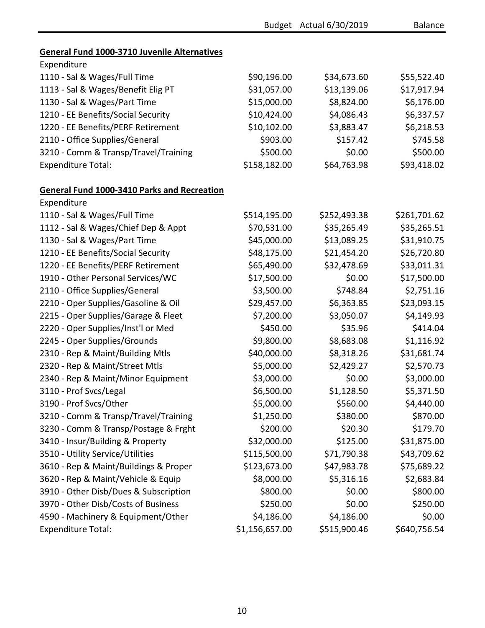|                                                     |                | Budget Actual 6/30/2019 | Balance      |
|-----------------------------------------------------|----------------|-------------------------|--------------|
|                                                     |                |                         |              |
| <b>General Fund 1000-3710 Juvenile Alternatives</b> |                |                         |              |
| Expenditure                                         |                |                         |              |
| 1110 - Sal & Wages/Full Time                        | \$90,196.00    | \$34,673.60             | \$55,522.40  |
| 1113 - Sal & Wages/Benefit Elig PT                  | \$31,057.00    | \$13,139.06             | \$17,917.94  |
| 1130 - Sal & Wages/Part Time                        | \$15,000.00    | \$8,824.00              | \$6,176.00   |
| 1210 - EE Benefits/Social Security                  | \$10,424.00    | \$4,086.43              | \$6,337.57   |
| 1220 - EE Benefits/PERF Retirement                  | \$10,102.00    | \$3,883.47              | \$6,218.53   |
| 2110 - Office Supplies/General                      | \$903.00       | \$157.42                | \$745.58     |
| 3210 - Comm & Transp/Travel/Training                | \$500.00       | \$0.00                  | \$500.00     |
| <b>Expenditure Total:</b>                           | \$158,182.00   | \$64,763.98             | \$93,418.02  |
| <b>General Fund 1000-3410 Parks and Recreation</b>  |                |                         |              |
| Expenditure                                         |                |                         |              |
| 1110 - Sal & Wages/Full Time                        | \$514,195.00   | \$252,493.38            | \$261,701.62 |
| 1112 - Sal & Wages/Chief Dep & Appt                 | \$70,531.00    | \$35,265.49             | \$35,265.51  |
| 1130 - Sal & Wages/Part Time                        | \$45,000.00    | \$13,089.25             | \$31,910.75  |
| 1210 - EE Benefits/Social Security                  | \$48,175.00    | \$21,454.20             | \$26,720.80  |
| 1220 - EE Benefits/PERF Retirement                  | \$65,490.00    | \$32,478.69             | \$33,011.31  |
| 1910 - Other Personal Services/WC                   | \$17,500.00    | \$0.00                  | \$17,500.00  |
| 2110 - Office Supplies/General                      | \$3,500.00     | \$748.84                | \$2,751.16   |
| 2210 - Oper Supplies/Gasoline & Oil                 | \$29,457.00    | \$6,363.85              | \$23,093.15  |
| 2215 - Oper Supplies/Garage & Fleet                 | \$7,200.00     | \$3,050.07              | \$4,149.93   |
| 2220 - Oper Supplies/Inst'l or Med                  | \$450.00       | \$35.96                 | \$414.04     |
| 2245 - Oper Supplies/Grounds                        | \$9,800.00     | \$8,683.08              | \$1,116.92   |
| 2310 - Rep & Maint/Building Mtls                    | \$40,000.00    | \$8,318.26              | \$31,681.74  |
| 2320 - Rep & Maint/Street Mtls                      | \$5,000.00     | \$2,429.27              | \$2,570.73   |
| 2340 - Rep & Maint/Minor Equipment                  | \$3,000.00     | \$0.00                  | \$3,000.00   |
| 3110 - Prof Svcs/Legal                              | \$6,500.00     | \$1,128.50              | \$5,371.50   |
| 3190 - Prof Svcs/Other                              | \$5,000.00     | \$560.00                | \$4,440.00   |
| 3210 - Comm & Transp/Travel/Training                | \$1,250.00     | \$380.00                | \$870.00     |
| 3230 - Comm & Transp/Postage & Frght                | \$200.00       | \$20.30                 | \$179.70     |
| 3410 - Insur/Building & Property                    | \$32,000.00    | \$125.00                | \$31,875.00  |
| 3510 - Utility Service/Utilities                    | \$115,500.00   | \$71,790.38             | \$43,709.62  |
| 3610 - Rep & Maint/Buildings & Proper               | \$123,673.00   | \$47,983.78             | \$75,689.22  |
| 3620 - Rep & Maint/Vehicle & Equip                  | \$8,000.00     | \$5,316.16              | \$2,683.84   |
| 3910 - Other Disb/Dues & Subscription               | \$800.00       | \$0.00                  | \$800.00     |
| 3970 - Other Disb/Costs of Business                 | \$250.00       | \$0.00                  | \$250.00     |
| 4590 - Machinery & Equipment/Other                  | \$4,186.00     | \$4,186.00              | \$0.00       |
| <b>Expenditure Total:</b>                           | \$1,156,657.00 | \$515,900.46            | \$640,756.54 |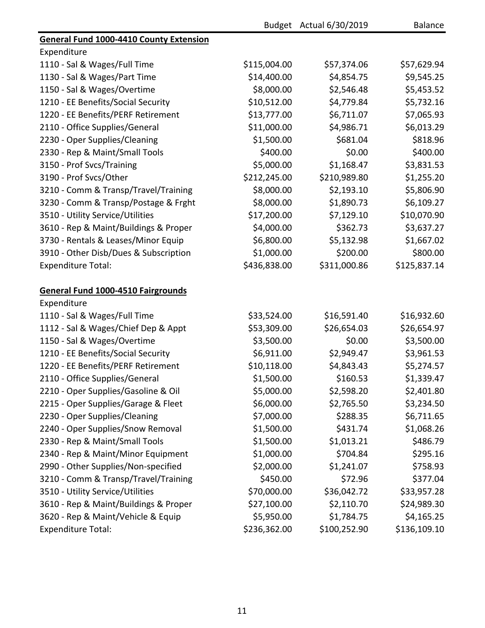|                                                |              | Budget Actual 6/30/2019 | Balance      |
|------------------------------------------------|--------------|-------------------------|--------------|
| <b>General Fund 1000-4410 County Extension</b> |              |                         |              |
| Expenditure                                    |              |                         |              |
| 1110 - Sal & Wages/Full Time                   | \$115,004.00 | \$57,374.06             | \$57,629.94  |
| 1130 - Sal & Wages/Part Time                   | \$14,400.00  | \$4,854.75              | \$9,545.25   |
| 1150 - Sal & Wages/Overtime                    | \$8,000.00   | \$2,546.48              | \$5,453.52   |
| 1210 - EE Benefits/Social Security             | \$10,512.00  | \$4,779.84              | \$5,732.16   |
| 1220 - EE Benefits/PERF Retirement             | \$13,777.00  | \$6,711.07              | \$7,065.93   |
| 2110 - Office Supplies/General                 | \$11,000.00  | \$4,986.71              | \$6,013.29   |
| 2230 - Oper Supplies/Cleaning                  | \$1,500.00   | \$681.04                | \$818.96     |
| 2330 - Rep & Maint/Small Tools                 | \$400.00     | \$0.00                  | \$400.00     |
| 3150 - Prof Svcs/Training                      | \$5,000.00   | \$1,168.47              | \$3,831.53   |
| 3190 - Prof Svcs/Other                         | \$212,245.00 | \$210,989.80            | \$1,255.20   |
| 3210 - Comm & Transp/Travel/Training           | \$8,000.00   | \$2,193.10              | \$5,806.90   |
| 3230 - Comm & Transp/Postage & Frght           | \$8,000.00   | \$1,890.73              | \$6,109.27   |
| 3510 - Utility Service/Utilities               | \$17,200.00  | \$7,129.10              | \$10,070.90  |
| 3610 - Rep & Maint/Buildings & Proper          | \$4,000.00   | \$362.73                | \$3,637.27   |
| 3730 - Rentals & Leases/Minor Equip            | \$6,800.00   | \$5,132.98              | \$1,667.02   |
| 3910 - Other Disb/Dues & Subscription          | \$1,000.00   | \$200.00                | \$800.00     |
| <b>Expenditure Total:</b>                      | \$436,838.00 | \$311,000.86            | \$125,837.14 |
| General Fund 1000-4510 Fairgrounds             |              |                         |              |
| Expenditure                                    |              |                         |              |
| 1110 - Sal & Wages/Full Time                   | \$33,524.00  | \$16,591.40             | \$16,932.60  |
| 1112 - Sal & Wages/Chief Dep & Appt            | \$53,309.00  | \$26,654.03             | \$26,654.97  |
| 1150 - Sal & Wages/Overtime                    | \$3,500.00   | \$0.00                  | \$3,500.00   |
| 1210 - EE Benefits/Social Security             | \$6,911.00   | \$2,949.47              | \$3,961.53   |
| 1220 - EE Benefits/PERF Retirement             | \$10,118.00  | \$4,843.43              | \$5,274.57   |
| 2110 - Office Supplies/General                 | \$1,500.00   | \$160.53                | \$1,339.47   |
| 2210 - Oper Supplies/Gasoline & Oil            | \$5,000.00   | \$2,598.20              | \$2,401.80   |
| 2215 - Oper Supplies/Garage & Fleet            | \$6,000.00   | \$2,765.50              | \$3,234.50   |
| 2230 - Oper Supplies/Cleaning                  | \$7,000.00   | \$288.35                | \$6,711.65   |
| 2240 - Oper Supplies/Snow Removal              | \$1,500.00   | \$431.74                | \$1,068.26   |
| 2330 - Rep & Maint/Small Tools                 | \$1,500.00   | \$1,013.21              | \$486.79     |
| 2340 - Rep & Maint/Minor Equipment             | \$1,000.00   | \$704.84                | \$295.16     |
| 2990 - Other Supplies/Non-specified            | \$2,000.00   | \$1,241.07              | \$758.93     |
| 3210 - Comm & Transp/Travel/Training           | \$450.00     | \$72.96                 | \$377.04     |
| 3510 - Utility Service/Utilities               | \$70,000.00  | \$36,042.72             | \$33,957.28  |
| 3610 - Rep & Maint/Buildings & Proper          | \$27,100.00  | \$2,110.70              | \$24,989.30  |
| 3620 - Rep & Maint/Vehicle & Equip             | \$5,950.00   | \$1,784.75              | \$4,165.25   |
| <b>Expenditure Total:</b>                      | \$236,362.00 | \$100,252.90            | \$136,109.10 |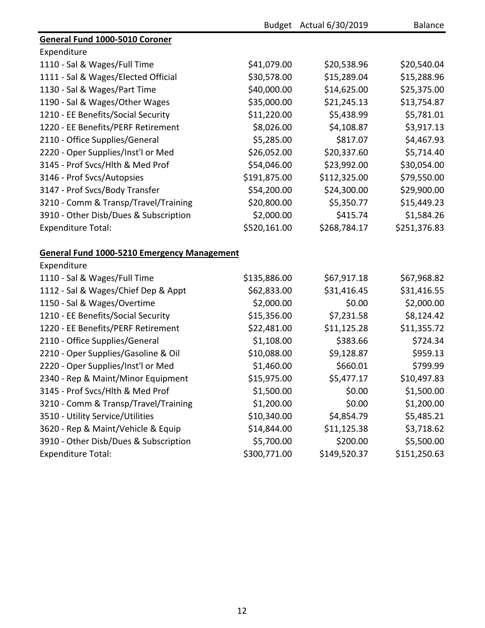|                                                    |              | Budget Actual 6/30/2019 | <b>Balance</b> |
|----------------------------------------------------|--------------|-------------------------|----------------|
| General Fund 1000-5010 Coroner                     |              |                         |                |
| Expenditure                                        |              |                         |                |
| 1110 - Sal & Wages/Full Time                       | \$41,079.00  | \$20,538.96             | \$20,540.04    |
| 1111 - Sal & Wages/Elected Official                | \$30,578.00  | \$15,289.04             | \$15,288.96    |
| 1130 - Sal & Wages/Part Time                       | \$40,000.00  | \$14,625.00             | \$25,375.00    |
| 1190 - Sal & Wages/Other Wages                     | \$35,000.00  | \$21,245.13             | \$13,754.87    |
| 1210 - EE Benefits/Social Security                 | \$11,220.00  | \$5,438.99              | \$5,781.01     |
| 1220 - EE Benefits/PERF Retirement                 | \$8,026.00   | \$4,108.87              | \$3,917.13     |
| 2110 - Office Supplies/General                     | \$5,285.00   | \$817.07                | \$4,467.93     |
| 2220 - Oper Supplies/Inst'l or Med                 | \$26,052.00  | \$20,337.60             | \$5,714.40     |
| 3145 - Prof Svcs/Hlth & Med Prof                   | \$54,046.00  | \$23,992.00             | \$30,054.00    |
| 3146 - Prof Svcs/Autopsies                         | \$191,875.00 | \$112,325.00            | \$79,550.00    |
| 3147 - Prof Svcs/Body Transfer                     | \$54,200.00  | \$24,300.00             | \$29,900.00    |
| 3210 - Comm & Transp/Travel/Training               | \$20,800.00  | \$5,350.77              | \$15,449.23    |
| 3910 - Other Disb/Dues & Subscription              | \$2,000.00   | \$415.74                | \$1,584.26     |
| <b>Expenditure Total:</b>                          | \$520,161.00 | \$268,784.17            | \$251,376.83   |
| <b>General Fund 1000-5210 Emergency Management</b> |              |                         |                |
| Expenditure                                        |              |                         |                |
| 1110 - Sal & Wages/Full Time                       | \$135,886.00 | \$67,917.18             | \$67,968.82    |
| 1112 - Sal & Wages/Chief Dep & Appt                | \$62,833.00  | \$31,416.45             | \$31,416.55    |
| 1150 - Sal & Wages/Overtime                        | \$2,000.00   | \$0.00                  | \$2,000.00     |
| 1210 - EE Benefits/Social Security                 | \$15,356.00  | \$7,231.58              | \$8,124.42     |
| 1220 - EE Benefits/PERF Retirement                 | \$22,481.00  | \$11,125.28             | \$11,355.72    |
| 2110 - Office Supplies/General                     | \$1,108.00   | \$383.66                | \$724.34       |
| 2210 - Oper Supplies/Gasoline & Oil                | \$10,088.00  | \$9,128.87              | \$959.13       |
| 2220 - Oper Supplies/Inst'l or Med                 | \$1,460.00   | \$660.01                | \$799.99       |
| 2340 - Rep & Maint/Minor Equipment                 | \$15,975.00  | \$5,477.17              | \$10,497.83    |
| 3145 - Prof Svcs/Hlth & Med Prof                   | \$1,500.00   | \$0.00                  | \$1,500.00     |
| 3210 - Comm & Transp/Travel/Training               | \$1,200.00   | \$0.00                  | \$1,200.00     |
| 3510 - Utility Service/Utilities                   | \$10,340.00  | \$4,854.79              | \$5,485.21     |
| 3620 - Rep & Maint/Vehicle & Equip                 | \$14,844.00  | \$11,125.38             | \$3,718.62     |
| 3910 - Other Disb/Dues & Subscription              | \$5,700.00   | \$200.00                | \$5,500.00     |
| <b>Expenditure Total:</b>                          | \$300,771.00 | \$149,520.37            | \$151,250.63   |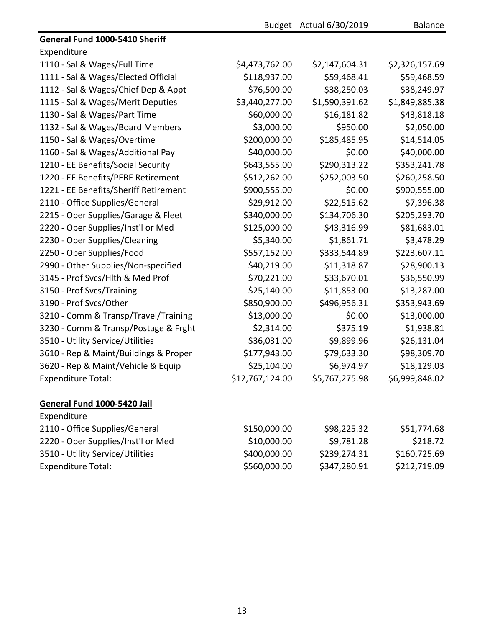|                                       |                 | Budget Actual 6/30/2019 | <b>Balance</b> |
|---------------------------------------|-----------------|-------------------------|----------------|
| General Fund 1000-5410 Sheriff        |                 |                         |                |
| Expenditure                           |                 |                         |                |
| 1110 - Sal & Wages/Full Time          | \$4,473,762.00  | \$2,147,604.31          | \$2,326,157.69 |
| 1111 - Sal & Wages/Elected Official   | \$118,937.00    | \$59,468.41             | \$59,468.59    |
| 1112 - Sal & Wages/Chief Dep & Appt   | \$76,500.00     | \$38,250.03             | \$38,249.97    |
| 1115 - Sal & Wages/Merit Deputies     | \$3,440,277.00  | \$1,590,391.62          | \$1,849,885.38 |
| 1130 - Sal & Wages/Part Time          | \$60,000.00     | \$16,181.82             | \$43,818.18    |
| 1132 - Sal & Wages/Board Members      | \$3,000.00      | \$950.00                | \$2,050.00     |
| 1150 - Sal & Wages/Overtime           | \$200,000.00    | \$185,485.95            | \$14,514.05    |
| 1160 - Sal & Wages/Additional Pay     | \$40,000.00     | \$0.00                  | \$40,000.00    |
| 1210 - EE Benefits/Social Security    | \$643,555.00    | \$290,313.22            | \$353,241.78   |
| 1220 - EE Benefits/PERF Retirement    | \$512,262.00    | \$252,003.50            | \$260,258.50   |
| 1221 - EE Benefits/Sheriff Retirement | \$900,555.00    | \$0.00                  | \$900,555.00   |
| 2110 - Office Supplies/General        | \$29,912.00     | \$22,515.62             | \$7,396.38     |
| 2215 - Oper Supplies/Garage & Fleet   | \$340,000.00    | \$134,706.30            | \$205,293.70   |
| 2220 - Oper Supplies/Inst'l or Med    | \$125,000.00    | \$43,316.99             | \$81,683.01    |
| 2230 - Oper Supplies/Cleaning         | \$5,340.00      | \$1,861.71              | \$3,478.29     |
| 2250 - Oper Supplies/Food             | \$557,152.00    | \$333,544.89            | \$223,607.11   |
| 2990 - Other Supplies/Non-specified   | \$40,219.00     | \$11,318.87             | \$28,900.13    |
| 3145 - Prof Svcs/Hlth & Med Prof      | \$70,221.00     | \$33,670.01             | \$36,550.99    |
| 3150 - Prof Svcs/Training             | \$25,140.00     | \$11,853.00             | \$13,287.00    |
| 3190 - Prof Svcs/Other                | \$850,900.00    | \$496,956.31            | \$353,943.69   |
| 3210 - Comm & Transp/Travel/Training  | \$13,000.00     | \$0.00                  | \$13,000.00    |
| 3230 - Comm & Transp/Postage & Frght  | \$2,314.00      | \$375.19                | \$1,938.81     |
| 3510 - Utility Service/Utilities      | \$36,031.00     | \$9,899.96              | \$26,131.04    |
| 3610 - Rep & Maint/Buildings & Proper | \$177,943.00    | \$79,633.30             | \$98,309.70    |
| 3620 - Rep & Maint/Vehicle & Equip    | \$25,104.00     | \$6,974.97              | \$18,129.03    |
| <b>Expenditure Total:</b>             | \$12,767,124.00 | \$5,767,275.98          | \$6,999,848.02 |
| General Fund 1000-5420 Jail           |                 |                         |                |
| Expenditure                           |                 |                         |                |
| 2110 - Office Supplies/General        | \$150,000.00    | \$98,225.32             | \$51,774.68    |
| 2220 - Oper Supplies/Inst'l or Med    | \$10,000.00     | \$9,781.28              | \$218.72       |
| 3510 - Utility Service/Utilities      | \$400,000.00    | \$239,274.31            | \$160,725.69   |
| <b>Expenditure Total:</b>             | \$560,000.00    | \$347,280.91            | \$212,719.09   |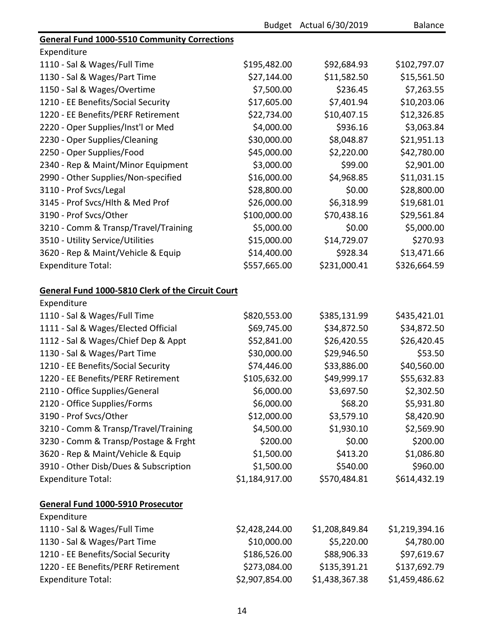|                                                     |                | Budget Actual 6/30/2019 | <b>Balance</b> |
|-----------------------------------------------------|----------------|-------------------------|----------------|
| <b>General Fund 1000-5510 Community Corrections</b> |                |                         |                |
| Expenditure                                         |                |                         |                |
| 1110 - Sal & Wages/Full Time                        | \$195,482.00   | \$92,684.93             | \$102,797.07   |
| 1130 - Sal & Wages/Part Time                        | \$27,144.00    | \$11,582.50             | \$15,561.50    |
| 1150 - Sal & Wages/Overtime                         | \$7,500.00     | \$236.45                | \$7,263.55     |
| 1210 - EE Benefits/Social Security                  | \$17,605.00    | \$7,401.94              | \$10,203.06    |
| 1220 - EE Benefits/PERF Retirement                  | \$22,734.00    | \$10,407.15             | \$12,326.85    |
| 2220 - Oper Supplies/Inst'l or Med                  | \$4,000.00     | \$936.16                | \$3,063.84     |
| 2230 - Oper Supplies/Cleaning                       | \$30,000.00    | \$8,048.87              | \$21,951.13    |
| 2250 - Oper Supplies/Food                           | \$45,000.00    | \$2,220.00              | \$42,780.00    |
| 2340 - Rep & Maint/Minor Equipment                  | \$3,000.00     | \$99.00                 | \$2,901.00     |
| 2990 - Other Supplies/Non-specified                 | \$16,000.00    | \$4,968.85              | \$11,031.15    |
| 3110 - Prof Svcs/Legal                              | \$28,800.00    | \$0.00                  | \$28,800.00    |
| 3145 - Prof Svcs/Hlth & Med Prof                    | \$26,000.00    | \$6,318.99              | \$19,681.01    |
| 3190 - Prof Svcs/Other                              | \$100,000.00   | \$70,438.16             | \$29,561.84    |
| 3210 - Comm & Transp/Travel/Training                | \$5,000.00     | \$0.00                  | \$5,000.00     |
| 3510 - Utility Service/Utilities                    | \$15,000.00    | \$14,729.07             | \$270.93       |
| 3620 - Rep & Maint/Vehicle & Equip                  | \$14,400.00    | \$928.34                | \$13,471.66    |
| <b>Expenditure Total:</b>                           | \$557,665.00   | \$231,000.41            | \$326,664.59   |
| General Fund 1000-5810 Clerk of the Circuit Court   |                |                         |                |
| Expenditure                                         |                |                         |                |
| 1110 - Sal & Wages/Full Time                        | \$820,553.00   | \$385,131.99            | \$435,421.01   |
| 1111 - Sal & Wages/Elected Official                 | \$69,745.00    | \$34,872.50             | \$34,872.50    |
| 1112 - Sal & Wages/Chief Dep & Appt                 | \$52,841.00    | \$26,420.55             | \$26,420.45    |
| 1130 - Sal & Wages/Part Time                        | \$30,000.00    | \$29,946.50             | \$53.50        |
| 1210 - EE Benefits/Social Security                  | \$74,446.00    | \$33,886.00             | \$40,560.00    |
| 1220 - EE Benefits/PERF Retirement                  | \$105,632.00   | \$49,999.17             | \$55,632.83    |
| 2110 - Office Supplies/General                      | \$6,000.00     | \$3,697.50              | \$2,302.50     |
| 2120 - Office Supplies/Forms                        | \$6,000.00     | \$68.20                 | \$5,931.80     |
| 3190 - Prof Svcs/Other                              | \$12,000.00    | \$3,579.10              | \$8,420.90     |
| 3210 - Comm & Transp/Travel/Training                | \$4,500.00     | \$1,930.10              | \$2,569.90     |
| 3230 - Comm & Transp/Postage & Frght                | \$200.00       | \$0.00                  | \$200.00       |
| 3620 - Rep & Maint/Vehicle & Equip                  | \$1,500.00     | \$413.20                | \$1,086.80     |
| 3910 - Other Disb/Dues & Subscription               | \$1,500.00     | \$540.00                | \$960.00       |
| <b>Expenditure Total:</b>                           | \$1,184,917.00 | \$570,484.81            | \$614,432.19   |
| General Fund 1000-5910 Prosecutor                   |                |                         |                |
| Expenditure                                         |                |                         |                |
| 1110 - Sal & Wages/Full Time                        | \$2,428,244.00 | \$1,208,849.84          | \$1,219,394.16 |
| 1130 - Sal & Wages/Part Time                        | \$10,000.00    | \$5,220.00              | \$4,780.00     |
| 1210 - EE Benefits/Social Security                  | \$186,526.00   | \$88,906.33             | \$97,619.67    |
| 1220 - EE Benefits/PERF Retirement                  | \$273,084.00   | \$135,391.21            | \$137,692.79   |
| <b>Expenditure Total:</b>                           | \$2,907,854.00 | \$1,438,367.38          | \$1,459,486.62 |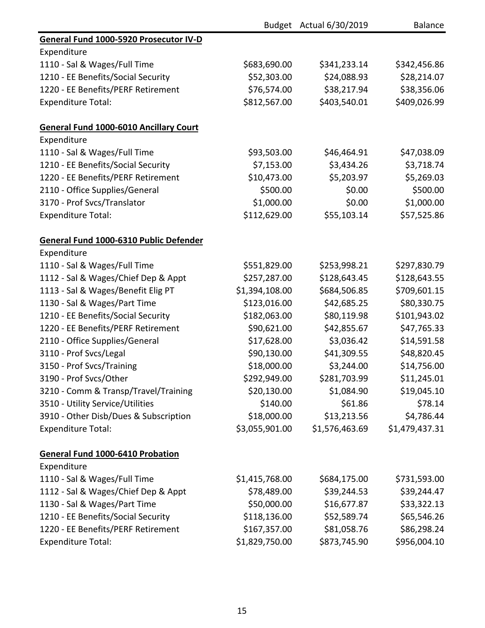|                                               |                | Budget Actual 6/30/2019 | <b>Balance</b> |
|-----------------------------------------------|----------------|-------------------------|----------------|
| General Fund 1000-5920 Prosecutor IV-D        |                |                         |                |
| Expenditure                                   |                |                         |                |
| 1110 - Sal & Wages/Full Time                  | \$683,690.00   | \$341,233.14            | \$342,456.86   |
| 1210 - EE Benefits/Social Security            | \$52,303.00    | \$24,088.93             | \$28,214.07    |
| 1220 - EE Benefits/PERF Retirement            | \$76,574.00    | \$38,217.94             | \$38,356.06    |
| <b>Expenditure Total:</b>                     | \$812,567.00   | \$403,540.01            | \$409,026.99   |
| <b>General Fund 1000-6010 Ancillary Court</b> |                |                         |                |
| Expenditure                                   |                |                         |                |
| 1110 - Sal & Wages/Full Time                  | \$93,503.00    | \$46,464.91             | \$47,038.09    |
| 1210 - EE Benefits/Social Security            | \$7,153.00     | \$3,434.26              | \$3,718.74     |
| 1220 - EE Benefits/PERF Retirement            | \$10,473.00    | \$5,203.97              | \$5,269.03     |
| 2110 - Office Supplies/General                | \$500.00       | \$0.00                  | \$500.00       |
| 3170 - Prof Svcs/Translator                   | \$1,000.00     | \$0.00                  | \$1,000.00     |
| <b>Expenditure Total:</b>                     | \$112,629.00   | \$55,103.14             | \$57,525.86    |
| General Fund 1000-6310 Public Defender        |                |                         |                |
| Expenditure                                   |                |                         |                |
| 1110 - Sal & Wages/Full Time                  | \$551,829.00   | \$253,998.21            | \$297,830.79   |
| 1112 - Sal & Wages/Chief Dep & Appt           | \$257,287.00   | \$128,643.45            | \$128,643.55   |
| 1113 - Sal & Wages/Benefit Elig PT            | \$1,394,108.00 | \$684,506.85            | \$709,601.15   |
| 1130 - Sal & Wages/Part Time                  | \$123,016.00   | \$42,685.25             | \$80,330.75    |
| 1210 - EE Benefits/Social Security            | \$182,063.00   | \$80,119.98             | \$101,943.02   |
| 1220 - EE Benefits/PERF Retirement            | \$90,621.00    | \$42,855.67             | \$47,765.33    |
| 2110 - Office Supplies/General                | \$17,628.00    | \$3,036.42              | \$14,591.58    |
| 3110 - Prof Svcs/Legal                        | \$90,130.00    | \$41,309.55             | \$48,820.45    |
| 3150 - Prof Svcs/Training                     | \$18,000.00    | \$3,244.00              | \$14,756.00    |
| 3190 - Prof Svcs/Other                        | \$292,949.00   | \$281,703.99            | \$11,245.01    |
| 3210 - Comm & Transp/Travel/Training          | \$20,130.00    | \$1,084.90              | \$19,045.10    |
| 3510 - Utility Service/Utilities              | \$140.00       | \$61.86                 | \$78.14        |
| 3910 - Other Disb/Dues & Subscription         | \$18,000.00    | \$13,213.56             | \$4,786.44     |
| <b>Expenditure Total:</b>                     | \$3,055,901.00 | \$1,576,463.69          | \$1,479,437.31 |
| General Fund 1000-6410 Probation              |                |                         |                |
| Expenditure                                   |                |                         |                |
| 1110 - Sal & Wages/Full Time                  | \$1,415,768.00 | \$684,175.00            | \$731,593.00   |
| 1112 - Sal & Wages/Chief Dep & Appt           | \$78,489.00    | \$39,244.53             | \$39,244.47    |
| 1130 - Sal & Wages/Part Time                  | \$50,000.00    | \$16,677.87             | \$33,322.13    |
| 1210 - EE Benefits/Social Security            | \$118,136.00   | \$52,589.74             | \$65,546.26    |
| 1220 - EE Benefits/PERF Retirement            | \$167,357.00   | \$81,058.76             | \$86,298.24    |
| <b>Expenditure Total:</b>                     | \$1,829,750.00 | \$873,745.90            | \$956,004.10   |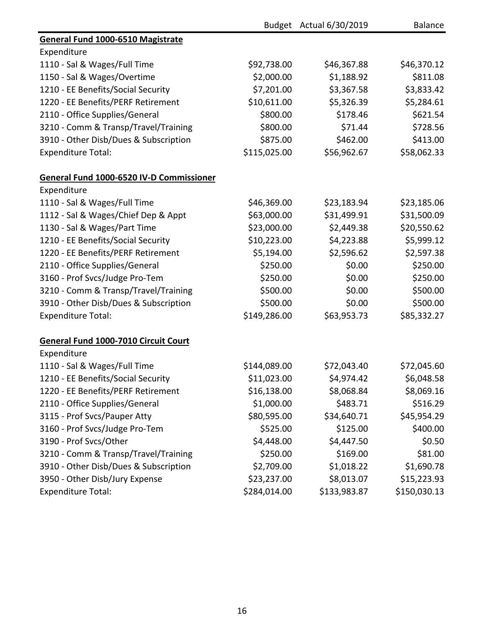|                                             |              | Budget Actual 6/30/2019 | <b>Balance</b> |
|---------------------------------------------|--------------|-------------------------|----------------|
| General Fund 1000-6510 Magistrate           |              |                         |                |
| Expenditure                                 |              |                         |                |
| 1110 - Sal & Wages/Full Time                | \$92,738.00  | \$46,367.88             | \$46,370.12    |
| 1150 - Sal & Wages/Overtime                 | \$2,000.00   | \$1,188.92              | \$811.08       |
| 1210 - EE Benefits/Social Security          | \$7,201.00   | \$3,367.58              | \$3,833.42     |
| 1220 - EE Benefits/PERF Retirement          | \$10,611.00  | \$5,326.39              | \$5,284.61     |
| 2110 - Office Supplies/General              | \$800.00     | \$178.46                | \$621.54       |
| 3210 - Comm & Transp/Travel/Training        | \$800.00     | \$71.44                 | \$728.56       |
| 3910 - Other Disb/Dues & Subscription       | \$875.00     | \$462.00                | \$413.00       |
| <b>Expenditure Total:</b>                   | \$115,025.00 | \$56,962.67             | \$58,062.33    |
| General Fund 1000-6520 IV-D Commissioner    |              |                         |                |
| Expenditure                                 |              |                         |                |
| 1110 - Sal & Wages/Full Time                | \$46,369.00  | \$23,183.94             | \$23,185.06    |
| 1112 - Sal & Wages/Chief Dep & Appt         | \$63,000.00  | \$31,499.91             | \$31,500.09    |
| 1130 - Sal & Wages/Part Time                | \$23,000.00  | \$2,449.38              | \$20,550.62    |
| 1210 - EE Benefits/Social Security          | \$10,223.00  | \$4,223.88              | \$5,999.12     |
| 1220 - EE Benefits/PERF Retirement          | \$5,194.00   | \$2,596.62              | \$2,597.38     |
| 2110 - Office Supplies/General              | \$250.00     | \$0.00                  | \$250.00       |
| 3160 - Prof Svcs/Judge Pro-Tem              | \$250.00     | \$0.00                  | \$250.00       |
| 3210 - Comm & Transp/Travel/Training        | \$500.00     | \$0.00                  | \$500.00       |
| 3910 - Other Disb/Dues & Subscription       | \$500.00     | \$0.00                  | \$500.00       |
| <b>Expenditure Total:</b>                   | \$149,286.00 | \$63,953.73             | \$85,332.27    |
| <b>General Fund 1000-7010 Circuit Court</b> |              |                         |                |
| Expenditure                                 |              |                         |                |
| 1110 - Sal & Wages/Full Time                | \$144,089.00 | \$72,043.40             | \$72,045.60    |
| 1210 - EE Benefits/Social Security          | \$11,023.00  | \$4,974.42              | \$6,048.58     |
| 1220 - EE Benefits/PERF Retirement          | \$16,138.00  | \$8,068.84              | \$8,069.16     |
| 2110 - Office Supplies/General              | \$1,000.00   | \$483.71                | \$516.29       |
| 3115 - Prof Svcs/Pauper Atty                | \$80,595.00  | \$34,640.71             | \$45,954.29    |
| 3160 - Prof Svcs/Judge Pro-Tem              | \$525.00     | \$125.00                | \$400.00       |
| 3190 - Prof Svcs/Other                      | \$4,448.00   | \$4,447.50              | \$0.50         |
| 3210 - Comm & Transp/Travel/Training        | \$250.00     | \$169.00                | \$81.00        |
| 3910 - Other Disb/Dues & Subscription       | \$2,709.00   | \$1,018.22              | \$1,690.78     |
| 3950 - Other Disb/Jury Expense              | \$23,237.00  | \$8,013.07              | \$15,223.93    |
| <b>Expenditure Total:</b>                   | \$284,014.00 | \$133,983.87            | \$150,030.13   |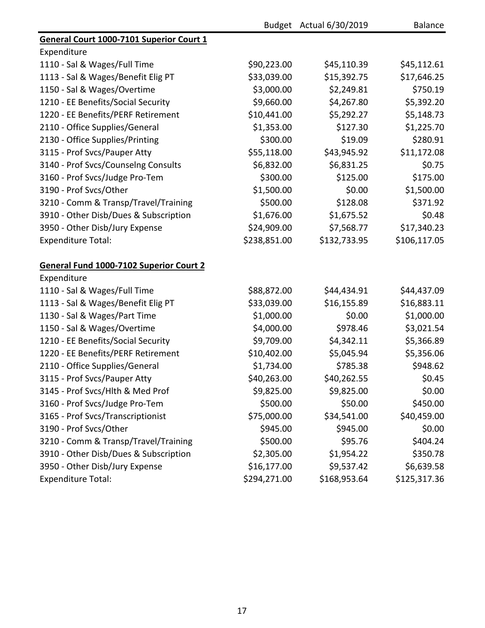|                                          |              | Budget Actual 6/30/2019 | <b>Balance</b> |
|------------------------------------------|--------------|-------------------------|----------------|
| General Court 1000-7101 Superior Court 1 |              |                         |                |
| Expenditure                              |              |                         |                |
| 1110 - Sal & Wages/Full Time             | \$90,223.00  | \$45,110.39             | \$45,112.61    |
| 1113 - Sal & Wages/Benefit Elig PT       | \$33,039.00  | \$15,392.75             | \$17,646.25    |
| 1150 - Sal & Wages/Overtime              | \$3,000.00   | \$2,249.81              | \$750.19       |
| 1210 - EE Benefits/Social Security       | \$9,660.00   | \$4,267.80              | \$5,392.20     |
| 1220 - EE Benefits/PERF Retirement       | \$10,441.00  | \$5,292.27              | \$5,148.73     |
| 2110 - Office Supplies/General           | \$1,353.00   | \$127.30                | \$1,225.70     |
| 2130 - Office Supplies/Printing          | \$300.00     | \$19.09                 | \$280.91       |
| 3115 - Prof Svcs/Pauper Atty             | \$55,118.00  | \$43,945.92             | \$11,172.08    |
| 3140 - Prof Svcs/Counselng Consults      | \$6,832.00   | \$6,831.25              | \$0.75         |
| 3160 - Prof Svcs/Judge Pro-Tem           | \$300.00     | \$125.00                | \$175.00       |
| 3190 - Prof Svcs/Other                   | \$1,500.00   | \$0.00                  | \$1,500.00     |
| 3210 - Comm & Transp/Travel/Training     | \$500.00     | \$128.08                | \$371.92       |
| 3910 - Other Disb/Dues & Subscription    | \$1,676.00   | \$1,675.52              | \$0.48         |
| 3950 - Other Disb/Jury Expense           | \$24,909.00  | \$7,568.77              | \$17,340.23    |
| <b>Expenditure Total:</b>                | \$238,851.00 | \$132,733.95            | \$106,117.05   |
| General Fund 1000-7102 Superior Court 2  |              |                         |                |
| Expenditure                              |              |                         |                |
| 1110 - Sal & Wages/Full Time             | \$88,872.00  | \$44,434.91             | \$44,437.09    |
| 1113 - Sal & Wages/Benefit Elig PT       | \$33,039.00  | \$16,155.89             | \$16,883.11    |
| 1130 - Sal & Wages/Part Time             | \$1,000.00   | \$0.00                  | \$1,000.00     |
| 1150 - Sal & Wages/Overtime              | \$4,000.00   | \$978.46                | \$3,021.54     |
| 1210 - EE Benefits/Social Security       | \$9,709.00   | \$4,342.11              | \$5,366.89     |
| 1220 - EE Benefits/PERF Retirement       | \$10,402.00  | \$5,045.94              | \$5,356.06     |
| 2110 - Office Supplies/General           | \$1,734.00   | \$785.38                | \$948.62       |
| 3115 - Prof Svcs/Pauper Atty             | \$40,263.00  | \$40,262.55             | \$0.45         |
| 3145 - Prof Svcs/Hlth & Med Prof         | \$9,825.00   | \$9,825.00              | \$0.00         |
| 3160 - Prof Svcs/Judge Pro-Tem           | \$500.00     | \$50.00                 | \$450.00       |
| 3165 - Prof Svcs/Transcriptionist        | \$75,000.00  | \$34,541.00             | \$40,459.00    |
| 3190 - Prof Svcs/Other                   | \$945.00     | \$945.00                | \$0.00         |
| 3210 - Comm & Transp/Travel/Training     | \$500.00     | \$95.76                 | \$404.24       |
| 3910 - Other Disb/Dues & Subscription    | \$2,305.00   | \$1,954.22              | \$350.78       |
| 3950 - Other Disb/Jury Expense           | \$16,177.00  | \$9,537.42              | \$6,639.58     |
| <b>Expenditure Total:</b>                | \$294,271.00 | \$168,953.64            | \$125,317.36   |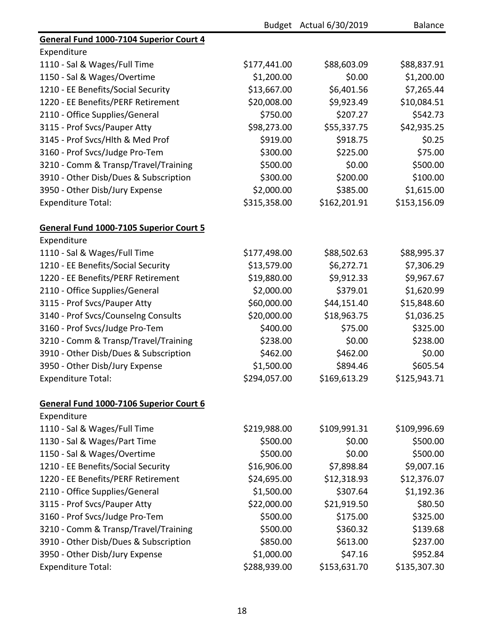|                                         |              | Budget Actual 6/30/2019 | <b>Balance</b> |
|-----------------------------------------|--------------|-------------------------|----------------|
| General Fund 1000-7104 Superior Court 4 |              |                         |                |
| Expenditure                             |              |                         |                |
| 1110 - Sal & Wages/Full Time            | \$177,441.00 | \$88,603.09             | \$88,837.91    |
| 1150 - Sal & Wages/Overtime             | \$1,200.00   | \$0.00                  | \$1,200.00     |
| 1210 - EE Benefits/Social Security      | \$13,667.00  | \$6,401.56              | \$7,265.44     |
| 1220 - EE Benefits/PERF Retirement      | \$20,008.00  | \$9,923.49              | \$10,084.51    |
| 2110 - Office Supplies/General          | \$750.00     | \$207.27                | \$542.73       |
| 3115 - Prof Svcs/Pauper Atty            | \$98,273.00  | \$55,337.75             | \$42,935.25    |
| 3145 - Prof Svcs/Hlth & Med Prof        | \$919.00     | \$918.75                | \$0.25         |
| 3160 - Prof Svcs/Judge Pro-Tem          | \$300.00     | \$225.00                | \$75.00        |
| 3210 - Comm & Transp/Travel/Training    | \$500.00     | \$0.00                  | \$500.00       |
| 3910 - Other Disb/Dues & Subscription   | \$300.00     | \$200.00                | \$100.00       |
| 3950 - Other Disb/Jury Expense          | \$2,000.00   | \$385.00                | \$1,615.00     |
| <b>Expenditure Total:</b>               | \$315,358.00 | \$162,201.91            | \$153,156.09   |
| General Fund 1000-7105 Superior Court 5 |              |                         |                |
| Expenditure                             |              |                         |                |
| 1110 - Sal & Wages/Full Time            | \$177,498.00 | \$88,502.63             | \$88,995.37    |
| 1210 - EE Benefits/Social Security      | \$13,579.00  | \$6,272.71              | \$7,306.29     |
| 1220 - EE Benefits/PERF Retirement      | \$19,880.00  | \$9,912.33              | \$9,967.67     |
| 2110 - Office Supplies/General          | \$2,000.00   | \$379.01                | \$1,620.99     |
| 3115 - Prof Svcs/Pauper Atty            | \$60,000.00  | \$44,151.40             | \$15,848.60    |
| 3140 - Prof Svcs/Counselng Consults     | \$20,000.00  | \$18,963.75             | \$1,036.25     |
| 3160 - Prof Svcs/Judge Pro-Tem          | \$400.00     | \$75.00                 | \$325.00       |
| 3210 - Comm & Transp/Travel/Training    | \$238.00     | \$0.00                  | \$238.00       |
| 3910 - Other Disb/Dues & Subscription   | \$462.00     | \$462.00                | \$0.00         |
| 3950 - Other Disb/Jury Expense          | \$1,500.00   | \$894.46                | \$605.54       |
| <b>Expenditure Total:</b>               | \$294,057.00 | \$169,613.29            | \$125,943.71   |
| General Fund 1000-7106 Superior Court 6 |              |                         |                |
| Expenditure                             |              |                         |                |
| 1110 - Sal & Wages/Full Time            | \$219,988.00 | \$109,991.31            | \$109,996.69   |
| 1130 - Sal & Wages/Part Time            | \$500.00     | \$0.00                  | \$500.00       |
| 1150 - Sal & Wages/Overtime             | \$500.00     | \$0.00                  | \$500.00       |
| 1210 - EE Benefits/Social Security      | \$16,906.00  | \$7,898.84              | \$9,007.16     |
| 1220 - EE Benefits/PERF Retirement      | \$24,695.00  | \$12,318.93             | \$12,376.07    |
| 2110 - Office Supplies/General          | \$1,500.00   | \$307.64                | \$1,192.36     |
| 3115 - Prof Svcs/Pauper Atty            | \$22,000.00  | \$21,919.50             | \$80.50        |
| 3160 - Prof Svcs/Judge Pro-Tem          | \$500.00     | \$175.00                | \$325.00       |
| 3210 - Comm & Transp/Travel/Training    | \$500.00     | \$360.32                | \$139.68       |
| 3910 - Other Disb/Dues & Subscription   | \$850.00     | \$613.00                | \$237.00       |
| 3950 - Other Disb/Jury Expense          | \$1,000.00   | \$47.16                 | \$952.84       |
| <b>Expenditure Total:</b>               | \$288,939.00 | \$153,631.70            | \$135,307.30   |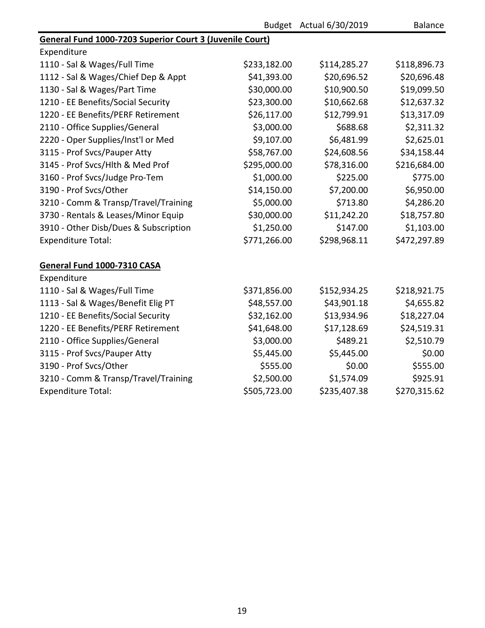|                                                          |              | Budget Actual 6/30/2019 | <b>Balance</b> |  |  |
|----------------------------------------------------------|--------------|-------------------------|----------------|--|--|
| General Fund 1000-7203 Superior Court 3 (Juvenile Court) |              |                         |                |  |  |
| Expenditure                                              |              |                         |                |  |  |
| 1110 - Sal & Wages/Full Time                             | \$233,182.00 | \$114,285.27            | \$118,896.73   |  |  |
| 1112 - Sal & Wages/Chief Dep & Appt                      | \$41,393.00  | \$20,696.52             | \$20,696.48    |  |  |
| 1130 - Sal & Wages/Part Time                             | \$30,000.00  | \$10,900.50             | \$19,099.50    |  |  |
| 1210 - EE Benefits/Social Security                       | \$23,300.00  | \$10,662.68             | \$12,637.32    |  |  |
| 1220 - EE Benefits/PERF Retirement                       | \$26,117.00  | \$12,799.91             | \$13,317.09    |  |  |
| 2110 - Office Supplies/General                           | \$3,000.00   | \$688.68                | \$2,311.32     |  |  |
| 2220 - Oper Supplies/Inst'l or Med                       | \$9,107.00   | \$6,481.99              | \$2,625.01     |  |  |
| 3115 - Prof Svcs/Pauper Atty                             | \$58,767.00  | \$24,608.56             | \$34,158.44    |  |  |
| 3145 - Prof Svcs/Hlth & Med Prof                         | \$295,000.00 | \$78,316.00             | \$216,684.00   |  |  |
| 3160 - Prof Svcs/Judge Pro-Tem                           | \$1,000.00   | \$225.00                | \$775.00       |  |  |
| 3190 - Prof Svcs/Other                                   | \$14,150.00  | \$7,200.00              | \$6,950.00     |  |  |
| 3210 - Comm & Transp/Travel/Training                     | \$5,000.00   | \$713.80                | \$4,286.20     |  |  |
| 3730 - Rentals & Leases/Minor Equip                      | \$30,000.00  | \$11,242.20             | \$18,757.80    |  |  |
| 3910 - Other Disb/Dues & Subscription                    | \$1,250.00   | \$147.00                | \$1,103.00     |  |  |
| <b>Expenditure Total:</b>                                | \$771,266.00 | \$298,968.11            | \$472,297.89   |  |  |
| General Fund 1000-7310 CASA                              |              |                         |                |  |  |
| Expenditure                                              |              |                         |                |  |  |
| 1110 - Sal & Wages/Full Time                             | \$371,856.00 | \$152,934.25            | \$218,921.75   |  |  |
| 1113 - Sal & Wages/Benefit Elig PT                       | \$48,557.00  | \$43,901.18             | \$4,655.82     |  |  |
| 1210 - EE Benefits/Social Security                       | \$32,162.00  | \$13,934.96             | \$18,227.04    |  |  |
| 1220 - EE Benefits/PERF Retirement                       | \$41,648.00  | \$17,128.69             | \$24,519.31    |  |  |
| 2110 - Office Supplies/General                           | \$3,000.00   | \$489.21                | \$2,510.79     |  |  |
| 3115 - Prof Svcs/Pauper Atty                             | \$5,445.00   | \$5,445.00              | \$0.00         |  |  |
| 3190 - Prof Svcs/Other                                   | \$555.00     | \$0.00                  | \$555.00       |  |  |
| 3210 - Comm & Transp/Travel/Training                     | \$2,500.00   | \$1,574.09              | \$925.91       |  |  |
| <b>Expenditure Total:</b>                                | \$505,723.00 | \$235,407.38            | \$270,315.62   |  |  |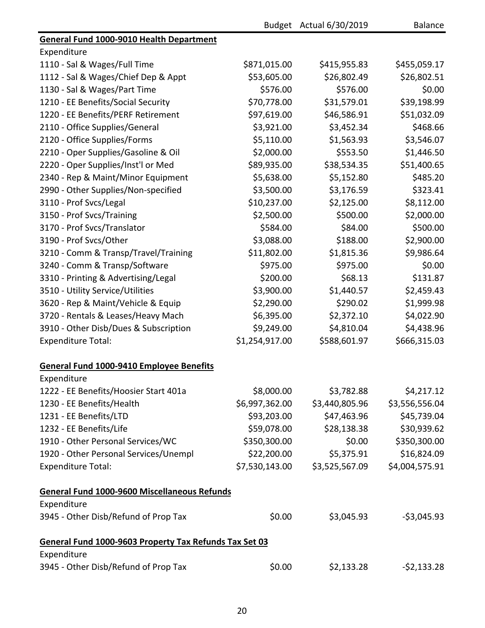|                                                        |                | Budget Actual 6/30/2019 | <b>Balance</b> |
|--------------------------------------------------------|----------------|-------------------------|----------------|
| General Fund 1000-9010 Health Department               |                |                         |                |
| Expenditure                                            |                |                         |                |
| 1110 - Sal & Wages/Full Time                           | \$871,015.00   | \$415,955.83            | \$455,059.17   |
| 1112 - Sal & Wages/Chief Dep & Appt                    | \$53,605.00    | \$26,802.49             | \$26,802.51    |
| 1130 - Sal & Wages/Part Time                           | \$576.00       | \$576.00                | \$0.00         |
| 1210 - EE Benefits/Social Security                     | \$70,778.00    | \$31,579.01             | \$39,198.99    |
| 1220 - EE Benefits/PERF Retirement                     | \$97,619.00    | \$46,586.91             | \$51,032.09    |
| 2110 - Office Supplies/General                         | \$3,921.00     | \$3,452.34              | \$468.66       |
| 2120 - Office Supplies/Forms                           | \$5,110.00     | \$1,563.93              | \$3,546.07     |
| 2210 - Oper Supplies/Gasoline & Oil                    | \$2,000.00     | \$553.50                | \$1,446.50     |
| 2220 - Oper Supplies/Inst'l or Med                     | \$89,935.00    | \$38,534.35             | \$51,400.65    |
| 2340 - Rep & Maint/Minor Equipment                     | \$5,638.00     | \$5,152.80              | \$485.20       |
| 2990 - Other Supplies/Non-specified                    | \$3,500.00     | \$3,176.59              | \$323.41       |
| 3110 - Prof Svcs/Legal                                 | \$10,237.00    | \$2,125.00              | \$8,112.00     |
| 3150 - Prof Svcs/Training                              | \$2,500.00     | \$500.00                | \$2,000.00     |
| 3170 - Prof Svcs/Translator                            | \$584.00       | \$84.00                 | \$500.00       |
| 3190 - Prof Svcs/Other                                 | \$3,088.00     | \$188.00                | \$2,900.00     |
| 3210 - Comm & Transp/Travel/Training                   | \$11,802.00    | \$1,815.36              | \$9,986.64     |
| 3240 - Comm & Transp/Software                          | \$975.00       | \$975.00                | \$0.00         |
| 3310 - Printing & Advertising/Legal                    | \$200.00       | \$68.13                 | \$131.87       |
| 3510 - Utility Service/Utilities                       | \$3,900.00     | \$1,440.57              | \$2,459.43     |
| 3620 - Rep & Maint/Vehicle & Equip                     | \$2,290.00     | \$290.02                | \$1,999.98     |
| 3720 - Rentals & Leases/Heavy Mach                     | \$6,395.00     | \$2,372.10              | \$4,022.90     |
| 3910 - Other Disb/Dues & Subscription                  | \$9,249.00     | \$4,810.04              | \$4,438.96     |
| <b>Expenditure Total:</b>                              | \$1,254,917.00 | \$588,601.97            | \$666,315.03   |
| <b>General Fund 1000-9410 Employee Benefits</b>        |                |                         |                |
| Expenditure                                            |                |                         |                |
| 1222 - EE Benefits/Hoosier Start 401a                  | \$8,000.00     | \$3,782.88              | \$4,217.12     |
| 1230 - EE Benefits/Health                              | \$6,997,362.00 | \$3,440,805.96          | \$3,556,556.04 |
| 1231 - EE Benefits/LTD                                 | \$93,203.00    | \$47,463.96             | \$45,739.04    |
| 1232 - EE Benefits/Life                                | \$59,078.00    | \$28,138.38             | \$30,939.62    |
| 1910 - Other Personal Services/WC                      | \$350,300.00   | \$0.00                  | \$350,300.00   |
| 1920 - Other Personal Services/Unempl                  | \$22,200.00    | \$5,375.91              | \$16,824.09    |
| <b>Expenditure Total:</b>                              | \$7,530,143.00 | \$3,525,567.09          | \$4,004,575.91 |
| <b>General Fund 1000-9600 Miscellaneous Refunds</b>    |                |                         |                |
| Expenditure                                            |                |                         |                |
| 3945 - Other Disb/Refund of Prop Tax                   | \$0.00         | \$3,045.93              | $-53,045.93$   |
| General Fund 1000-9603 Property Tax Refunds Tax Set 03 |                |                         |                |
| Expenditure                                            |                |                         |                |
| 3945 - Other Disb/Refund of Prop Tax                   | \$0.00         | \$2,133.28              | $-52,133.28$   |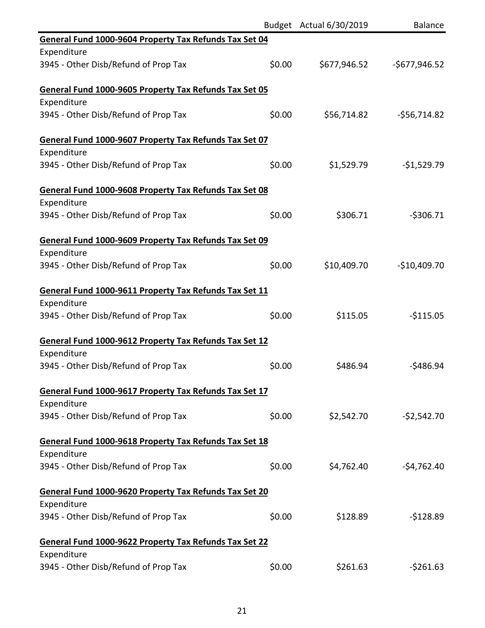|                                                               |        | Budget Actual 6/30/2019 | <b>Balance</b> |
|---------------------------------------------------------------|--------|-------------------------|----------------|
| General Fund 1000-9604 Property Tax Refunds Tax Set 04        |        |                         |                |
| Expenditure                                                   |        |                         |                |
| 3945 - Other Disb/Refund of Prop Tax                          | \$0.00 | \$677,946.52            | $-5677,946.52$ |
| General Fund 1000-9605 Property Tax Refunds Tax Set 05        |        |                         |                |
| Expenditure                                                   |        |                         |                |
| 3945 - Other Disb/Refund of Prop Tax                          | \$0.00 | \$56,714.82             | $-556,714.82$  |
| General Fund 1000-9607 Property Tax Refunds Tax Set 07        |        |                         |                |
| Expenditure                                                   |        |                         |                |
| 3945 - Other Disb/Refund of Prop Tax                          | \$0.00 | \$1,529.79              | $-$1,529.79$   |
| General Fund 1000-9608 Property Tax Refunds Tax Set 08        |        |                         |                |
| Expenditure                                                   |        |                         |                |
| 3945 - Other Disb/Refund of Prop Tax                          | \$0.00 | \$306.71                | $-5306.71$     |
| General Fund 1000-9609 Property Tax Refunds Tax Set 09        |        |                         |                |
| Expenditure                                                   |        |                         |                |
| 3945 - Other Disb/Refund of Prop Tax                          | \$0.00 | \$10,409.70             | $-$10,409.70$  |
| General Fund 1000-9611 Property Tax Refunds Tax Set 11        |        |                         |                |
| Expenditure                                                   |        |                         |                |
| 3945 - Other Disb/Refund of Prop Tax                          | \$0.00 | \$115.05                | $-$115.05$     |
| General Fund 1000-9612 Property Tax Refunds Tax Set 12        |        |                         |                |
| Expenditure                                                   |        |                         |                |
| 3945 - Other Disb/Refund of Prop Tax                          | \$0.00 | \$486.94                | $-5486.94$     |
| General Fund 1000-9617 Property Tax Refunds Tax Set 17        |        |                         |                |
| Expenditure                                                   |        |                         |                |
| 3945 - Other Disb/Refund of Prop Tax                          | \$0.00 | \$2,542.70              | $-52,542.70$   |
| General Fund 1000-9618 Property Tax Refunds Tax Set 18        |        |                         |                |
| Expenditure                                                   |        |                         |                |
| 3945 - Other Disb/Refund of Prop Tax                          | \$0.00 | \$4,762.40              | $-54,762.40$   |
| General Fund 1000-9620 Property Tax Refunds Tax Set 20        |        |                         |                |
| Expenditure                                                   |        |                         |                |
| 3945 - Other Disb/Refund of Prop Tax                          | \$0.00 | \$128.89                | $-5128.89$     |
| <b>General Fund 1000-9622 Property Tax Refunds Tax Set 22</b> |        |                         |                |
| Expenditure                                                   |        |                         |                |
| 3945 - Other Disb/Refund of Prop Tax                          | \$0.00 | \$261.63                | $-5261.63$     |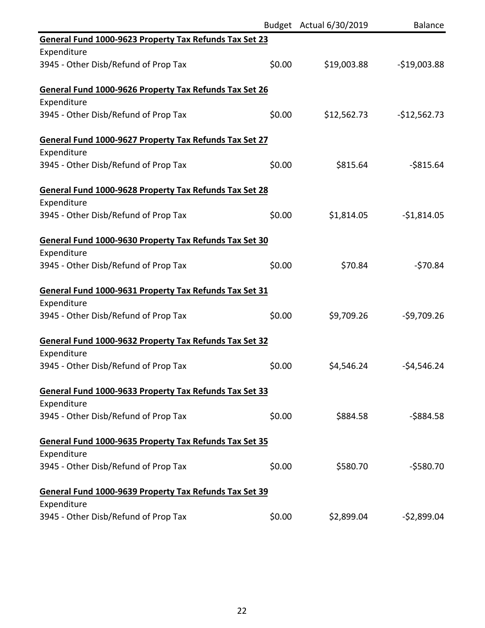|                                                        |        | Budget Actual 6/30/2019 | <b>Balance</b> |
|--------------------------------------------------------|--------|-------------------------|----------------|
| General Fund 1000-9623 Property Tax Refunds Tax Set 23 |        |                         |                |
| Expenditure                                            |        |                         |                |
| 3945 - Other Disb/Refund of Prop Tax                   | \$0.00 | \$19,003.88             | $-$19,003.88$  |
| General Fund 1000-9626 Property Tax Refunds Tax Set 26 |        |                         |                |
| Expenditure                                            |        |                         |                |
| 3945 - Other Disb/Refund of Prop Tax                   | \$0.00 | \$12,562.73             | $-$12,562.73$  |
| General Fund 1000-9627 Property Tax Refunds Tax Set 27 |        |                         |                |
| Expenditure                                            |        |                         |                |
| 3945 - Other Disb/Refund of Prop Tax                   | \$0.00 | \$815.64                | $-$815.64$     |
| General Fund 1000-9628 Property Tax Refunds Tax Set 28 |        |                         |                |
| Expenditure                                            |        |                         |                |
| 3945 - Other Disb/Refund of Prop Tax                   | \$0.00 | \$1,814.05              | $-$1,814.05$   |
| General Fund 1000-9630 Property Tax Refunds Tax Set 30 |        |                         |                |
| Expenditure                                            |        |                         |                |
| 3945 - Other Disb/Refund of Prop Tax                   | \$0.00 | \$70.84                 | $-570.84$      |
| General Fund 1000-9631 Property Tax Refunds Tax Set 31 |        |                         |                |
| Expenditure                                            |        |                         |                |
| 3945 - Other Disb/Refund of Prop Tax                   | \$0.00 | \$9,709.26              | $-59,709.26$   |
| General Fund 1000-9632 Property Tax Refunds Tax Set 32 |        |                         |                |
| Expenditure                                            |        |                         |                |
| 3945 - Other Disb/Refund of Prop Tax                   | \$0.00 | \$4,546.24              | $-54,546.24$   |
| General Fund 1000-9633 Property Tax Refunds Tax Set 33 |        |                         |                |
| Expenditure                                            |        |                         |                |
| 3945 - Other Disb/Refund of Prop Tax                   | \$0.00 | \$884.58                | $-5884.58$     |
| General Fund 1000-9635 Property Tax Refunds Tax Set 35 |        |                         |                |
| Expenditure                                            |        |                         |                |
| 3945 - Other Disb/Refund of Prop Tax                   | \$0.00 | \$580.70                | $-5580.70$     |
| General Fund 1000-9639 Property Tax Refunds Tax Set 39 |        |                         |                |
| Expenditure                                            |        |                         |                |
| 3945 - Other Disb/Refund of Prop Tax                   | \$0.00 | \$2,899.04              | $-52,899.04$   |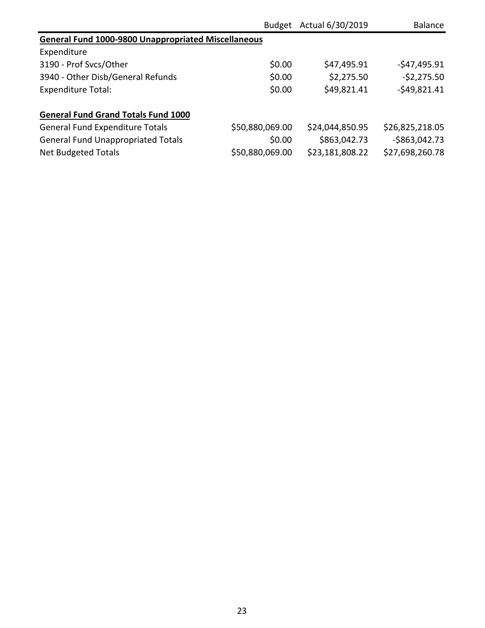|                                                            | <b>Budget</b>   | Actual 6/30/2019 | Balance         |
|------------------------------------------------------------|-----------------|------------------|-----------------|
| <b>General Fund 1000-9800 Unappropriated Miscellaneous</b> |                 |                  |                 |
| Expenditure                                                |                 |                  |                 |
| 3190 - Prof Svcs/Other                                     | \$0.00          | \$47,495.91      | $-547,495.91$   |
| 3940 - Other Disb/General Refunds                          | \$0.00          | \$2,275.50       | $-52,275.50$    |
| <b>Expenditure Total:</b>                                  | \$0.00          | \$49,821.41      | $-549,821.41$   |
| <b>General Fund Grand Totals Fund 1000</b>                 |                 |                  |                 |
| <b>General Fund Expenditure Totals</b>                     | \$50,880,069.00 | \$24,044,850.95  | \$26,825,218.05 |
| <b>General Fund Unappropriated Totals</b>                  | \$0.00          | \$863,042.73     | $-$863,042.73$  |
| <b>Net Budgeted Totals</b>                                 | \$50,880,069.00 | \$23,181,808.22  | \$27,698,260.78 |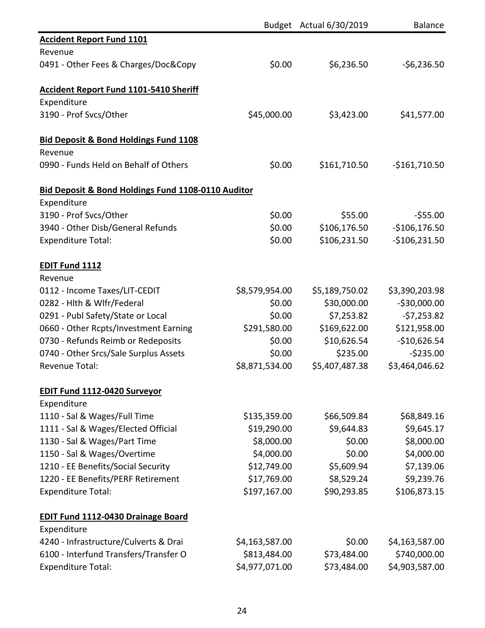|                                                    |                | Budget Actual 6/30/2019 | <b>Balance</b> |
|----------------------------------------------------|----------------|-------------------------|----------------|
| <b>Accident Report Fund 1101</b>                   |                |                         |                |
| Revenue                                            |                |                         |                |
| 0491 - Other Fees & Charges/Doc&Copy               | \$0.00         | \$6,236.50              | $-56,236.50$   |
| <b>Accident Report Fund 1101-5410 Sheriff</b>      |                |                         |                |
| Expenditure                                        |                |                         |                |
| 3190 - Prof Svcs/Other                             | \$45,000.00    | \$3,423.00              | \$41,577.00    |
| <b>Bid Deposit &amp; Bond Holdings Fund 1108</b>   |                |                         |                |
| Revenue                                            |                |                         |                |
| 0990 - Funds Held on Behalf of Others              | \$0.00         | \$161,710.50            | $-$161,710.50$ |
| Bid Deposit & Bond Holdings Fund 1108-0110 Auditor |                |                         |                |
| Expenditure                                        |                |                         |                |
| 3190 - Prof Svcs/Other                             | \$0.00         | \$55.00                 | $-555.00$      |
| 3940 - Other Disb/General Refunds                  | \$0.00         | \$106,176.50            | $-$106,176.50$ |
| <b>Expenditure Total:</b>                          | \$0.00         | \$106,231.50            | $-$106,231.50$ |
| <b>EDIT Fund 1112</b>                              |                |                         |                |
| Revenue                                            |                |                         |                |
| 0112 - Income Taxes/LIT-CEDIT                      | \$8,579,954.00 | \$5,189,750.02          | \$3,390,203.98 |
| 0282 - Hlth & Wlfr/Federal                         | \$0.00         | \$30,000.00             | $-530,000.00$  |
| 0291 - Publ Safety/State or Local                  | \$0.00         | \$7,253.82              | $-57,253.82$   |
| 0660 - Other Rcpts/Investment Earning              | \$291,580.00   | \$169,622.00            | \$121,958.00   |
| 0730 - Refunds Reimb or Redeposits                 | \$0.00         | \$10,626.54             | $-$10,626.54$  |
| 0740 - Other Srcs/Sale Surplus Assets              | \$0.00         | \$235.00                | $-5235.00$     |
| <b>Revenue Total:</b>                              | \$8,871,534.00 | \$5,407,487.38          | \$3,464,046.62 |
| <b>EDIT Fund 1112-0420 Surveyor</b>                |                |                         |                |
| Expenditure                                        |                |                         |                |
| 1110 - Sal & Wages/Full Time                       | \$135,359.00   | \$66,509.84             | \$68,849.16    |
| 1111 - Sal & Wages/Elected Official                | \$19,290.00    | \$9,644.83              | \$9,645.17     |
| 1130 - Sal & Wages/Part Time                       | \$8,000.00     | \$0.00                  | \$8,000.00     |
| 1150 - Sal & Wages/Overtime                        | \$4,000.00     | \$0.00                  | \$4,000.00     |
| 1210 - EE Benefits/Social Security                 | \$12,749.00    | \$5,609.94              | \$7,139.06     |
| 1220 - EE Benefits/PERF Retirement                 | \$17,769.00    | \$8,529.24              | \$9,239.76     |
| <b>Expenditure Total:</b>                          | \$197,167.00   | \$90,293.85             | \$106,873.15   |
| <b>EDIT Fund 1112-0430 Drainage Board</b>          |                |                         |                |
| Expenditure                                        |                |                         |                |
| 4240 - Infrastructure/Culverts & Drai              | \$4,163,587.00 | \$0.00                  | \$4,163,587.00 |
| 6100 - Interfund Transfers/Transfer O              | \$813,484.00   | \$73,484.00             | \$740,000.00   |
| <b>Expenditure Total:</b>                          | \$4,977,071.00 | \$73,484.00             | \$4,903,587.00 |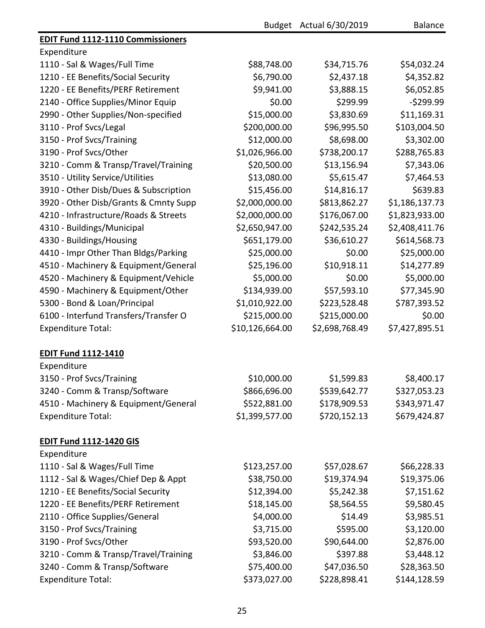|                                          |                 | Budget Actual 6/30/2019 | <b>Balance</b> |
|------------------------------------------|-----------------|-------------------------|----------------|
| <b>EDIT Fund 1112-1110 Commissioners</b> |                 |                         |                |
| Expenditure                              |                 |                         |                |
| 1110 - Sal & Wages/Full Time             | \$88,748.00     | \$34,715.76             | \$54,032.24    |
| 1210 - EE Benefits/Social Security       | \$6,790.00      | \$2,437.18              | \$4,352.82     |
| 1220 - EE Benefits/PERF Retirement       | \$9,941.00      | \$3,888.15              | \$6,052.85     |
| 2140 - Office Supplies/Minor Equip       | \$0.00          | \$299.99                | $-5299.99$     |
| 2990 - Other Supplies/Non-specified      | \$15,000.00     | \$3,830.69              | \$11,169.31    |
| 3110 - Prof Svcs/Legal                   | \$200,000.00    | \$96,995.50             | \$103,004.50   |
| 3150 - Prof Svcs/Training                | \$12,000.00     | \$8,698.00              | \$3,302.00     |
| 3190 - Prof Svcs/Other                   | \$1,026,966.00  | \$738,200.17            | \$288,765.83   |
| 3210 - Comm & Transp/Travel/Training     | \$20,500.00     | \$13,156.94             | \$7,343.06     |
| 3510 - Utility Service/Utilities         | \$13,080.00     | \$5,615.47              | \$7,464.53     |
| 3910 - Other Disb/Dues & Subscription    | \$15,456.00     | \$14,816.17             | \$639.83       |
| 3920 - Other Disb/Grants & Cmnty Supp    | \$2,000,000.00  | \$813,862.27            | \$1,186,137.73 |
| 4210 - Infrastructure/Roads & Streets    | \$2,000,000.00  | \$176,067.00            | \$1,823,933.00 |
| 4310 - Buildings/Municipal               | \$2,650,947.00  | \$242,535.24            | \$2,408,411.76 |
| 4330 - Buildings/Housing                 | \$651,179.00    | \$36,610.27             | \$614,568.73   |
| 4410 - Impr Other Than Bldgs/Parking     | \$25,000.00     | \$0.00                  | \$25,000.00    |
| 4510 - Machinery & Equipment/General     | \$25,196.00     | \$10,918.11             | \$14,277.89    |
| 4520 - Machinery & Equipment/Vehicle     | \$5,000.00      | \$0.00                  | \$5,000.00     |
| 4590 - Machinery & Equipment/Other       | \$134,939.00    | \$57,593.10             | \$77,345.90    |
| 5300 - Bond & Loan/Principal             | \$1,010,922.00  | \$223,528.48            | \$787,393.52   |
| 6100 - Interfund Transfers/Transfer O    | \$215,000.00    | \$215,000.00            | \$0.00         |
| <b>Expenditure Total:</b>                | \$10,126,664.00 | \$2,698,768.49          | \$7,427,895.51 |
| <b>EDIT Fund 1112-1410</b>               |                 |                         |                |
| Expenditure                              |                 |                         |                |
| 3150 - Prof Svcs/Training                | \$10,000.00     | \$1,599.83              | \$8,400.17     |
| 3240 - Comm & Transp/Software            | \$866,696.00    | \$539,642.77            | \$327,053.23   |
| 4510 - Machinery & Equipment/General     | \$522,881.00    | \$178,909.53            | \$343,971.47   |
| <b>Expenditure Total:</b>                | \$1,399,577.00  | \$720,152.13            | \$679,424.87   |
| <b>EDIT Fund 1112-1420 GIS</b>           |                 |                         |                |
| Expenditure                              |                 |                         |                |
| 1110 - Sal & Wages/Full Time             | \$123,257.00    | \$57,028.67             | \$66,228.33    |
| 1112 - Sal & Wages/Chief Dep & Appt      | \$38,750.00     | \$19,374.94             | \$19,375.06    |
| 1210 - EE Benefits/Social Security       | \$12,394.00     | \$5,242.38              | \$7,151.62     |
| 1220 - EE Benefits/PERF Retirement       | \$18,145.00     | \$8,564.55              | \$9,580.45     |
| 2110 - Office Supplies/General           | \$4,000.00      | \$14.49                 | \$3,985.51     |
| 3150 - Prof Svcs/Training                | \$3,715.00      | \$595.00                | \$3,120.00     |
| 3190 - Prof Svcs/Other                   | \$93,520.00     | \$90,644.00             | \$2,876.00     |
| 3210 - Comm & Transp/Travel/Training     | \$3,846.00      | \$397.88                | \$3,448.12     |
| 3240 - Comm & Transp/Software            | \$75,400.00     | \$47,036.50             | \$28,363.50    |
| <b>Expenditure Total:</b>                | \$373,027.00    | \$228,898.41            | \$144,128.59   |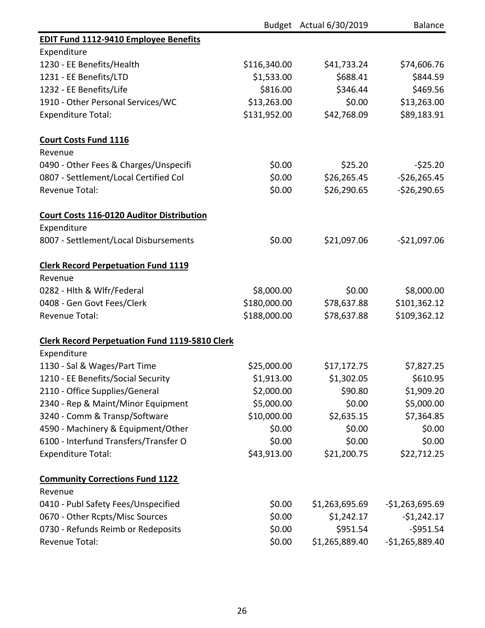|                                                       |              | Budget Actual 6/30/2019 | <b>Balance</b>   |
|-------------------------------------------------------|--------------|-------------------------|------------------|
| <b>EDIT Fund 1112-9410 Employee Benefits</b>          |              |                         |                  |
| Expenditure                                           |              |                         |                  |
| 1230 - EE Benefits/Health                             | \$116,340.00 | \$41,733.24             | \$74,606.76      |
| 1231 - EE Benefits/LTD                                | \$1,533.00   | \$688.41                | \$844.59         |
| 1232 - EE Benefits/Life                               | \$816.00     | \$346.44                | \$469.56         |
| 1910 - Other Personal Services/WC                     | \$13,263.00  | \$0.00                  | \$13,263.00      |
| <b>Expenditure Total:</b>                             | \$131,952.00 | \$42,768.09             | \$89,183.91      |
| <b>Court Costs Fund 1116</b>                          |              |                         |                  |
| Revenue                                               |              |                         |                  |
| 0490 - Other Fees & Charges/Unspecifi                 | \$0.00       | \$25.20                 | $-525.20$        |
| 0807 - Settlement/Local Certified Col                 | \$0.00       | \$26,265.45             | $-$26,265.45$    |
| Revenue Total:                                        | \$0.00       | \$26,290.65             | $-526,290.65$    |
| <b>Court Costs 116-0120 Auditor Distribution</b>      |              |                         |                  |
| Expenditure                                           |              |                         |                  |
| 8007 - Settlement/Local Disbursements                 | \$0.00       | \$21,097.06             | $-$21,097.06$    |
| <b>Clerk Record Perpetuation Fund 1119</b>            |              |                         |                  |
| Revenue                                               |              |                         |                  |
| 0282 - Hlth & Wlfr/Federal                            | \$8,000.00   | \$0.00                  | \$8,000.00       |
| 0408 - Gen Govt Fees/Clerk                            | \$180,000.00 | \$78,637.88             | \$101,362.12     |
| <b>Revenue Total:</b>                                 | \$188,000.00 | \$78,637.88             | \$109,362.12     |
| <b>Clerk Record Perpetuation Fund 1119-5810 Clerk</b> |              |                         |                  |
| Expenditure                                           |              |                         |                  |
| 1130 - Sal & Wages/Part Time                          | \$25,000.00  | \$17,172.75             | \$7,827.25       |
| 1210 - EE Benefits/Social Security                    | \$1,913.00   | \$1,302.05              | \$610.95         |
| 2110 - Office Supplies/General                        | \$2,000.00   | \$90.80                 | \$1,909.20       |
| 2340 - Rep & Maint/Minor Equipment                    | \$5,000.00   | \$0.00                  | \$5,000.00       |
| 3240 - Comm & Transp/Software                         | \$10,000.00  | \$2,635.15              | \$7,364.85       |
| 4590 - Machinery & Equipment/Other                    | \$0.00       | \$0.00                  | \$0.00           |
| 6100 - Interfund Transfers/Transfer O                 | \$0.00       | \$0.00                  | \$0.00           |
| <b>Expenditure Total:</b>                             | \$43,913.00  | \$21,200.75             | \$22,712.25      |
| <b>Community Corrections Fund 1122</b>                |              |                         |                  |
| Revenue                                               |              |                         |                  |
| 0410 - Publ Safety Fees/Unspecified                   | \$0.00       | \$1,263,695.69          | $-$1,263,695.69$ |
| 0670 - Other Rcpts/Misc Sources                       | \$0.00       | \$1,242.17              | $-$1,242.17$     |
| 0730 - Refunds Reimb or Redeposits                    | \$0.00       | \$951.54                | $-5951.54$       |
| Revenue Total:                                        | \$0.00       | \$1,265,889.40          | $-$1,265,889.40$ |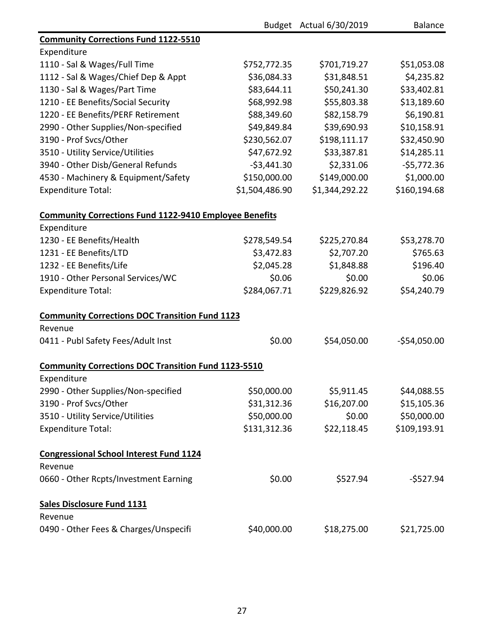|                                                               |                | Budget Actual 6/30/2019 | <b>Balance</b> |
|---------------------------------------------------------------|----------------|-------------------------|----------------|
| <b>Community Corrections Fund 1122-5510</b>                   |                |                         |                |
| Expenditure                                                   |                |                         |                |
| 1110 - Sal & Wages/Full Time                                  | \$752,772.35   | \$701,719.27            | \$51,053.08    |
| 1112 - Sal & Wages/Chief Dep & Appt                           | \$36,084.33    | \$31,848.51             | \$4,235.82     |
| 1130 - Sal & Wages/Part Time                                  | \$83,644.11    | \$50,241.30             | \$33,402.81    |
| 1210 - EE Benefits/Social Security                            | \$68,992.98    | \$55,803.38             | \$13,189.60    |
| 1220 - EE Benefits/PERF Retirement                            | \$88,349.60    | \$82,158.79             | \$6,190.81     |
| 2990 - Other Supplies/Non-specified                           | \$49,849.84    | \$39,690.93             | \$10,158.91    |
| 3190 - Prof Svcs/Other                                        | \$230,562.07   | \$198,111.17            | \$32,450.90    |
| 3510 - Utility Service/Utilities                              | \$47,672.92    | \$33,387.81             | \$14,285.11    |
| 3940 - Other Disb/General Refunds                             | $-53,441.30$   | \$2,331.06              | $-55,772.36$   |
| 4530 - Machinery & Equipment/Safety                           | \$150,000.00   | \$149,000.00            | \$1,000.00     |
| <b>Expenditure Total:</b>                                     | \$1,504,486.90 | \$1,344,292.22          | \$160,194.68   |
| <b>Community Corrections Fund 1122-9410 Employee Benefits</b> |                |                         |                |
| Expenditure                                                   |                |                         |                |
| 1230 - EE Benefits/Health                                     | \$278,549.54   | \$225,270.84            | \$53,278.70    |
| 1231 - EE Benefits/LTD                                        | \$3,472.83     | \$2,707.20              | \$765.63       |
| 1232 - EE Benefits/Life                                       | \$2,045.28     | \$1,848.88              | \$196.40       |
| 1910 - Other Personal Services/WC                             | \$0.06         | \$0.00                  | \$0.06         |
| <b>Expenditure Total:</b>                                     | \$284,067.71   | \$229,826.92            | \$54,240.79    |
| <b>Community Corrections DOC Transition Fund 1123</b>         |                |                         |                |
| Revenue                                                       |                |                         |                |
| 0411 - Publ Safety Fees/Adult Inst                            | \$0.00         | \$54,050.00             | $-$54,050.00$  |
| <b>Community Corrections DOC Transition Fund 1123-5510</b>    |                |                         |                |
| Expenditure                                                   |                |                         |                |
| 2990 - Other Supplies/Non-specified                           | \$50,000.00    | \$5,911.45              | \$44,088.55    |
| 3190 - Prof Svcs/Other                                        | \$31,312.36    | \$16,207.00             | \$15,105.36    |
| 3510 - Utility Service/Utilities                              | \$50,000.00    | \$0.00                  | \$50,000.00    |
| <b>Expenditure Total:</b>                                     | \$131,312.36   | \$22,118.45             | \$109,193.91   |
| <b>Congressional School Interest Fund 1124</b>                |                |                         |                |
| Revenue                                                       |                |                         |                |
| 0660 - Other Rcpts/Investment Earning                         | \$0.00         | \$527.94                | $-$527.94$     |
| <b>Sales Disclosure Fund 1131</b>                             |                |                         |                |
| Revenue                                                       |                |                         |                |
| 0490 - Other Fees & Charges/Unspecifi                         | \$40,000.00    | \$18,275.00             | \$21,725.00    |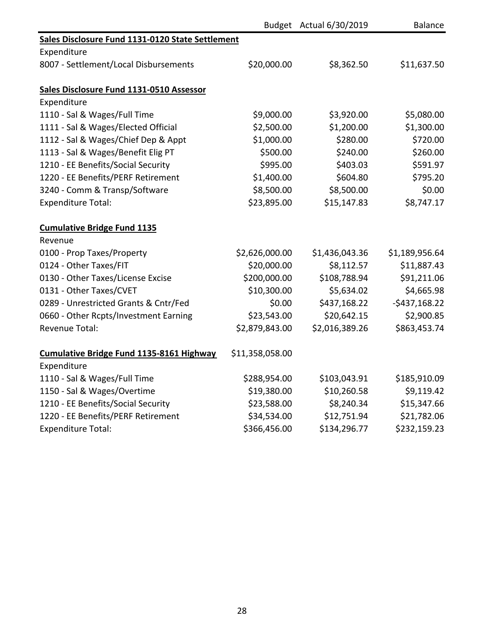|                                                  |                 | Budget Actual 6/30/2019 | <b>Balance</b> |
|--------------------------------------------------|-----------------|-------------------------|----------------|
| Sales Disclosure Fund 1131-0120 State Settlement |                 |                         |                |
| Expenditure                                      |                 |                         |                |
| 8007 - Settlement/Local Disbursements            | \$20,000.00     | \$8,362.50              | \$11,637.50    |
|                                                  |                 |                         |                |
| Sales Disclosure Fund 1131-0510 Assessor         |                 |                         |                |
| Expenditure                                      |                 |                         |                |
| 1110 - Sal & Wages/Full Time                     | \$9,000.00      | \$3,920.00              | \$5,080.00     |
| 1111 - Sal & Wages/Elected Official              | \$2,500.00      | \$1,200.00              | \$1,300.00     |
| 1112 - Sal & Wages/Chief Dep & Appt              | \$1,000.00      | \$280.00                | \$720.00       |
| 1113 - Sal & Wages/Benefit Elig PT               | \$500.00        | \$240.00                | \$260.00       |
| 1210 - EE Benefits/Social Security               | \$995.00        | \$403.03                | \$591.97       |
| 1220 - EE Benefits/PERF Retirement               | \$1,400.00      | \$604.80                | \$795.20       |
| 3240 - Comm & Transp/Software                    | \$8,500.00      | \$8,500.00              | \$0.00         |
| <b>Expenditure Total:</b>                        | \$23,895.00     | \$15,147.83             | \$8,747.17     |
| <b>Cumulative Bridge Fund 1135</b>               |                 |                         |                |
| Revenue                                          |                 |                         |                |
| 0100 - Prop Taxes/Property                       | \$2,626,000.00  | \$1,436,043.36          | \$1,189,956.64 |
| 0124 - Other Taxes/FIT                           | \$20,000.00     | \$8,112.57              | \$11,887.43    |
| 0130 - Other Taxes/License Excise                | \$200,000.00    | \$108,788.94            | \$91,211.06    |
| 0131 - Other Taxes/CVET                          | \$10,300.00     | \$5,634.02              | \$4,665.98     |
| 0289 - Unrestricted Grants & Cntr/Fed            | \$0.00          | \$437,168.22            | $-5437,168.22$ |
| 0660 - Other Rcpts/Investment Earning            | \$23,543.00     | \$20,642.15             | \$2,900.85     |
| <b>Revenue Total:</b>                            | \$2,879,843.00  | \$2,016,389.26          | \$863,453.74   |
| Cumulative Bridge Fund 1135-8161 Highway         | \$11,358,058.00 |                         |                |
| Expenditure                                      |                 |                         |                |
| 1110 - Sal & Wages/Full Time                     | \$288,954.00    | \$103,043.91            | \$185,910.09   |
| 1150 - Sal & Wages/Overtime                      | \$19,380.00     | \$10,260.58             | \$9,119.42     |
| 1210 - EE Benefits/Social Security               | \$23,588.00     | \$8,240.34              | \$15,347.66    |
| 1220 - EE Benefits/PERF Retirement               | \$34,534.00     | \$12,751.94             | \$21,782.06    |
| <b>Expenditure Total:</b>                        | \$366,456.00    | \$134,296.77            | \$232,159.23   |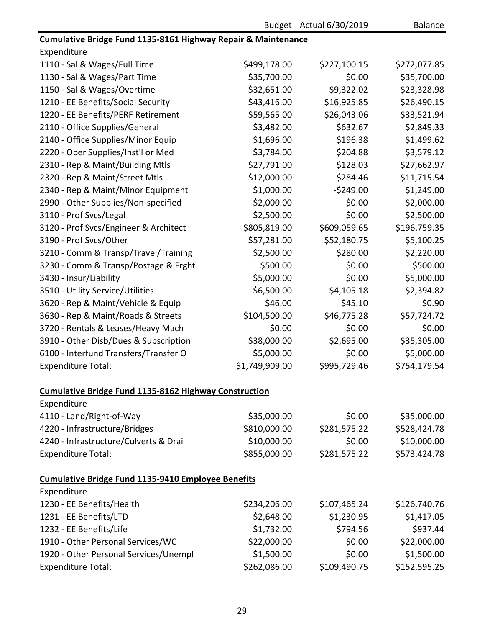| <b>Balance</b> |  |
|----------------|--|
|----------------|--|

| Cumulative Bridge Fund 1135-8161 Highway Repair & Maintenance |                |              |              |
|---------------------------------------------------------------|----------------|--------------|--------------|
| Expenditure                                                   |                |              |              |
| 1110 - Sal & Wages/Full Time                                  | \$499,178.00   | \$227,100.15 | \$272,077.85 |
| 1130 - Sal & Wages/Part Time                                  | \$35,700.00    | \$0.00       | \$35,700.00  |
| 1150 - Sal & Wages/Overtime                                   | \$32,651.00    | \$9,322.02   | \$23,328.98  |
| 1210 - EE Benefits/Social Security                            | \$43,416.00    | \$16,925.85  | \$26,490.15  |
| 1220 - EE Benefits/PERF Retirement                            | \$59,565.00    | \$26,043.06  | \$33,521.94  |
| 2110 - Office Supplies/General                                | \$3,482.00     | \$632.67     | \$2,849.33   |
| 2140 - Office Supplies/Minor Equip                            | \$1,696.00     | \$196.38     | \$1,499.62   |
| 2220 - Oper Supplies/Inst'l or Med                            | \$3,784.00     | \$204.88     | \$3,579.12   |
| 2310 - Rep & Maint/Building Mtls                              | \$27,791.00    | \$128.03     | \$27,662.97  |
| 2320 - Rep & Maint/Street Mtls                                | \$12,000.00    | \$284.46     | \$11,715.54  |
| 2340 - Rep & Maint/Minor Equipment                            | \$1,000.00     | $-5249.00$   | \$1,249.00   |
| 2990 - Other Supplies/Non-specified                           | \$2,000.00     | \$0.00       | \$2,000.00   |
| 3110 - Prof Svcs/Legal                                        | \$2,500.00     | \$0.00       | \$2,500.00   |
| 3120 - Prof Svcs/Engineer & Architect                         | \$805,819.00   | \$609,059.65 | \$196,759.35 |
| 3190 - Prof Svcs/Other                                        | \$57,281.00    | \$52,180.75  | \$5,100.25   |
| 3210 - Comm & Transp/Travel/Training                          | \$2,500.00     | \$280.00     | \$2,220.00   |
| 3230 - Comm & Transp/Postage & Frght                          | \$500.00       | \$0.00       | \$500.00     |
| 3430 - Insur/Liability                                        | \$5,000.00     | \$0.00       | \$5,000.00   |
| 3510 - Utility Service/Utilities                              | \$6,500.00     | \$4,105.18   | \$2,394.82   |
| 3620 - Rep & Maint/Vehicle & Equip                            | \$46.00        | \$45.10      | \$0.90       |
| 3630 - Rep & Maint/Roads & Streets                            | \$104,500.00   | \$46,775.28  | \$57,724.72  |
| 3720 - Rentals & Leases/Heavy Mach                            | \$0.00         | \$0.00       | \$0.00       |
| 3910 - Other Disb/Dues & Subscription                         | \$38,000.00    | \$2,695.00   | \$35,305.00  |
| 6100 - Interfund Transfers/Transfer O                         | \$5,000.00     | \$0.00       | \$5,000.00   |
| <b>Expenditure Total:</b>                                     | \$1,749,909.00 | \$995,729.46 | \$754,179.54 |
| <b>Cumulative Bridge Fund 1135-8162 Highway Construction</b>  |                |              |              |
| Expenditure                                                   |                |              |              |
| 4110 - Land/Right-of-Way                                      | \$35,000.00    | \$0.00       | \$35,000.00  |
| 4220 - Infrastructure/Bridges                                 | \$810,000.00   | \$281,575.22 | \$528,424.78 |
| 4240 - Infrastructure/Culverts & Drai                         | \$10,000.00    | \$0.00       | \$10,000.00  |
| <b>Expenditure Total:</b>                                     | \$855,000.00   | \$281,575.22 | \$573,424.78 |
| <b>Cumulative Bridge Fund 1135-9410 Employee Benefits</b>     |                |              |              |
| Expenditure                                                   |                |              |              |
| 1230 - EE Benefits/Health                                     | \$234,206.00   | \$107,465.24 | \$126,740.76 |
| 1231 - EE Benefits/LTD                                        | \$2,648.00     | \$1,230.95   | \$1,417.05   |
| 1232 - EE Benefits/Life                                       | \$1,732.00     | \$794.56     | \$937.44     |
| 1910 - Other Personal Services/WC                             | \$22,000.00    | \$0.00       | \$22,000.00  |
| 1920 - Other Personal Services/Unempl                         | \$1,500.00     | \$0.00       | \$1,500.00   |
| <b>Expenditure Total:</b>                                     | \$262,086.00   | \$109,490.75 | \$152,595.25 |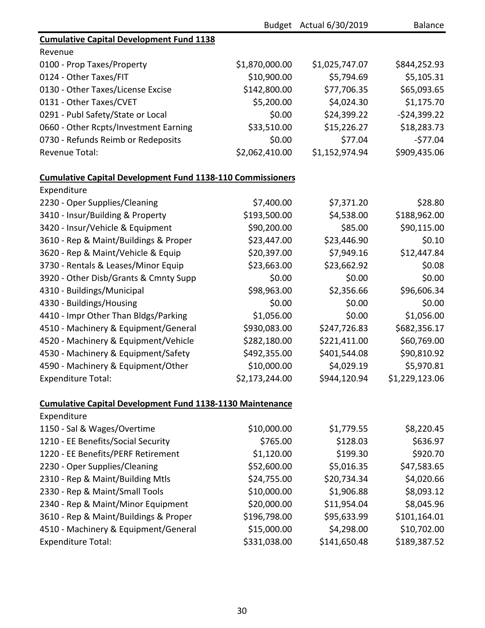|                                                                   |                | Budget Actual 6/30/2019 | <b>Balance</b> |
|-------------------------------------------------------------------|----------------|-------------------------|----------------|
| <b>Cumulative Capital Development Fund 1138</b>                   |                |                         |                |
| Revenue                                                           |                |                         |                |
| 0100 - Prop Taxes/Property                                        | \$1,870,000.00 | \$1,025,747.07          | \$844,252.93   |
| 0124 - Other Taxes/FIT                                            | \$10,900.00    | \$5,794.69              | \$5,105.31     |
| 0130 - Other Taxes/License Excise                                 | \$142,800.00   | \$77,706.35             | \$65,093.65    |
| 0131 - Other Taxes/CVET                                           | \$5,200.00     | \$4,024.30              | \$1,175.70     |
| 0291 - Publ Safety/State or Local                                 | \$0.00         | \$24,399.22             | $-524,399.22$  |
| 0660 - Other Rcpts/Investment Earning                             | \$33,510.00    | \$15,226.27             | \$18,283.73    |
| 0730 - Refunds Reimb or Redeposits                                | \$0.00         | \$77.04                 | $-577.04$      |
| Revenue Total:                                                    | \$2,062,410.00 | \$1,152,974.94          | \$909,435.06   |
| <b>Cumulative Capital Development Fund 1138-110 Commissioners</b> |                |                         |                |
| Expenditure                                                       |                |                         |                |
| 2230 - Oper Supplies/Cleaning                                     | \$7,400.00     | \$7,371.20              | \$28.80        |
| 3410 - Insur/Building & Property                                  | \$193,500.00   | \$4,538.00              | \$188,962.00   |
| 3420 - Insur/Vehicle & Equipment                                  | \$90,200.00    | \$85.00                 | \$90,115.00    |
| 3610 - Rep & Maint/Buildings & Proper                             | \$23,447.00    | \$23,446.90             | \$0.10         |
| 3620 - Rep & Maint/Vehicle & Equip                                | \$20,397.00    | \$7,949.16              | \$12,447.84    |
| 3730 - Rentals & Leases/Minor Equip                               | \$23,663.00    | \$23,662.92             | \$0.08         |
| 3920 - Other Disb/Grants & Cmnty Supp                             | \$0.00         | \$0.00                  | \$0.00         |
| 4310 - Buildings/Municipal                                        | \$98,963.00    | \$2,356.66              | \$96,606.34    |
| 4330 - Buildings/Housing                                          | \$0.00         | \$0.00                  | \$0.00         |
| 4410 - Impr Other Than Bldgs/Parking                              | \$1,056.00     | \$0.00                  | \$1,056.00     |
| 4510 - Machinery & Equipment/General                              | \$930,083.00   | \$247,726.83            | \$682,356.17   |
| 4520 - Machinery & Equipment/Vehicle                              | \$282,180.00   | \$221,411.00            | \$60,769.00    |
| 4530 - Machinery & Equipment/Safety                               | \$492,355.00   | \$401,544.08            | \$90,810.92    |
| 4590 - Machinery & Equipment/Other                                | \$10,000.00    | \$4,029.19              | \$5,970.81     |
| <b>Expenditure Total:</b>                                         | \$2,173,244.00 | \$944,120.94            | \$1,229,123.06 |
| <b>Cumulative Capital Development Fund 1138-1130 Maintenance</b>  |                |                         |                |
| Expenditure                                                       |                |                         |                |
| 1150 - Sal & Wages/Overtime                                       | \$10,000.00    | \$1,779.55              | \$8,220.45     |
| 1210 - EE Benefits/Social Security                                | \$765.00       | \$128.03                | \$636.97       |
| 1220 - EE Benefits/PERF Retirement                                | \$1,120.00     | \$199.30                | \$920.70       |
| 2230 - Oper Supplies/Cleaning                                     | \$52,600.00    | \$5,016.35              | \$47,583.65    |
| 2310 - Rep & Maint/Building Mtls                                  | \$24,755.00    | \$20,734.34             | \$4,020.66     |
| 2330 - Rep & Maint/Small Tools                                    | \$10,000.00    | \$1,906.88              | \$8,093.12     |
| 2340 - Rep & Maint/Minor Equipment                                | \$20,000.00    | \$11,954.04             | \$8,045.96     |
| 3610 - Rep & Maint/Buildings & Proper                             | \$196,798.00   | \$95,633.99             | \$101,164.01   |
| 4510 - Machinery & Equipment/General                              | \$15,000.00    | \$4,298.00              | \$10,702.00    |
| <b>Expenditure Total:</b>                                         | \$331,038.00   | \$141,650.48            | \$189,387.52   |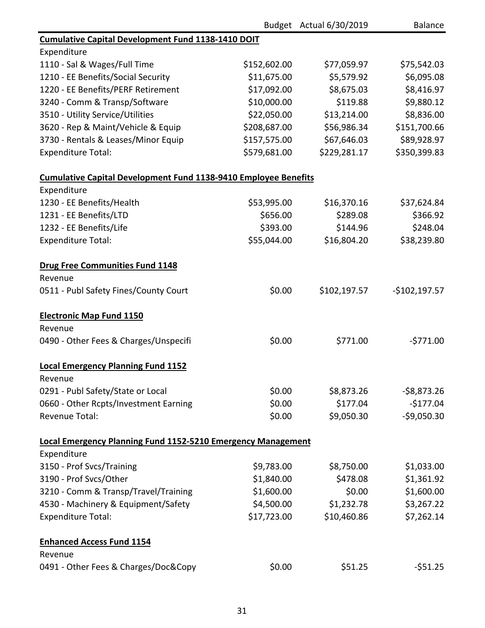|                                                                        |              | Budget Actual 6/30/2019 | <b>Balance</b> |
|------------------------------------------------------------------------|--------------|-------------------------|----------------|
| <b>Cumulative Capital Development Fund 1138-1410 DOIT</b>              |              |                         |                |
| Expenditure                                                            |              |                         |                |
| 1110 - Sal & Wages/Full Time                                           | \$152,602.00 | \$77,059.97             | \$75,542.03    |
| 1210 - EE Benefits/Social Security                                     | \$11,675.00  | \$5,579.92              | \$6,095.08     |
| 1220 - EE Benefits/PERF Retirement                                     | \$17,092.00  | \$8,675.03              | \$8,416.97     |
| 3240 - Comm & Transp/Software                                          | \$10,000.00  | \$119.88                | \$9,880.12     |
| 3510 - Utility Service/Utilities                                       | \$22,050.00  | \$13,214.00             | \$8,836.00     |
| 3620 - Rep & Maint/Vehicle & Equip                                     | \$208,687.00 | \$56,986.34             | \$151,700.66   |
| 3730 - Rentals & Leases/Minor Equip                                    | \$157,575.00 | \$67,646.03             | \$89,928.97    |
| <b>Expenditure Total:</b>                                              | \$579,681.00 | \$229,281.17            | \$350,399.83   |
| <b>Cumulative Capital Development Fund 1138-9410 Employee Benefits</b> |              |                         |                |
| Expenditure                                                            |              |                         |                |
| 1230 - EE Benefits/Health                                              | \$53,995.00  | \$16,370.16             | \$37,624.84    |
| 1231 - EE Benefits/LTD                                                 | \$656.00     | \$289.08                | \$366.92       |
| 1232 - EE Benefits/Life                                                | \$393.00     | \$144.96                | \$248.04       |
| <b>Expenditure Total:</b>                                              | \$55,044.00  | \$16,804.20             | \$38,239.80    |
| <b>Drug Free Communities Fund 1148</b>                                 |              |                         |                |
| Revenue                                                                |              |                         |                |
| 0511 - Publ Safety Fines/County Court                                  | \$0.00       | \$102,197.57            | $-$102,197.57$ |
| <b>Electronic Map Fund 1150</b>                                        |              |                         |                |
| Revenue                                                                |              |                         |                |
| 0490 - Other Fees & Charges/Unspecifi                                  | \$0.00       | \$771.00                | $-5771.00$     |
| <b>Local Emergency Planning Fund 1152</b>                              |              |                         |                |
| Revenue                                                                |              |                         |                |
| 0291 - Publ Safety/State or Local                                      | \$0.00       | \$8,873.26              | $-58,873.26$   |
| 0660 - Other Rcpts/Investment Earning                                  | \$0.00       | \$177.04                | $-$177.04$     |
| Revenue Total:                                                         | \$0.00       | \$9,050.30              | $-59,050.30$   |
| <b>Local Emergency Planning Fund 1152-5210 Emergency Management</b>    |              |                         |                |
| Expenditure                                                            |              |                         |                |
| 3150 - Prof Svcs/Training                                              | \$9,783.00   | \$8,750.00              | \$1,033.00     |
| 3190 - Prof Svcs/Other                                                 | \$1,840.00   | \$478.08                | \$1,361.92     |
| 3210 - Comm & Transp/Travel/Training                                   | \$1,600.00   | \$0.00                  | \$1,600.00     |
| 4530 - Machinery & Equipment/Safety                                    | \$4,500.00   | \$1,232.78              | \$3,267.22     |
| <b>Expenditure Total:</b>                                              | \$17,723.00  | \$10,460.86             | \$7,262.14     |
| <b>Enhanced Access Fund 1154</b>                                       |              |                         |                |
| Revenue                                                                |              |                         |                |
| 0491 - Other Fees & Charges/Doc&Copy                                   | \$0.00       | \$51.25                 | $-551.25$      |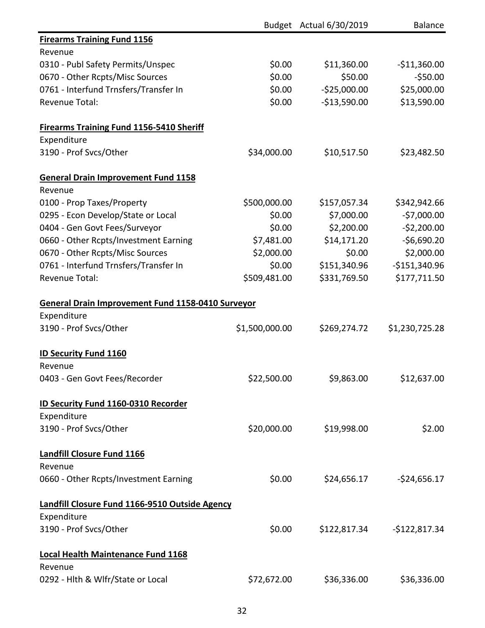|                                                          |                | Budget Actual 6/30/2019 | <b>Balance</b> |
|----------------------------------------------------------|----------------|-------------------------|----------------|
| <b>Firearms Training Fund 1156</b>                       |                |                         |                |
| Revenue                                                  |                |                         |                |
| 0310 - Publ Safety Permits/Unspec                        | \$0.00         | \$11,360.00             | $-$11,360.00$  |
| 0670 - Other Rcpts/Misc Sources                          | \$0.00         | \$50.00                 | $-550.00$      |
| 0761 - Interfund Trnsfers/Transfer In                    | \$0.00         | $-$25,000.00$           | \$25,000.00    |
| <b>Revenue Total:</b>                                    | \$0.00         | $-$13,590.00$           | \$13,590.00    |
| <b>Firearms Training Fund 1156-5410 Sheriff</b>          |                |                         |                |
| Expenditure                                              |                |                         |                |
| 3190 - Prof Svcs/Other                                   | \$34,000.00    | \$10,517.50             | \$23,482.50    |
| <b>General Drain Improvement Fund 1158</b>               |                |                         |                |
| Revenue                                                  |                |                         |                |
| 0100 - Prop Taxes/Property                               | \$500,000.00   | \$157,057.34            | \$342,942.66   |
| 0295 - Econ Develop/State or Local                       | \$0.00         | \$7,000.00              | $-57,000.00$   |
| 0404 - Gen Govt Fees/Surveyor                            | \$0.00         | \$2,200.00              | $-52,200.00$   |
| 0660 - Other Rcpts/Investment Earning                    | \$7,481.00     | \$14,171.20             | $-56,690.20$   |
| 0670 - Other Rcpts/Misc Sources                          | \$2,000.00     | \$0.00                  | \$2,000.00     |
| 0761 - Interfund Trnsfers/Transfer In                    | \$0.00         | \$151,340.96            | $-$151,340.96$ |
| Revenue Total:                                           | \$509,481.00   | \$331,769.50            | \$177,711.50   |
| <b>General Drain Improvement Fund 1158-0410 Surveyor</b> |                |                         |                |
| Expenditure                                              |                |                         |                |
| 3190 - Prof Svcs/Other                                   | \$1,500,000.00 | \$269,274.72            | \$1,230,725.28 |
| <b>ID Security Fund 1160</b>                             |                |                         |                |
| Revenue                                                  |                |                         |                |
| 0403 - Gen Govt Fees/Recorder                            | \$22,500.00    | \$9,863.00              | \$12,637.00    |
| <b>ID Security Fund 1160-0310 Recorder</b>               |                |                         |                |
| Expenditure                                              |                |                         |                |
| 3190 - Prof Svcs/Other                                   | \$20,000.00    | \$19,998.00             | \$2.00         |
| <b>Landfill Closure Fund 1166</b>                        |                |                         |                |
| Revenue                                                  |                |                         |                |
| 0660 - Other Rcpts/Investment Earning                    | \$0.00         | \$24,656.17             | $-524,656.17$  |
| Landfill Closure Fund 1166-9510 Outside Agency           |                |                         |                |
| Expenditure                                              |                |                         |                |
| 3190 - Prof Svcs/Other                                   | \$0.00         | \$122,817.34            | $-$122,817.34$ |
| <b>Local Health Maintenance Fund 1168</b>                |                |                         |                |
| Revenue                                                  |                |                         |                |
| 0292 - Hlth & Wlfr/State or Local                        | \$72,672.00    | \$36,336.00             | \$36,336.00    |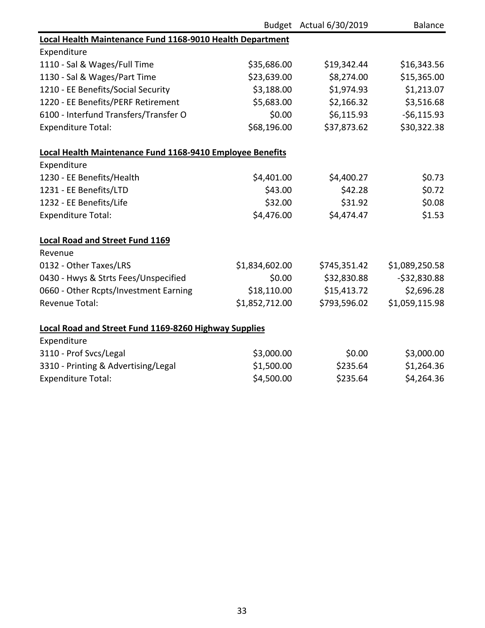|                                                              |                | Budget Actual 6/30/2019 | <b>Balance</b> |
|--------------------------------------------------------------|----------------|-------------------------|----------------|
| Local Health Maintenance Fund 1168-9010 Health Department    |                |                         |                |
| Expenditure                                                  |                |                         |                |
| 1110 - Sal & Wages/Full Time                                 | \$35,686.00    | \$19,342.44             | \$16,343.56    |
| 1130 - Sal & Wages/Part Time                                 | \$23,639.00    | \$8,274.00              | \$15,365.00    |
| 1210 - EE Benefits/Social Security                           | \$3,188.00     | \$1,974.93              | \$1,213.07     |
| 1220 - EE Benefits/PERF Retirement                           | \$5,683.00     | \$2,166.32              | \$3,516.68     |
| 6100 - Interfund Transfers/Transfer O                        | \$0.00         | \$6,115.93              | $-56,115.93$   |
| <b>Expenditure Total:</b>                                    | \$68,196.00    | \$37,873.62             | \$30,322.38    |
| Local Health Maintenance Fund 1168-9410 Employee Benefits    |                |                         |                |
| Expenditure                                                  |                |                         |                |
| 1230 - EE Benefits/Health                                    | \$4,401.00     | \$4,400.27              | \$0.73         |
| 1231 - EE Benefits/LTD                                       | \$43.00        | \$42.28                 | \$0.72         |
| 1232 - EE Benefits/Life                                      | \$32.00        | \$31.92                 | \$0.08         |
| <b>Expenditure Total:</b>                                    | \$4,476.00     | \$4,474.47              | \$1.53         |
| <b>Local Road and Street Fund 1169</b>                       |                |                         |                |
| Revenue                                                      |                |                         |                |
| 0132 - Other Taxes/LRS                                       | \$1,834,602.00 | \$745,351.42            | \$1,089,250.58 |
| 0430 - Hwys & Strts Fees/Unspecified                         | \$0.00         | \$32,830.88             | $-532,830.88$  |
| 0660 - Other Rcpts/Investment Earning                        | \$18,110.00    | \$15,413.72             | \$2,696.28     |
| <b>Revenue Total:</b>                                        | \$1,852,712.00 | \$793,596.02            | \$1,059,115.98 |
| <b>Local Road and Street Fund 1169-8260 Highway Supplies</b> |                |                         |                |
| Expenditure                                                  |                |                         |                |
| 3110 - Prof Svcs/Legal                                       | \$3,000.00     | \$0.00                  | \$3,000.00     |
| 3310 - Printing & Advertising/Legal                          | \$1,500.00     | \$235.64                | \$1,264.36     |
| <b>Expenditure Total:</b>                                    | \$4,500.00     | \$235.64                | \$4,264.36     |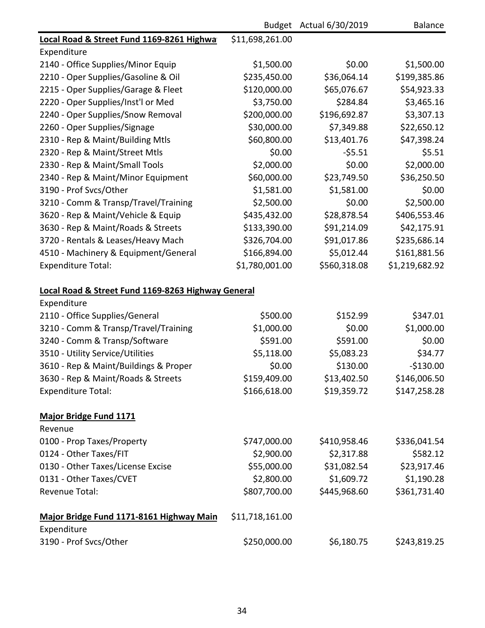|                                                         |                 | Budget Actual 6/30/2019 | <b>Balance</b> |
|---------------------------------------------------------|-----------------|-------------------------|----------------|
| Local Road & Street Fund 1169-8261 Highwa               | \$11,698,261.00 |                         |                |
| Expenditure                                             |                 |                         |                |
| 2140 - Office Supplies/Minor Equip                      | \$1,500.00      | \$0.00                  | \$1,500.00     |
| 2210 - Oper Supplies/Gasoline & Oil                     | \$235,450.00    | \$36,064.14             | \$199,385.86   |
| 2215 - Oper Supplies/Garage & Fleet                     | \$120,000.00    | \$65,076.67             | \$54,923.33    |
| 2220 - Oper Supplies/Inst'l or Med                      | \$3,750.00      | \$284.84                | \$3,465.16     |
| 2240 - Oper Supplies/Snow Removal                       | \$200,000.00    | \$196,692.87            | \$3,307.13     |
| 2260 - Oper Supplies/Signage                            | \$30,000.00     | \$7,349.88              | \$22,650.12    |
| 2310 - Rep & Maint/Building Mtls                        | \$60,800.00     | \$13,401.76             | \$47,398.24    |
| 2320 - Rep & Maint/Street Mtls                          | \$0.00          | $-55.51$                | \$5.51         |
| 2330 - Rep & Maint/Small Tools                          | \$2,000.00      | \$0.00                  | \$2,000.00     |
| 2340 - Rep & Maint/Minor Equipment                      | \$60,000.00     | \$23,749.50             | \$36,250.50    |
| 3190 - Prof Svcs/Other                                  | \$1,581.00      | \$1,581.00              | \$0.00         |
| 3210 - Comm & Transp/Travel/Training                    | \$2,500.00      | \$0.00                  | \$2,500.00     |
| 3620 - Rep & Maint/Vehicle & Equip                      | \$435,432.00    | \$28,878.54             | \$406,553.46   |
| 3630 - Rep & Maint/Roads & Streets                      | \$133,390.00    | \$91,214.09             | \$42,175.91    |
| 3720 - Rentals & Leases/Heavy Mach                      | \$326,704.00    | \$91,017.86             | \$235,686.14   |
| 4510 - Machinery & Equipment/General                    | \$166,894.00    | \$5,012.44              | \$161,881.56   |
| <b>Expenditure Total:</b>                               | \$1,780,001.00  | \$560,318.08            | \$1,219,682.92 |
| Local Road & Street Fund 1169-8263 Highway General      |                 |                         |                |
| Expenditure                                             |                 |                         |                |
| 2110 - Office Supplies/General                          | \$500.00        | \$152.99                | \$347.01       |
| 3210 - Comm & Transp/Travel/Training                    | \$1,000.00      | \$0.00                  | \$1,000.00     |
| 3240 - Comm & Transp/Software                           | \$591.00        | \$591.00                | \$0.00         |
| 3510 - Utility Service/Utilities                        | \$5,118.00      | \$5,083.23              | \$34.77        |
| 3610 - Rep & Maint/Buildings & Proper                   | \$0.00          | \$130.00                | $-$130.00$     |
| 3630 - Rep & Maint/Roads & Streets                      | \$159,409.00    | \$13,402.50             | \$146,006.50   |
| <b>Expenditure Total:</b>                               | \$166,618.00    | \$19,359.72             | \$147,258.28   |
| <b>Major Bridge Fund 1171</b>                           |                 |                         |                |
| Revenue                                                 |                 |                         |                |
| 0100 - Prop Taxes/Property                              | \$747,000.00    | \$410,958.46            | \$336,041.54   |
| 0124 - Other Taxes/FIT                                  | \$2,900.00      | \$2,317.88              | \$582.12       |
| 0130 - Other Taxes/License Excise                       | \$55,000.00     | \$31,082.54             | \$23,917.46    |
| 0131 - Other Taxes/CVET                                 | \$2,800.00      | \$1,609.72              | \$1,190.28     |
| <b>Revenue Total:</b>                                   | \$807,700.00    | \$445,968.60            | \$361,731.40   |
| Major Bridge Fund 1171-8161 Highway Main<br>Expenditure | \$11,718,161.00 |                         |                |
| 3190 - Prof Svcs/Other                                  | \$250,000.00    | \$6,180.75              | \$243,819.25   |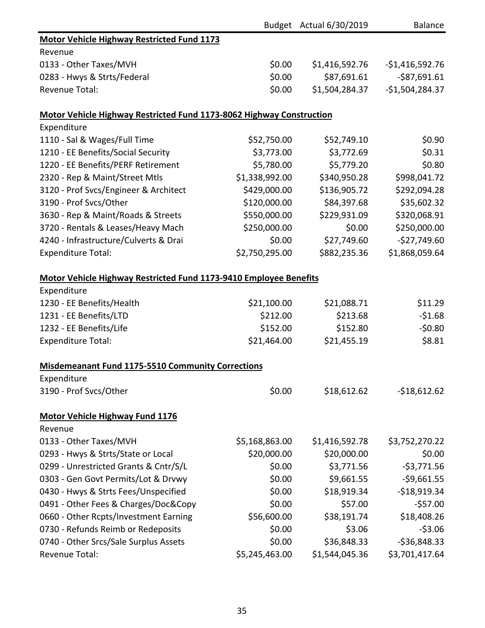|                                                                      |                | Budget Actual 6/30/2019 | <b>Balance</b>   |
|----------------------------------------------------------------------|----------------|-------------------------|------------------|
| <b>Motor Vehicle Highway Restricted Fund 1173</b>                    |                |                         |                  |
| Revenue                                                              |                |                         |                  |
| 0133 - Other Taxes/MVH                                               | \$0.00         | \$1,416,592.76          | $-$1,416,592.76$ |
| 0283 - Hwys & Strts/Federal                                          | \$0.00         | \$87,691.61             | $-$ \$87,691.61  |
| <b>Revenue Total:</b>                                                | \$0.00         | \$1,504,284.37          | $-$1,504,284.37$ |
| Motor Vehicle Highway Restricted Fund 1173-8062 Highway Construction |                |                         |                  |
| Expenditure                                                          |                |                         |                  |
| 1110 - Sal & Wages/Full Time                                         | \$52,750.00    | \$52,749.10             | \$0.90           |
| 1210 - EE Benefits/Social Security                                   | \$3,773.00     | \$3,772.69              | \$0.31           |
| 1220 - EE Benefits/PERF Retirement                                   | \$5,780.00     | \$5,779.20              | \$0.80           |
| 2320 - Rep & Maint/Street Mtls                                       | \$1,338,992.00 | \$340,950.28            | \$998,041.72     |
| 3120 - Prof Svcs/Engineer & Architect                                | \$429,000.00   | \$136,905.72            | \$292,094.28     |
| 3190 - Prof Svcs/Other                                               | \$120,000.00   | \$84,397.68             | \$35,602.32      |
| 3630 - Rep & Maint/Roads & Streets                                   | \$550,000.00   | \$229,931.09            | \$320,068.91     |
| 3720 - Rentals & Leases/Heavy Mach                                   | \$250,000.00   | \$0.00                  | \$250,000.00     |
| 4240 - Infrastructure/Culverts & Drai                                | \$0.00         | \$27,749.60             | $-$27,749.60$    |
| <b>Expenditure Total:</b>                                            | \$2,750,295.00 | \$882,235.36            | \$1,868,059.64   |
| Motor Vehicle Highway Restricted Fund 1173-9410 Employee Benefits    |                |                         |                  |
| Expenditure                                                          |                |                         |                  |
| 1230 - EE Benefits/Health                                            | \$21,100.00    | \$21,088.71             | \$11.29          |
| 1231 - EE Benefits/LTD                                               | \$212.00       | \$213.68                | $-51.68$         |
| 1232 - EE Benefits/Life                                              | \$152.00       | \$152.80                | $-50.80$         |
| <b>Expenditure Total:</b>                                            | \$21,464.00    | \$21,455.19             | \$8.81           |
| <b>Misdemeanant Fund 1175-5510 Community Corrections</b>             |                |                         |                  |
| Expenditure                                                          |                |                         |                  |
| 3190 - Prof Svcs/Other                                               | \$0.00         | \$18,612.62             | $-$18,612.62$    |
| <b>Motor Vehicle Highway Fund 1176</b>                               |                |                         |                  |
| Revenue                                                              |                |                         |                  |
| 0133 - Other Taxes/MVH                                               | \$5,168,863.00 | \$1,416,592.78          | \$3,752,270.22   |
| 0293 - Hwys & Strts/State or Local                                   | \$20,000.00    | \$20,000.00             | \$0.00           |
| 0299 - Unrestricted Grants & Cntr/S/L                                | \$0.00         | \$3,771.56              | $-53,771.56$     |
| 0303 - Gen Govt Permits/Lot & Drvwy                                  | \$0.00         | \$9,661.55              | $-59,661.55$     |
| 0430 - Hwys & Strts Fees/Unspecified                                 | \$0.00         | \$18,919.34             | $-$18,919.34$    |
| 0491 - Other Fees & Charges/Doc&Copy                                 | \$0.00         | \$57.00                 | $-$57.00$        |
| 0660 - Other Rcpts/Investment Earning                                | \$56,600.00    | \$38,191.74             | \$18,408.26      |
| 0730 - Refunds Reimb or Redeposits                                   | \$0.00         | \$3.06                  | $-53.06$         |
| 0740 - Other Srcs/Sale Surplus Assets                                | \$0.00         | \$36,848.33             | $-536,848.33$    |
| Revenue Total:                                                       | \$5,245,463.00 | \$1,544,045.36          | \$3,701,417.64   |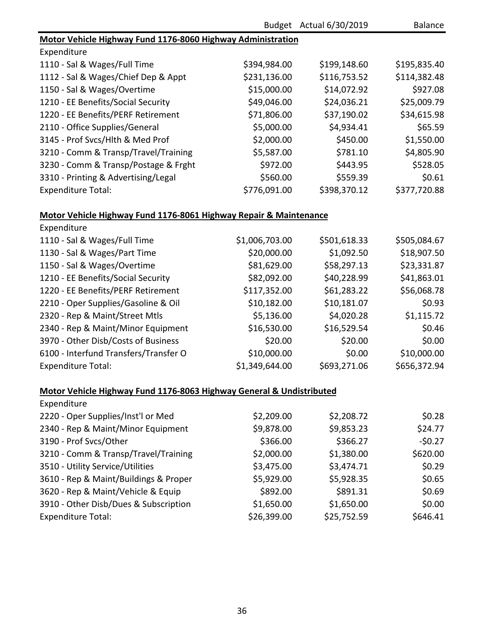|                                                                      |                | Budget Actual 6/30/2019 | <b>Balance</b> |
|----------------------------------------------------------------------|----------------|-------------------------|----------------|
| Motor Vehicle Highway Fund 1176-8060 Highway Administration          |                |                         |                |
| Expenditure                                                          |                |                         |                |
| 1110 - Sal & Wages/Full Time                                         | \$394,984.00   | \$199,148.60            | \$195,835.40   |
| 1112 - Sal & Wages/Chief Dep & Appt                                  | \$231,136.00   | \$116,753.52            | \$114,382.48   |
| 1150 - Sal & Wages/Overtime                                          | \$15,000.00    | \$14,072.92             | \$927.08       |
| 1210 - EE Benefits/Social Security                                   | \$49,046.00    | \$24,036.21             | \$25,009.79    |
| 1220 - EE Benefits/PERF Retirement                                   | \$71,806.00    | \$37,190.02             | \$34,615.98    |
| 2110 - Office Supplies/General                                       | \$5,000.00     | \$4,934.41              | \$65.59        |
| 3145 - Prof Svcs/Hlth & Med Prof                                     | \$2,000.00     | \$450.00                | \$1,550.00     |
| 3210 - Comm & Transp/Travel/Training                                 | \$5,587.00     | \$781.10                | \$4,805.90     |
| 3230 - Comm & Transp/Postage & Frght                                 | \$972.00       | \$443.95                | \$528.05       |
| 3310 - Printing & Advertising/Legal                                  | \$560.00       | \$559.39                | \$0.61         |
| <b>Expenditure Total:</b>                                            | \$776,091.00   | \$398,370.12            | \$377,720.88   |
| Motor Vehicle Highway Fund 1176-8061 Highway Repair & Maintenance    |                |                         |                |
| Expenditure                                                          |                |                         |                |
| 1110 - Sal & Wages/Full Time                                         | \$1,006,703.00 | \$501,618.33            | \$505,084.67   |
| 1130 - Sal & Wages/Part Time                                         | \$20,000.00    | \$1,092.50              | \$18,907.50    |
| 1150 - Sal & Wages/Overtime                                          | \$81,629.00    | \$58,297.13             | \$23,331.87    |
| 1210 - EE Benefits/Social Security                                   | \$82,092.00    | \$40,228.99             | \$41,863.01    |
| 1220 - EE Benefits/PERF Retirement                                   | \$117,352.00   | \$61,283.22             | \$56,068.78    |
| 2210 - Oper Supplies/Gasoline & Oil                                  | \$10,182.00    | \$10,181.07             | \$0.93         |
| 2320 - Rep & Maint/Street Mtls                                       | \$5,136.00     | \$4,020.28              | \$1,115.72     |
| 2340 - Rep & Maint/Minor Equipment                                   | \$16,530.00    | \$16,529.54             | \$0.46         |
| 3970 - Other Disb/Costs of Business                                  | \$20.00        | \$20.00                 | \$0.00         |
| 6100 - Interfund Transfers/Transfer O                                | \$10,000.00    | \$0.00                  | \$10,000.00    |
| <b>Expenditure Total:</b>                                            | \$1,349,644.00 | \$693,271.06            | \$656,372.94   |
| Motor Vehicle Highway Fund 1176-8063 Highway General & Undistributed |                |                         |                |
| Expenditure                                                          |                |                         |                |
| 2220 - Oper Supplies/Inst'l or Med                                   | \$2,209.00     | \$2,208.72              | \$0.28         |
| 2340 - Rep & Maint/Minor Equipment                                   | \$9,878.00     | \$9,853.23              | \$24.77        |
| 3190 - Prof Svcs/Other                                               | \$366.00       | \$366.27                | $-50.27$       |
| 3210 - Comm & Transp/Travel/Training                                 | \$2,000.00     | \$1,380.00              | \$620.00       |
| 3510 - Utility Service/Utilities                                     | \$3,475.00     | \$3,474.71              | \$0.29         |
| 3610 - Rep & Maint/Buildings & Proper                                | \$5,929.00     | \$5,928.35              | \$0.65         |
| 3620 - Rep & Maint/Vehicle & Equip                                   | \$892.00       | \$891.31                | \$0.69         |
| 3910 - Other Disb/Dues & Subscription                                | \$1,650.00     | \$1,650.00              | \$0.00         |
| <b>Expenditure Total:</b>                                            | \$26,399.00    | \$25,752.59             | \$646.41       |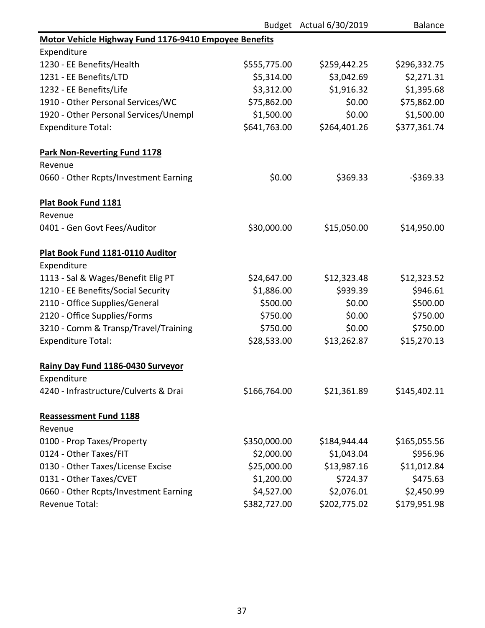|                                                       |              | Budget Actual 6/30/2019 | <b>Balance</b> |
|-------------------------------------------------------|--------------|-------------------------|----------------|
| Motor Vehicle Highway Fund 1176-9410 Empoyee Benefits |              |                         |                |
| Expenditure                                           |              |                         |                |
| 1230 - EE Benefits/Health                             | \$555,775.00 | \$259,442.25            | \$296,332.75   |
| 1231 - EE Benefits/LTD                                | \$5,314.00   | \$3,042.69              | \$2,271.31     |
| 1232 - EE Benefits/Life                               | \$3,312.00   | \$1,916.32              | \$1,395.68     |
| 1910 - Other Personal Services/WC                     | \$75,862.00  | \$0.00                  | \$75,862.00    |
| 1920 - Other Personal Services/Unempl                 | \$1,500.00   | \$0.00                  | \$1,500.00     |
| <b>Expenditure Total:</b>                             | \$641,763.00 | \$264,401.26            | \$377,361.74   |
| <b>Park Non-Reverting Fund 1178</b>                   |              |                         |                |
| Revenue                                               |              |                         |                |
| 0660 - Other Rcpts/Investment Earning                 | \$0.00       | \$369.33                | $-$ \$369.33   |
| Plat Book Fund 1181                                   |              |                         |                |
| Revenue                                               |              |                         |                |
| 0401 - Gen Govt Fees/Auditor                          | \$30,000.00  | \$15,050.00             | \$14,950.00    |
| Plat Book Fund 1181-0110 Auditor                      |              |                         |                |
| Expenditure                                           |              |                         |                |
| 1113 - Sal & Wages/Benefit Elig PT                    | \$24,647.00  | \$12,323.48             | \$12,323.52    |
| 1210 - EE Benefits/Social Security                    | \$1,886.00   | \$939.39                | \$946.61       |
| 2110 - Office Supplies/General                        | \$500.00     | \$0.00                  | \$500.00       |
| 2120 - Office Supplies/Forms                          | \$750.00     | \$0.00                  | \$750.00       |
| 3210 - Comm & Transp/Travel/Training                  | \$750.00     | \$0.00                  | \$750.00       |
| <b>Expenditure Total:</b>                             | \$28,533.00  | \$13,262.87             | \$15,270.13    |
| Rainy Day Fund 1186-0430 Surveyor                     |              |                         |                |
| Expenditure                                           |              |                         |                |
| 4240 - Infrastructure/Culverts & Drai                 | \$166,764.00 | \$21,361.89             | \$145,402.11   |
| <b>Reassessment Fund 1188</b>                         |              |                         |                |
| Revenue                                               |              |                         |                |
| 0100 - Prop Taxes/Property                            | \$350,000.00 | \$184,944.44            | \$165,055.56   |
| 0124 - Other Taxes/FIT                                | \$2,000.00   | \$1,043.04              | \$956.96       |
| 0130 - Other Taxes/License Excise                     | \$25,000.00  | \$13,987.16             | \$11,012.84    |
| 0131 - Other Taxes/CVET                               | \$1,200.00   | \$724.37                | \$475.63       |
| 0660 - Other Rcpts/Investment Earning                 | \$4,527.00   | \$2,076.01              | \$2,450.99     |
| <b>Revenue Total:</b>                                 | \$382,727.00 | \$202,775.02            | \$179,951.98   |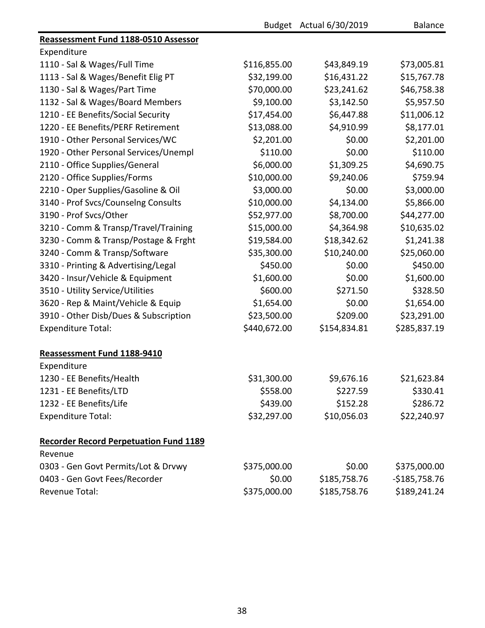|                                               |              | Budget Actual 6/30/2019 | <b>Balance</b> |
|-----------------------------------------------|--------------|-------------------------|----------------|
| Reassessment Fund 1188-0510 Assessor          |              |                         |                |
| Expenditure                                   |              |                         |                |
| 1110 - Sal & Wages/Full Time                  | \$116,855.00 | \$43,849.19             | \$73,005.81    |
| 1113 - Sal & Wages/Benefit Elig PT            | \$32,199.00  | \$16,431.22             | \$15,767.78    |
| 1130 - Sal & Wages/Part Time                  | \$70,000.00  | \$23,241.62             | \$46,758.38    |
| 1132 - Sal & Wages/Board Members              | \$9,100.00   | \$3,142.50              | \$5,957.50     |
| 1210 - EE Benefits/Social Security            | \$17,454.00  | \$6,447.88              | \$11,006.12    |
| 1220 - EE Benefits/PERF Retirement            | \$13,088.00  | \$4,910.99              | \$8,177.01     |
| 1910 - Other Personal Services/WC             | \$2,201.00   | \$0.00                  | \$2,201.00     |
| 1920 - Other Personal Services/Unempl         | \$110.00     | \$0.00                  | \$110.00       |
| 2110 - Office Supplies/General                | \$6,000.00   | \$1,309.25              | \$4,690.75     |
| 2120 - Office Supplies/Forms                  | \$10,000.00  | \$9,240.06              | \$759.94       |
| 2210 - Oper Supplies/Gasoline & Oil           | \$3,000.00   | \$0.00                  | \$3,000.00     |
| 3140 - Prof Svcs/Counselng Consults           | \$10,000.00  | \$4,134.00              | \$5,866.00     |
| 3190 - Prof Svcs/Other                        | \$52,977.00  | \$8,700.00              | \$44,277.00    |
| 3210 - Comm & Transp/Travel/Training          | \$15,000.00  | \$4,364.98              | \$10,635.02    |
| 3230 - Comm & Transp/Postage & Frght          | \$19,584.00  | \$18,342.62             | \$1,241.38     |
| 3240 - Comm & Transp/Software                 | \$35,300.00  | \$10,240.00             | \$25,060.00    |
| 3310 - Printing & Advertising/Legal           | \$450.00     | \$0.00                  | \$450.00       |
| 3420 - Insur/Vehicle & Equipment              | \$1,600.00   | \$0.00                  | \$1,600.00     |
| 3510 - Utility Service/Utilities              | \$600.00     | \$271.50                | \$328.50       |
| 3620 - Rep & Maint/Vehicle & Equip            | \$1,654.00   | \$0.00                  | \$1,654.00     |
| 3910 - Other Disb/Dues & Subscription         | \$23,500.00  | \$209.00                | \$23,291.00    |
| <b>Expenditure Total:</b>                     | \$440,672.00 | \$154,834.81            | \$285,837.19   |
| Reassessment Fund 1188-9410                   |              |                         |                |
| Expenditure                                   |              |                         |                |
| 1230 - EE Benefits/Health                     | \$31,300.00  | \$9,676.16              | \$21,623.84    |
| 1231 - EE Benefits/LTD                        | \$558.00     | \$227.59                | \$330.41       |
| 1232 - EE Benefits/Life                       | \$439.00     | \$152.28                | \$286.72       |
| <b>Expenditure Total:</b>                     | \$32,297.00  | \$10,056.03             | \$22,240.97    |
| <b>Recorder Record Perpetuation Fund 1189</b> |              |                         |                |
| Revenue                                       |              |                         |                |
| 0303 - Gen Govt Permits/Lot & Drvwy           | \$375,000.00 | \$0.00                  | \$375,000.00   |
| 0403 - Gen Govt Fees/Recorder                 | \$0.00       | \$185,758.76            | $-$185,758.76$ |
| <b>Revenue Total:</b>                         | \$375,000.00 | \$185,758.76            | \$189,241.24   |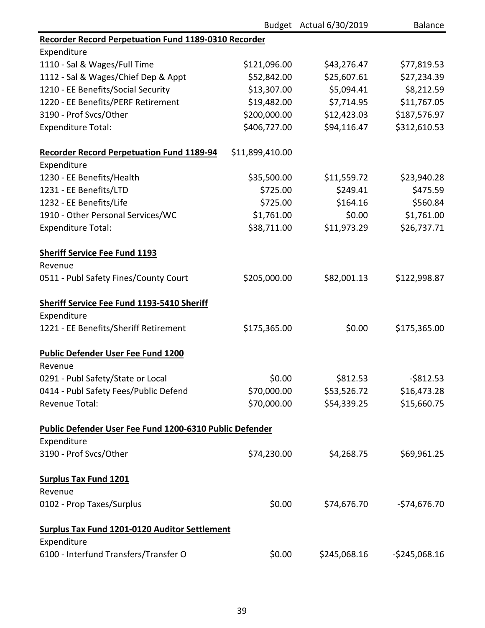|                                                             |                 | Budget Actual 6/30/2019 | <b>Balance</b> |
|-------------------------------------------------------------|-----------------|-------------------------|----------------|
| <b>Recorder Record Perpetuation Fund 1189-0310 Recorder</b> |                 |                         |                |
| Expenditure                                                 |                 |                         |                |
| 1110 - Sal & Wages/Full Time                                | \$121,096.00    | \$43,276.47             | \$77,819.53    |
| 1112 - Sal & Wages/Chief Dep & Appt                         | \$52,842.00     | \$25,607.61             | \$27,234.39    |
| 1210 - EE Benefits/Social Security                          | \$13,307.00     | \$5,094.41              | \$8,212.59     |
| 1220 - EE Benefits/PERF Retirement                          | \$19,482.00     | \$7,714.95              | \$11,767.05    |
| 3190 - Prof Svcs/Other                                      | \$200,000.00    | \$12,423.03             | \$187,576.97   |
| <b>Expenditure Total:</b>                                   | \$406,727.00    | \$94,116.47             | \$312,610.53   |
| <b>Recorder Record Perpetuation Fund 1189-94</b>            | \$11,899,410.00 |                         |                |
| Expenditure                                                 |                 |                         |                |
| 1230 - EE Benefits/Health                                   | \$35,500.00     | \$11,559.72             | \$23,940.28    |
| 1231 - EE Benefits/LTD                                      | \$725.00        | \$249.41                | \$475.59       |
| 1232 - EE Benefits/Life                                     | \$725.00        | \$164.16                | \$560.84       |
| 1910 - Other Personal Services/WC                           | \$1,761.00      | \$0.00                  | \$1,761.00     |
| <b>Expenditure Total:</b>                                   | \$38,711.00     | \$11,973.29             | \$26,737.71    |
| <b>Sheriff Service Fee Fund 1193</b>                        |                 |                         |                |
| Revenue                                                     |                 |                         |                |
| 0511 - Publ Safety Fines/County Court                       | \$205,000.00    | \$82,001.13             | \$122,998.87   |
| <b>Sheriff Service Fee Fund 1193-5410 Sheriff</b>           |                 |                         |                |
| Expenditure                                                 |                 |                         |                |
| 1221 - EE Benefits/Sheriff Retirement                       | \$175,365.00    | \$0.00                  | \$175,365.00   |
| <b>Public Defender User Fee Fund 1200</b>                   |                 |                         |                |
| Revenue                                                     |                 |                         |                |
| 0291 - Publ Safety/State or Local                           | \$0.00          | \$812.53                | $-$ \$812.53   |
| 0414 - Publ Safety Fees/Public Defend                       | \$70,000.00     | \$53,526.72             | \$16,473.28    |
| <b>Revenue Total:</b>                                       | \$70,000.00     | \$54,339.25             | \$15,660.75    |
| Public Defender User Fee Fund 1200-6310 Public Defender     |                 |                         |                |
| Expenditure                                                 |                 |                         |                |
| 3190 - Prof Svcs/Other                                      | \$74,230.00     | \$4,268.75              | \$69,961.25    |
| <b>Surplus Tax Fund 1201</b>                                |                 |                         |                |
| Revenue                                                     |                 |                         |                |
| 0102 - Prop Taxes/Surplus                                   | \$0.00          | \$74,676.70             | $-574,676.70$  |
| <b>Surplus Tax Fund 1201-0120 Auditor Settlement</b>        |                 |                         |                |
| Expenditure                                                 |                 |                         |                |
| 6100 - Interfund Transfers/Transfer O                       | \$0.00          | \$245,068.16            | $-5245,068.16$ |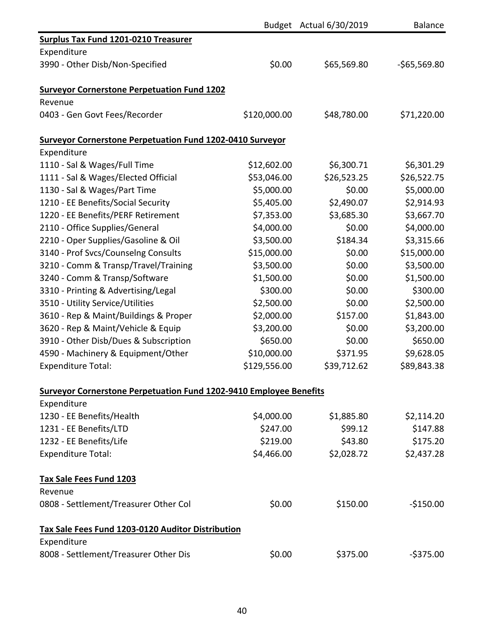|                                                                           |              | Budget Actual 6/30/2019 | <b>Balance</b> |
|---------------------------------------------------------------------------|--------------|-------------------------|----------------|
| <b>Surplus Tax Fund 1201-0210 Treasurer</b>                               |              |                         |                |
| Expenditure                                                               |              |                         |                |
| 3990 - Other Disb/Non-Specified                                           | \$0.00       | \$65,569.80             | $-565,569.80$  |
| <b>Surveyor Cornerstone Perpetuation Fund 1202</b>                        |              |                         |                |
| Revenue                                                                   |              |                         |                |
| 0403 - Gen Govt Fees/Recorder                                             | \$120,000.00 | \$48,780.00             | \$71,220.00    |
| <b>Surveyor Cornerstone Perpetuation Fund 1202-0410 Surveyor</b>          |              |                         |                |
| Expenditure                                                               |              |                         |                |
| 1110 - Sal & Wages/Full Time                                              | \$12,602.00  | \$6,300.71              | \$6,301.29     |
| 1111 - Sal & Wages/Elected Official                                       | \$53,046.00  | \$26,523.25             | \$26,522.75    |
| 1130 - Sal & Wages/Part Time                                              | \$5,000.00   | \$0.00                  | \$5,000.00     |
| 1210 - EE Benefits/Social Security                                        | \$5,405.00   | \$2,490.07              | \$2,914.93     |
| 1220 - EE Benefits/PERF Retirement                                        | \$7,353.00   | \$3,685.30              | \$3,667.70     |
| 2110 - Office Supplies/General                                            | \$4,000.00   | \$0.00                  | \$4,000.00     |
| 2210 - Oper Supplies/Gasoline & Oil                                       | \$3,500.00   | \$184.34                | \$3,315.66     |
| 3140 - Prof Svcs/Counselng Consults                                       | \$15,000.00  | \$0.00                  | \$15,000.00    |
| 3210 - Comm & Transp/Travel/Training                                      | \$3,500.00   | \$0.00                  | \$3,500.00     |
| 3240 - Comm & Transp/Software                                             | \$1,500.00   | \$0.00                  | \$1,500.00     |
| 3310 - Printing & Advertising/Legal                                       | \$300.00     | \$0.00                  | \$300.00       |
| 3510 - Utility Service/Utilities                                          | \$2,500.00   | \$0.00                  | \$2,500.00     |
| 3610 - Rep & Maint/Buildings & Proper                                     | \$2,000.00   | \$157.00                | \$1,843.00     |
| 3620 - Rep & Maint/Vehicle & Equip                                        | \$3,200.00   | \$0.00                  | \$3,200.00     |
| 3910 - Other Disb/Dues & Subscription                                     | \$650.00     | \$0.00                  | \$650.00       |
| 4590 - Machinery & Equipment/Other                                        | \$10,000.00  | \$371.95                | \$9,628.05     |
| <b>Expenditure Total:</b>                                                 | \$129,556.00 | \$39,712.62             | \$89,843.38    |
| <b>Surveyor Cornerstone Perpetuation Fund 1202-9410 Employee Benefits</b> |              |                         |                |
| Expenditure                                                               |              |                         |                |
| 1230 - EE Benefits/Health                                                 | \$4,000.00   | \$1,885.80              | \$2,114.20     |
| 1231 - EE Benefits/LTD                                                    | \$247.00     | \$99.12                 | \$147.88       |
| 1232 - EE Benefits/Life                                                   | \$219.00     | \$43.80                 | \$175.20       |
| <b>Expenditure Total:</b>                                                 | \$4,466.00   | \$2,028.72              | \$2,437.28     |
| Tax Sale Fees Fund 1203                                                   |              |                         |                |
| Revenue                                                                   |              |                         |                |
| 0808 - Settlement/Treasurer Other Col                                     | \$0.00       | \$150.00                | $-$150.00$     |
| Tax Sale Fees Fund 1203-0120 Auditor Distribution                         |              |                         |                |
| Expenditure                                                               |              |                         |                |
| 8008 - Settlement/Treasurer Other Dis                                     | \$0.00       | \$375.00                | $-5375.00$     |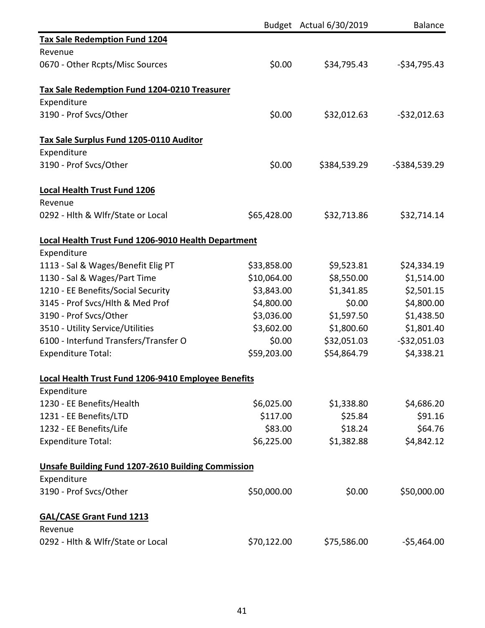|                                                           |             | Budget Actual 6/30/2019 | <b>Balance</b> |
|-----------------------------------------------------------|-------------|-------------------------|----------------|
| <b>Tax Sale Redemption Fund 1204</b>                      |             |                         |                |
| Revenue                                                   |             |                         |                |
| 0670 - Other Rcpts/Misc Sources                           | \$0.00      | \$34,795.43             | $-534,795.43$  |
| Tax Sale Redemption Fund 1204-0210 Treasurer              |             |                         |                |
| Expenditure                                               |             |                         |                |
| 3190 - Prof Svcs/Other                                    | \$0.00      | \$32,012.63             | $-532,012.63$  |
| Tax Sale Surplus Fund 1205-0110 Auditor                   |             |                         |                |
| Expenditure                                               |             |                         |                |
| 3190 - Prof Svcs/Other                                    | \$0.00      | \$384,539.29            | $-5384,539.29$ |
| <b>Local Health Trust Fund 1206</b>                       |             |                         |                |
| Revenue                                                   |             |                         |                |
| 0292 - Hlth & Wlfr/State or Local                         | \$65,428.00 | \$32,713.86             | \$32,714.14    |
| Local Health Trust Fund 1206-9010 Health Department       |             |                         |                |
| Expenditure                                               |             |                         |                |
| 1113 - Sal & Wages/Benefit Elig PT                        | \$33,858.00 | \$9,523.81              | \$24,334.19    |
| 1130 - Sal & Wages/Part Time                              | \$10,064.00 | \$8,550.00              | \$1,514.00     |
| 1210 - EE Benefits/Social Security                        | \$3,843.00  | \$1,341.85              | \$2,501.15     |
| 3145 - Prof Svcs/Hlth & Med Prof                          | \$4,800.00  | \$0.00                  | \$4,800.00     |
| 3190 - Prof Svcs/Other                                    | \$3,036.00  | \$1,597.50              | \$1,438.50     |
| 3510 - Utility Service/Utilities                          | \$3,602.00  | \$1,800.60              | \$1,801.40     |
| 6100 - Interfund Transfers/Transfer O                     | \$0.00      | \$32,051.03             | $-532,051.03$  |
| <b>Expenditure Total:</b>                                 | \$59,203.00 | \$54,864.79             | \$4,338.21     |
| Local Health Trust Fund 1206-9410 Employee Benefits       |             |                         |                |
| Expenditure                                               |             |                         |                |
| 1230 - EE Benefits/Health                                 | \$6,025.00  | \$1,338.80              | \$4,686.20     |
| 1231 - EE Benefits/LTD                                    | \$117.00    | \$25.84                 | \$91.16        |
| 1232 - EE Benefits/Life                                   | \$83.00     | \$18.24                 | \$64.76        |
| <b>Expenditure Total:</b>                                 | \$6,225.00  | \$1,382.88              | \$4,842.12     |
| <b>Unsafe Building Fund 1207-2610 Building Commission</b> |             |                         |                |
| Expenditure                                               |             |                         |                |
| 3190 - Prof Svcs/Other                                    | \$50,000.00 | \$0.00                  | \$50,000.00    |
| <b>GAL/CASE Grant Fund 1213</b>                           |             |                         |                |
| Revenue                                                   |             |                         |                |
| 0292 - Hlth & Wlfr/State or Local                         | \$70,122.00 | \$75,586.00             | $-$5,464.00$   |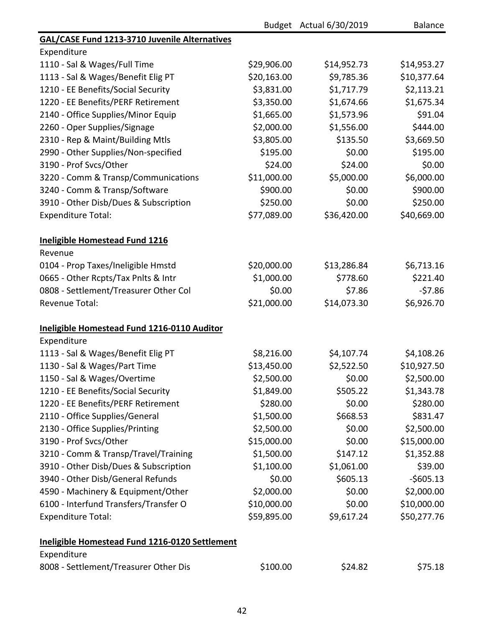|                                                      |             | Budget Actual 6/30/2019 | <b>Balance</b> |
|------------------------------------------------------|-------------|-------------------------|----------------|
| <b>GAL/CASE Fund 1213-3710 Juvenile Alternatives</b> |             |                         |                |
| Expenditure                                          |             |                         |                |
| 1110 - Sal & Wages/Full Time                         | \$29,906.00 | \$14,952.73             | \$14,953.27    |
| 1113 - Sal & Wages/Benefit Elig PT                   | \$20,163.00 | \$9,785.36              | \$10,377.64    |
| 1210 - EE Benefits/Social Security                   | \$3,831.00  | \$1,717.79              | \$2,113.21     |
| 1220 - EE Benefits/PERF Retirement                   | \$3,350.00  | \$1,674.66              | \$1,675.34     |
| 2140 - Office Supplies/Minor Equip                   | \$1,665.00  | \$1,573.96              | \$91.04        |
| 2260 - Oper Supplies/Signage                         | \$2,000.00  | \$1,556.00              | \$444.00       |
| 2310 - Rep & Maint/Building Mtls                     | \$3,805.00  | \$135.50                | \$3,669.50     |
| 2990 - Other Supplies/Non-specified                  | \$195.00    | \$0.00                  | \$195.00       |
| 3190 - Prof Svcs/Other                               | \$24.00     | \$24.00                 | \$0.00         |
| 3220 - Comm & Transp/Communications                  | \$11,000.00 | \$5,000.00              | \$6,000.00     |
| 3240 - Comm & Transp/Software                        | \$900.00    | \$0.00                  | \$900.00       |
| 3910 - Other Disb/Dues & Subscription                | \$250.00    | \$0.00                  | \$250.00       |
| <b>Expenditure Total:</b>                            | \$77,089.00 | \$36,420.00             | \$40,669.00    |
| <b>Ineligible Homestead Fund 1216</b>                |             |                         |                |
| Revenue                                              |             |                         |                |
| 0104 - Prop Taxes/Ineligible Hmstd                   | \$20,000.00 | \$13,286.84             | \$6,713.16     |
| 0665 - Other Rcpts/Tax Pnlts & Intr                  | \$1,000.00  | \$778.60                | \$221.40       |
| 0808 - Settlement/Treasurer Other Col                | \$0.00      | \$7.86                  | $-57.86$       |
| <b>Revenue Total:</b>                                | \$21,000.00 | \$14,073.30             | \$6,926.70     |
| Ineligible Homestead Fund 1216-0110 Auditor          |             |                         |                |
| Expenditure                                          |             |                         |                |
| 1113 - Sal & Wages/Benefit Elig PT                   | \$8,216.00  | \$4,107.74              | \$4,108.26     |
| 1130 - Sal & Wages/Part Time                         | \$13,450.00 | \$2,522.50              | \$10,927.50    |
| 1150 - Sal & Wages/Overtime                          | \$2,500.00  | \$0.00                  | \$2,500.00     |
| 1210 - EE Benefits/Social Security                   | \$1,849.00  | \$505.22                | \$1,343.78     |
| 1220 - EE Benefits/PERF Retirement                   | \$280.00    | \$0.00                  | \$280.00       |
| 2110 - Office Supplies/General                       | \$1,500.00  | \$668.53                | \$831.47       |
| 2130 - Office Supplies/Printing                      | \$2,500.00  | \$0.00                  | \$2,500.00     |
| 3190 - Prof Svcs/Other                               | \$15,000.00 | \$0.00                  | \$15,000.00    |
| 3210 - Comm & Transp/Travel/Training                 | \$1,500.00  | \$147.12                | \$1,352.88     |
| 3910 - Other Disb/Dues & Subscription                | \$1,100.00  | \$1,061.00              | \$39.00        |
| 3940 - Other Disb/General Refunds                    | \$0.00      | \$605.13                | $-5605.13$     |
| 4590 - Machinery & Equipment/Other                   | \$2,000.00  | \$0.00                  | \$2,000.00     |
| 6100 - Interfund Transfers/Transfer O                | \$10,000.00 | \$0.00                  | \$10,000.00    |
| <b>Expenditure Total:</b>                            | \$59,895.00 | \$9,617.24              | \$50,277.76    |
| Ineligible Homestead Fund 1216-0120 Settlement       |             |                         |                |
| Expenditure                                          |             |                         |                |
| 8008 - Settlement/Treasurer Other Dis                | \$100.00    | \$24.82                 | \$75.18        |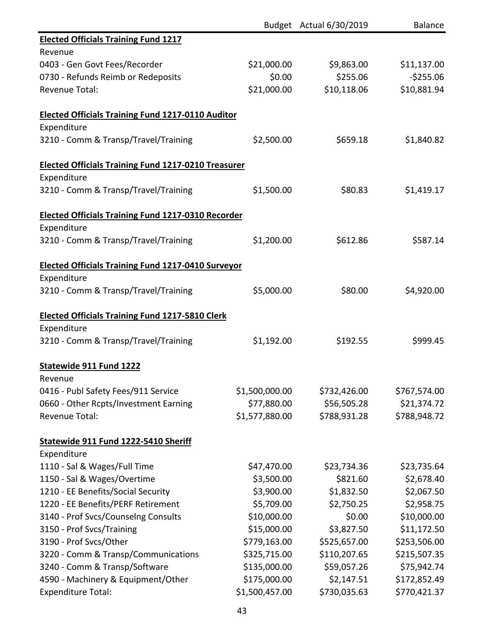|                                                            |                | Budget Actual 6/30/2019 | <b>Balance</b> |
|------------------------------------------------------------|----------------|-------------------------|----------------|
| <b>Elected Officials Training Fund 1217</b>                |                |                         |                |
| Revenue                                                    |                |                         |                |
| 0403 - Gen Govt Fees/Recorder                              | \$21,000.00    | \$9,863.00              | \$11,137.00    |
| 0730 - Refunds Reimb or Redeposits                         | \$0.00         | \$255.06                | $-$255.06$     |
| <b>Revenue Total:</b>                                      | \$21,000.00    | \$10,118.06             | \$10,881.94    |
|                                                            |                |                         |                |
| <b>Elected Officials Training Fund 1217-0110 Auditor</b>   |                |                         |                |
| Expenditure                                                |                |                         |                |
| 3210 - Comm & Transp/Travel/Training                       | \$2,500.00     | \$659.18                | \$1,840.82     |
| <b>Elected Officials Training Fund 1217-0210 Treasurer</b> |                |                         |                |
| Expenditure                                                |                |                         |                |
| 3210 - Comm & Transp/Travel/Training                       | \$1,500.00     | \$80.83                 | \$1,419.17     |
| <b>Elected Officials Training Fund 1217-0310 Recorder</b>  |                |                         |                |
| Expenditure                                                |                |                         |                |
| 3210 - Comm & Transp/Travel/Training                       | \$1,200.00     | \$612.86                | \$587.14       |
| <b>Elected Officials Training Fund 1217-0410 Surveyor</b>  |                |                         |                |
| Expenditure                                                |                |                         |                |
| 3210 - Comm & Transp/Travel/Training                       | \$5,000.00     | \$80.00                 | \$4,920.00     |
|                                                            |                |                         |                |
| <b>Elected Officials Training Fund 1217-5810 Clerk</b>     |                |                         |                |
| Expenditure                                                |                |                         |                |
| 3210 - Comm & Transp/Travel/Training                       | \$1,192.00     | \$192.55                | \$999.45       |
| <b>Statewide 911 Fund 1222</b>                             |                |                         |                |
| Revenue                                                    |                |                         |                |
| 0416 - Publ Safety Fees/911 Service                        | \$1,500,000.00 | \$732,426.00            | \$767,574.00   |
| 0660 - Other Rcpts/Investment Earning                      | \$77,880.00    | \$56,505.28             | \$21,374.72    |
| <b>Revenue Total:</b>                                      | \$1,577,880.00 | \$788,931.28            | \$788,948.72   |
| Statewide 911 Fund 1222-5410 Sheriff                       |                |                         |                |
| Expenditure                                                |                |                         |                |
| 1110 - Sal & Wages/Full Time                               | \$47,470.00    | \$23,734.36             | \$23,735.64    |
| 1150 - Sal & Wages/Overtime                                | \$3,500.00     | \$821.60                | \$2,678.40     |
| 1210 - EE Benefits/Social Security                         | \$3,900.00     | \$1,832.50              | \$2,067.50     |
| 1220 - EE Benefits/PERF Retirement                         | \$5,709.00     | \$2,750.25              | \$2,958.75     |
| 3140 - Prof Svcs/Counselng Consults                        | \$10,000.00    | \$0.00                  | \$10,000.00    |
| 3150 - Prof Svcs/Training                                  | \$15,000.00    | \$3,827.50              | \$11,172.50    |
| 3190 - Prof Svcs/Other                                     | \$779,163.00   | \$525,657.00            | \$253,506.00   |
| 3220 - Comm & Transp/Communications                        | \$325,715.00   | \$110,207.65            | \$215,507.35   |
| 3240 - Comm & Transp/Software                              | \$135,000.00   | \$59,057.26             | \$75,942.74    |
| 4590 - Machinery & Equipment/Other                         | \$175,000.00   | \$2,147.51              | \$172,852.49   |
| <b>Expenditure Total:</b>                                  | \$1,500,457.00 | \$730,035.63            | \$770,421.37   |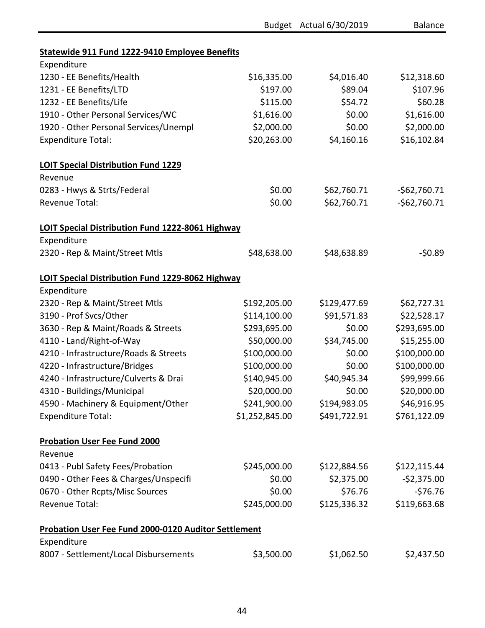|                                                         |                | Budget Actual 6/30/2019 | <b>Balance</b> |
|---------------------------------------------------------|----------------|-------------------------|----------------|
| Statewide 911 Fund 1222-9410 Employee Benefits          |                |                         |                |
| Expenditure                                             |                |                         |                |
| 1230 - EE Benefits/Health                               | \$16,335.00    | \$4,016.40              | \$12,318.60    |
| 1231 - EE Benefits/LTD                                  | \$197.00       | \$89.04                 | \$107.96       |
| 1232 - EE Benefits/Life                                 | \$115.00       | \$54.72                 | \$60.28        |
| 1910 - Other Personal Services/WC                       | \$1,616.00     | \$0.00                  | \$1,616.00     |
| 1920 - Other Personal Services/Unempl                   | \$2,000.00     | \$0.00                  | \$2,000.00     |
| <b>Expenditure Total:</b>                               | \$20,263.00    | \$4,160.16              | \$16,102.84    |
| <b>LOIT Special Distribution Fund 1229</b>              |                |                         |                |
| Revenue                                                 |                |                         |                |
| 0283 - Hwys & Strts/Federal                             | \$0.00         | \$62,760.71             | $-562,760.71$  |
| Revenue Total:                                          | \$0.00         | \$62,760.71             | $-562,760.71$  |
| LOIT Special Distribution Fund 1222-8061 Highway        |                |                         |                |
| Expenditure                                             |                |                         |                |
| 2320 - Rep & Maint/Street Mtls                          | \$48,638.00    | \$48,638.89             | $-50.89$       |
| <b>LOIT Special Distribution Fund 1229-8062 Highway</b> |                |                         |                |
| Expenditure                                             |                |                         |                |
| 2320 - Rep & Maint/Street Mtls                          | \$192,205.00   | \$129,477.69            | \$62,727.31    |
| 3190 - Prof Svcs/Other                                  | \$114,100.00   | \$91,571.83             | \$22,528.17    |
| 3630 - Rep & Maint/Roads & Streets                      | \$293,695.00   | \$0.00                  | \$293,695.00   |
| 4110 - Land/Right-of-Way                                | \$50,000.00    | \$34,745.00             | \$15,255.00    |
| 4210 - Infrastructure/Roads & Streets                   | \$100,000.00   | \$0.00                  | \$100,000.00   |
| 4220 - Infrastructure/Bridges                           | \$100,000.00   | \$0.00                  | \$100,000.00   |
| 4240 - Infrastructure/Culverts & Drai                   | \$140,945.00   | \$40,945.34             | \$99,999.66    |
| 4310 - Buildings/Municipal                              | \$20,000.00    | \$0.00                  | \$20,000.00    |
| 4590 - Machinery & Equipment/Other                      | \$241,900.00   | \$194,983.05            | \$46,916.95    |
| <b>Expenditure Total:</b>                               | \$1,252,845.00 | \$491,722.91            | \$761,122.09   |
| <b>Probation User Fee Fund 2000</b>                     |                |                         |                |
| Revenue                                                 |                |                         |                |
| 0413 - Publ Safety Fees/Probation                       | \$245,000.00   | \$122,884.56            | \$122,115.44   |
| 0490 - Other Fees & Charges/Unspecifi                   | \$0.00         | \$2,375.00              | $-52,375.00$   |
| 0670 - Other Rcpts/Misc Sources                         | \$0.00         | \$76.76                 | $-576.76$      |
| <b>Revenue Total:</b>                                   | \$245,000.00   | \$125,336.32            | \$119,663.68   |
| Probation User Fee Fund 2000-0120 Auditor Settlement    |                |                         |                |
| Expenditure                                             |                |                         |                |
| 8007 - Settlement/Local Disbursements                   | \$3,500.00     | \$1,062.50              | \$2,437.50     |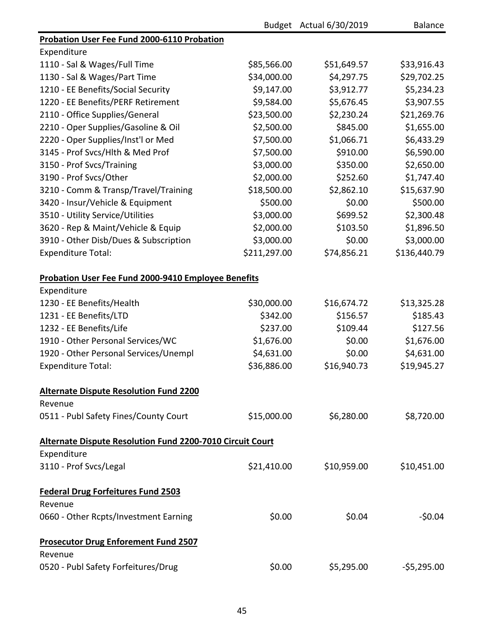|                                                                  |              | Budget Actual 6/30/2019 | <b>Balance</b> |
|------------------------------------------------------------------|--------------|-------------------------|----------------|
| <b>Probation User Fee Fund 2000-6110 Probation</b>               |              |                         |                |
| Expenditure                                                      |              |                         |                |
| 1110 - Sal & Wages/Full Time                                     | \$85,566.00  | \$51,649.57             | \$33,916.43    |
| 1130 - Sal & Wages/Part Time                                     | \$34,000.00  | \$4,297.75              | \$29,702.25    |
| 1210 - EE Benefits/Social Security                               | \$9,147.00   | \$3,912.77              | \$5,234.23     |
| 1220 - EE Benefits/PERF Retirement                               | \$9,584.00   | \$5,676.45              | \$3,907.55     |
| 2110 - Office Supplies/General                                   | \$23,500.00  | \$2,230.24              | \$21,269.76    |
| 2210 - Oper Supplies/Gasoline & Oil                              | \$2,500.00   | \$845.00                | \$1,655.00     |
| 2220 - Oper Supplies/Inst'l or Med                               | \$7,500.00   | \$1,066.71              | \$6,433.29     |
| 3145 - Prof Svcs/Hlth & Med Prof                                 | \$7,500.00   | \$910.00                | \$6,590.00     |
| 3150 - Prof Svcs/Training                                        | \$3,000.00   | \$350.00                | \$2,650.00     |
| 3190 - Prof Svcs/Other                                           | \$2,000.00   | \$252.60                | \$1,747.40     |
| 3210 - Comm & Transp/Travel/Training                             | \$18,500.00  | \$2,862.10              | \$15,637.90    |
| 3420 - Insur/Vehicle & Equipment                                 | \$500.00     | \$0.00                  | \$500.00       |
| 3510 - Utility Service/Utilities                                 | \$3,000.00   | \$699.52                | \$2,300.48     |
| 3620 - Rep & Maint/Vehicle & Equip                               | \$2,000.00   | \$103.50                | \$1,896.50     |
| 3910 - Other Disb/Dues & Subscription                            | \$3,000.00   | \$0.00                  | \$3,000.00     |
| <b>Expenditure Total:</b>                                        | \$211,297.00 | \$74,856.21             | \$136,440.79   |
| <b>Probation User Fee Fund 2000-9410 Employee Benefits</b>       |              |                         |                |
| Expenditure                                                      |              |                         |                |
| 1230 - EE Benefits/Health                                        | \$30,000.00  | \$16,674.72             | \$13,325.28    |
| 1231 - EE Benefits/LTD                                           | \$342.00     | \$156.57                | \$185.43       |
| 1232 - EE Benefits/Life                                          | \$237.00     | \$109.44                | \$127.56       |
| 1910 - Other Personal Services/WC                                | \$1,676.00   | \$0.00                  | \$1,676.00     |
| 1920 - Other Personal Services/Unempl                            | \$4,631.00   | \$0.00                  | \$4,631.00     |
| <b>Expenditure Total:</b>                                        | \$36,886.00  | \$16,940.73             | \$19,945.27    |
| <b>Alternate Dispute Resolution Fund 2200</b>                    |              |                         |                |
| Revenue                                                          |              |                         |                |
| 0511 - Publ Safety Fines/County Court                            | \$15,000.00  | \$6,280.00              | \$8,720.00     |
| <b>Alternate Dispute Resolution Fund 2200-7010 Circuit Court</b> |              |                         |                |
| Expenditure                                                      |              |                         |                |
| 3110 - Prof Svcs/Legal                                           | \$21,410.00  | \$10,959.00             | \$10,451.00    |
| <b>Federal Drug Forfeitures Fund 2503</b>                        |              |                         |                |
| Revenue                                                          |              |                         |                |
| 0660 - Other Rcpts/Investment Earning                            | \$0.00       | \$0.04                  | $-50.04$       |
| <b>Prosecutor Drug Enforement Fund 2507</b><br>Revenue           |              |                         |                |
| 0520 - Publ Safety Forfeitures/Drug                              | \$0.00       | \$5,295.00              | $-55,295.00$   |
|                                                                  |              |                         |                |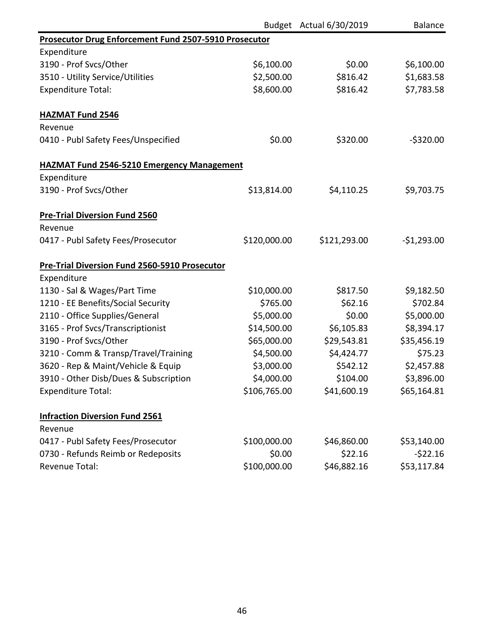|                                                              |              | Budget Actual 6/30/2019 | <b>Balance</b> |
|--------------------------------------------------------------|--------------|-------------------------|----------------|
| <b>Prosecutor Drug Enforcement Fund 2507-5910 Prosecutor</b> |              |                         |                |
| Expenditure                                                  |              |                         |                |
| 3190 - Prof Svcs/Other                                       | \$6,100.00   | \$0.00                  | \$6,100.00     |
| 3510 - Utility Service/Utilities                             | \$2,500.00   | \$816.42                | \$1,683.58     |
| <b>Expenditure Total:</b>                                    | \$8,600.00   | \$816.42                | \$7,783.58     |
| <b>HAZMAT Fund 2546</b>                                      |              |                         |                |
| Revenue                                                      |              |                         |                |
| 0410 - Publ Safety Fees/Unspecified                          | \$0.00       | \$320.00                | $-$ \$320.00   |
| <b>HAZMAT Fund 2546-5210 Emergency Management</b>            |              |                         |                |
| Expenditure                                                  |              |                         |                |
| 3190 - Prof Svcs/Other                                       | \$13,814.00  | \$4,110.25              | \$9,703.75     |
| <b>Pre-Trial Diversion Fund 2560</b>                         |              |                         |                |
| Revenue                                                      |              |                         |                |
| 0417 - Publ Safety Fees/Prosecutor                           | \$120,000.00 | \$121,293.00            | $-$1,293.00$   |
| <b>Pre-Trial Diversion Fund 2560-5910 Prosecutor</b>         |              |                         |                |
| Expenditure                                                  |              |                         |                |
| 1130 - Sal & Wages/Part Time                                 | \$10,000.00  | \$817.50                | \$9,182.50     |
| 1210 - EE Benefits/Social Security                           | \$765.00     | \$62.16                 | \$702.84       |
| 2110 - Office Supplies/General                               | \$5,000.00   | \$0.00                  | \$5,000.00     |
| 3165 - Prof Svcs/Transcriptionist                            | \$14,500.00  | \$6,105.83              | \$8,394.17     |
| 3190 - Prof Svcs/Other                                       | \$65,000.00  | \$29,543.81             | \$35,456.19    |
| 3210 - Comm & Transp/Travel/Training                         | \$4,500.00   | \$4,424.77              | \$75.23        |
| 3620 - Rep & Maint/Vehicle & Equip                           | \$3,000.00   | \$542.12                | \$2,457.88     |
| 3910 - Other Disb/Dues & Subscription                        | \$4,000.00   | \$104.00                | \$3,896.00     |
| <b>Expenditure Total:</b>                                    | \$106,765.00 | \$41,600.19             | \$65,164.81    |
| <b>Infraction Diversion Fund 2561</b>                        |              |                         |                |
| Revenue                                                      |              |                         |                |
| 0417 - Publ Safety Fees/Prosecutor                           | \$100,000.00 | \$46,860.00             | \$53,140.00    |
| 0730 - Refunds Reimb or Redeposits                           | \$0.00       | \$22.16                 | $-522.16$      |
| Revenue Total:                                               | \$100,000.00 | \$46,882.16             | \$53,117.84    |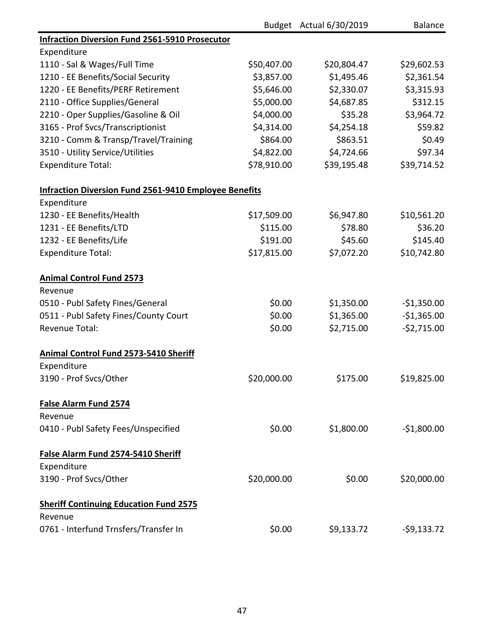|                                                              |             | Budget Actual 6/30/2019 | <b>Balance</b> |
|--------------------------------------------------------------|-------------|-------------------------|----------------|
| <b>Infraction Diversion Fund 2561-5910 Prosecutor</b>        |             |                         |                |
| Expenditure                                                  |             |                         |                |
| 1110 - Sal & Wages/Full Time                                 | \$50,407.00 | \$20,804.47             | \$29,602.53    |
| 1210 - EE Benefits/Social Security                           | \$3,857.00  | \$1,495.46              | \$2,361.54     |
| 1220 - EE Benefits/PERF Retirement                           | \$5,646.00  | \$2,330.07              | \$3,315.93     |
| 2110 - Office Supplies/General                               | \$5,000.00  | \$4,687.85              | \$312.15       |
| 2210 - Oper Supplies/Gasoline & Oil                          | \$4,000.00  | \$35.28                 | \$3,964.72     |
| 3165 - Prof Svcs/Transcriptionist                            | \$4,314.00  | \$4,254.18              | \$59.82        |
| 3210 - Comm & Transp/Travel/Training                         | \$864.00    | \$863.51                | \$0.49         |
| 3510 - Utility Service/Utilities                             | \$4,822.00  | \$4,724.66              | \$97.34        |
| <b>Expenditure Total:</b>                                    | \$78,910.00 | \$39,195.48             | \$39,714.52    |
| <b>Infraction Diversion Fund 2561-9410 Employee Benefits</b> |             |                         |                |
| Expenditure                                                  |             |                         |                |
| 1230 - EE Benefits/Health                                    | \$17,509.00 | \$6,947.80              | \$10,561.20    |
| 1231 - EE Benefits/LTD                                       | \$115.00    | \$78.80                 | \$36.20        |
| 1232 - EE Benefits/Life                                      | \$191.00    | \$45.60                 | \$145.40       |
| <b>Expenditure Total:</b>                                    | \$17,815.00 | \$7,072.20              | \$10,742.80    |
| <b>Animal Control Fund 2573</b>                              |             |                         |                |
| Revenue                                                      |             |                         |                |
| 0510 - Publ Safety Fines/General                             | \$0.00      | \$1,350.00              | $-$1,350.00$   |
| 0511 - Publ Safety Fines/County Court                        | \$0.00      | \$1,365.00              | $-$1,365.00$   |
| Revenue Total:                                               | \$0.00      | \$2,715.00              | $-52,715.00$   |
| Animal Control Fund 2573-5410 Sheriff                        |             |                         |                |
| Expenditure                                                  |             |                         |                |
| 3190 - Prof Svcs/Other                                       | \$20,000.00 | \$175.00                | \$19,825.00    |
| <b>False Alarm Fund 2574</b>                                 |             |                         |                |
| Revenue                                                      |             |                         |                |
| 0410 - Publ Safety Fees/Unspecified                          | \$0.00      | \$1,800.00              | $-$1,800.00$   |
| False Alarm Fund 2574-5410 Sheriff                           |             |                         |                |
| Expenditure                                                  |             |                         |                |
| 3190 - Prof Svcs/Other                                       | \$20,000.00 | \$0.00                  | \$20,000.00    |
| <b>Sheriff Continuing Education Fund 2575</b>                |             |                         |                |
| Revenue                                                      |             |                         |                |
| 0761 - Interfund Trnsfers/Transfer In                        | \$0.00      | \$9,133.72              | $-59,133.72$   |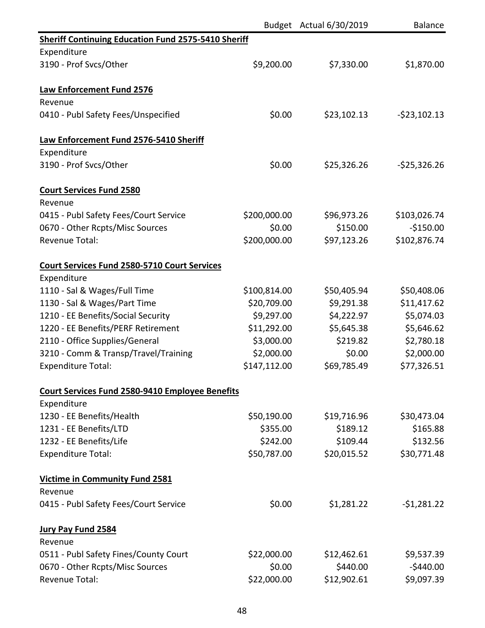|                                                            |              | Budget Actual 6/30/2019 | <b>Balance</b> |
|------------------------------------------------------------|--------------|-------------------------|----------------|
| <b>Sheriff Continuing Education Fund 2575-5410 Sheriff</b> |              |                         |                |
| Expenditure                                                |              |                         |                |
| 3190 - Prof Svcs/Other                                     | \$9,200.00   | \$7,330.00              | \$1,870.00     |
| <b>Law Enforcement Fund 2576</b>                           |              |                         |                |
| Revenue                                                    |              |                         |                |
| 0410 - Publ Safety Fees/Unspecified                        | \$0.00       | \$23,102.13             | $-523,102.13$  |
| Law Enforcement Fund 2576-5410 Sheriff                     |              |                         |                |
| Expenditure                                                |              |                         |                |
| 3190 - Prof Svcs/Other                                     | \$0.00       | \$25,326.26             | $-525,326.26$  |
| <b>Court Services Fund 2580</b>                            |              |                         |                |
| Revenue                                                    |              |                         |                |
| 0415 - Publ Safety Fees/Court Service                      | \$200,000.00 | \$96,973.26             | \$103,026.74   |
| 0670 - Other Rcpts/Misc Sources                            | \$0.00       | \$150.00                | $-$150.00$     |
| <b>Revenue Total:</b>                                      | \$200,000.00 | \$97,123.26             | \$102,876.74   |
| <b>Court Services Fund 2580-5710 Court Services</b>        |              |                         |                |
| Expenditure                                                |              |                         |                |
| 1110 - Sal & Wages/Full Time                               | \$100,814.00 | \$50,405.94             | \$50,408.06    |
| 1130 - Sal & Wages/Part Time                               | \$20,709.00  | \$9,291.38              | \$11,417.62    |
| 1210 - EE Benefits/Social Security                         | \$9,297.00   | \$4,222.97              | \$5,074.03     |
| 1220 - EE Benefits/PERF Retirement                         | \$11,292.00  | \$5,645.38              | \$5,646.62     |
| 2110 - Office Supplies/General                             | \$3,000.00   | \$219.82                | \$2,780.18     |
| 3210 - Comm & Transp/Travel/Training                       | \$2,000.00   | \$0.00                  | \$2,000.00     |
| <b>Expenditure Total:</b>                                  | \$147,112.00 | \$69,785.49             | \$77,326.51    |
| <b>Court Services Fund 2580-9410 Employee Benefits</b>     |              |                         |                |
| Expenditure                                                |              |                         |                |
| 1230 - EE Benefits/Health                                  | \$50,190.00  | \$19,716.96             | \$30,473.04    |
| 1231 - EE Benefits/LTD                                     | \$355.00     | \$189.12                | \$165.88       |
| 1232 - EE Benefits/Life                                    | \$242.00     | \$109.44                | \$132.56       |
| <b>Expenditure Total:</b>                                  | \$50,787.00  | \$20,015.52             | \$30,771.48    |
| <b>Victime in Community Fund 2581</b>                      |              |                         |                |
| Revenue                                                    |              |                         |                |
| 0415 - Publ Safety Fees/Court Service                      | \$0.00       | \$1,281.22              | $-$1,281.22$   |
| <b>Jury Pay Fund 2584</b>                                  |              |                         |                |
| Revenue                                                    |              |                         |                |
| 0511 - Publ Safety Fines/County Court                      | \$22,000.00  | \$12,462.61             | \$9,537.39     |
| 0670 - Other Rcpts/Misc Sources                            | \$0.00       | \$440.00                | $-5440.00$     |
| <b>Revenue Total:</b>                                      | \$22,000.00  | \$12,902.61             | \$9,097.39     |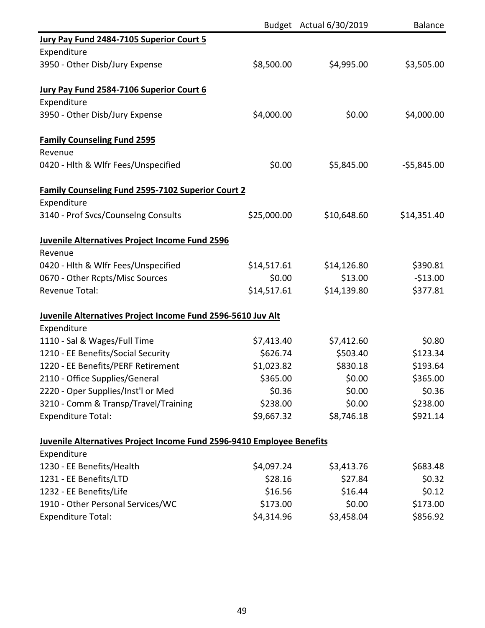|                                                                       |             | Budget Actual 6/30/2019 | <b>Balance</b> |
|-----------------------------------------------------------------------|-------------|-------------------------|----------------|
| Jury Pay Fund 2484-7105 Superior Court 5                              |             |                         |                |
| Expenditure                                                           |             |                         |                |
| 3950 - Other Disb/Jury Expense                                        | \$8,500.00  | \$4,995.00              | \$3,505.00     |
| Jury Pay Fund 2584-7106 Superior Court 6                              |             |                         |                |
| Expenditure                                                           |             |                         |                |
| 3950 - Other Disb/Jury Expense                                        | \$4,000.00  | \$0.00                  | \$4,000.00     |
| <b>Family Counseling Fund 2595</b>                                    |             |                         |                |
| Revenue                                                               |             |                         |                |
| 0420 - Hlth & Wlfr Fees/Unspecified                                   | \$0.00      | \$5,845.00              | $-55,845.00$   |
| <b>Family Counseling Fund 2595-7102 Superior Court 2</b>              |             |                         |                |
| Expenditure                                                           |             |                         |                |
| 3140 - Prof Svcs/Counselng Consults                                   | \$25,000.00 | \$10,648.60             | \$14,351.40    |
| Juvenile Alternatives Project Income Fund 2596                        |             |                         |                |
| Revenue                                                               |             |                         |                |
| 0420 - Hlth & Wlfr Fees/Unspecified                                   | \$14,517.61 | \$14,126.80             | \$390.81       |
| 0670 - Other Rcpts/Misc Sources                                       | \$0.00      | \$13.00                 | $-$13.00$      |
| <b>Revenue Total:</b>                                                 | \$14,517.61 | \$14,139.80             | \$377.81       |
| Juvenile Alternatives Project Income Fund 2596-5610 Juv Alt           |             |                         |                |
| Expenditure                                                           |             |                         |                |
| 1110 - Sal & Wages/Full Time                                          | \$7,413.40  | \$7,412.60              | \$0.80         |
| 1210 - EE Benefits/Social Security                                    | \$626.74    | \$503.40                | \$123.34       |
| 1220 - EE Benefits/PERF Retirement                                    | \$1,023.82  | \$830.18                | \$193.64       |
| 2110 - Office Supplies/General                                        | \$365.00    | \$0.00                  | \$365.00       |
| 2220 - Oper Supplies/Inst'l or Med                                    | \$0.36      | \$0.00                  | \$0.36         |
| 3210 - Comm & Transp/Travel/Training                                  | \$238.00    | \$0.00                  | \$238.00       |
| <b>Expenditure Total:</b>                                             | \$9,667.32  | \$8,746.18              | \$921.14       |
| Juvenile Alternatives Project Income Fund 2596-9410 Employee Benefits |             |                         |                |
| Expenditure                                                           |             |                         |                |
| 1230 - EE Benefits/Health                                             | \$4,097.24  | \$3,413.76              | \$683.48       |
| 1231 - EE Benefits/LTD                                                | \$28.16     | \$27.84                 | \$0.32         |
| 1232 - EE Benefits/Life                                               | \$16.56     | \$16.44                 | \$0.12         |
| 1910 - Other Personal Services/WC                                     | \$173.00    | \$0.00                  | \$173.00       |
| <b>Expenditure Total:</b>                                             | \$4,314.96  | \$3,458.04              | \$856.92       |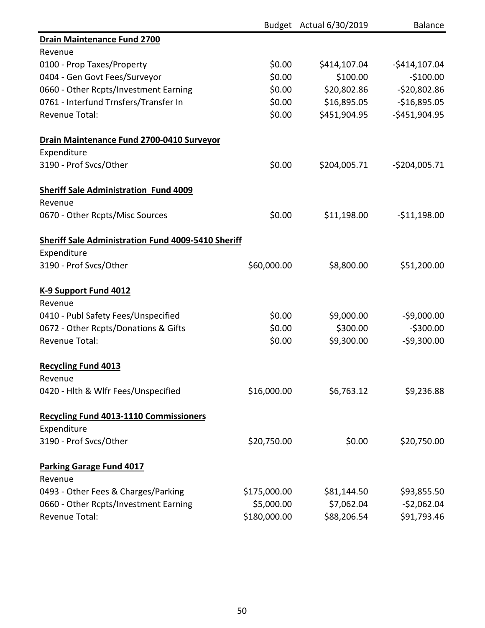|                                                           |              | Budget Actual 6/30/2019 | <b>Balance</b> |
|-----------------------------------------------------------|--------------|-------------------------|----------------|
| <b>Drain Maintenance Fund 2700</b>                        |              |                         |                |
| Revenue                                                   |              |                         |                |
| 0100 - Prop Taxes/Property                                | \$0.00       | \$414,107.04            | $-$414,107.04$ |
| 0404 - Gen Govt Fees/Surveyor                             | \$0.00       | \$100.00                | $-$100.00$     |
| 0660 - Other Rcpts/Investment Earning                     | \$0.00       | \$20,802.86             | $-520,802.86$  |
| 0761 - Interfund Trnsfers/Transfer In                     | \$0.00       | \$16,895.05             | $-$16,895.05$  |
| <b>Revenue Total:</b>                                     | \$0.00       | \$451,904.95            | $-$451,904.95$ |
| Drain Maintenance Fund 2700-0410 Surveyor                 |              |                         |                |
| Expenditure                                               |              |                         |                |
| 3190 - Prof Svcs/Other                                    | \$0.00       | \$204,005.71            | $-5204,005.71$ |
| <b>Sheriff Sale Administration Fund 4009</b>              |              |                         |                |
| Revenue                                                   |              |                         |                |
| 0670 - Other Rcpts/Misc Sources                           | \$0.00       | \$11,198.00             | $-511,198.00$  |
| <b>Sheriff Sale Administration Fund 4009-5410 Sheriff</b> |              |                         |                |
| Expenditure                                               |              |                         |                |
| 3190 - Prof Svcs/Other                                    | \$60,000.00  | \$8,800.00              | \$51,200.00    |
| K-9 Support Fund 4012                                     |              |                         |                |
| Revenue                                                   |              |                         |                |
| 0410 - Publ Safety Fees/Unspecified                       | \$0.00       | \$9,000.00              | $-59,000.00$   |
| 0672 - Other Rcpts/Donations & Gifts                      | \$0.00       | \$300.00                | $-5300.00$     |
| <b>Revenue Total:</b>                                     | \$0.00       | \$9,300.00              | $-59,300.00$   |
| <b>Recycling Fund 4013</b>                                |              |                         |                |
| Revenue                                                   |              |                         |                |
| 0420 - Hlth & Wlfr Fees/Unspecified                       | \$16,000.00  | \$6,763.12              | \$9,236.88     |
| <b>Recycling Fund 4013-1110 Commissioners</b>             |              |                         |                |
| Expenditure                                               |              |                         |                |
| 3190 - Prof Svcs/Other                                    | \$20,750.00  | \$0.00                  | \$20,750.00    |
| <b>Parking Garage Fund 4017</b>                           |              |                         |                |
| Revenue                                                   |              |                         |                |
| 0493 - Other Fees & Charges/Parking                       | \$175,000.00 | \$81,144.50             | \$93,855.50    |
| 0660 - Other Rcpts/Investment Earning                     | \$5,000.00   | \$7,062.04              | $-52,062.04$   |
| <b>Revenue Total:</b>                                     | \$180,000.00 | \$88,206.54             | \$91,793.46    |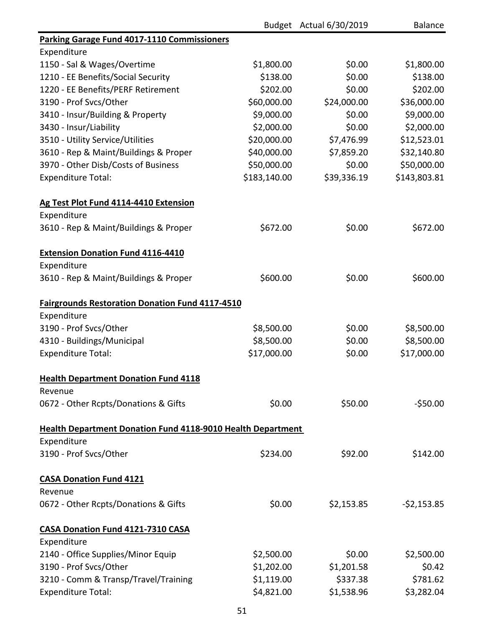|                                                                    |              | Budget Actual 6/30/2019 | <b>Balance</b> |
|--------------------------------------------------------------------|--------------|-------------------------|----------------|
| Parking Garage Fund 4017-1110 Commissioners                        |              |                         |                |
| Expenditure                                                        |              |                         |                |
| 1150 - Sal & Wages/Overtime                                        | \$1,800.00   | \$0.00                  | \$1,800.00     |
| 1210 - EE Benefits/Social Security                                 | \$138.00     | \$0.00                  | \$138.00       |
| 1220 - EE Benefits/PERF Retirement                                 | \$202.00     | \$0.00                  | \$202.00       |
| 3190 - Prof Svcs/Other                                             | \$60,000.00  | \$24,000.00             | \$36,000.00    |
| 3410 - Insur/Building & Property                                   | \$9,000.00   | \$0.00                  | \$9,000.00     |
| 3430 - Insur/Liability                                             | \$2,000.00   | \$0.00                  | \$2,000.00     |
| 3510 - Utility Service/Utilities                                   | \$20,000.00  | \$7,476.99              | \$12,523.01    |
| 3610 - Rep & Maint/Buildings & Proper                              | \$40,000.00  | \$7,859.20              | \$32,140.80    |
| 3970 - Other Disb/Costs of Business                                | \$50,000.00  | \$0.00                  | \$50,000.00    |
| <b>Expenditure Total:</b>                                          | \$183,140.00 | \$39,336.19             | \$143,803.81   |
| Ag Test Plot Fund 4114-4410 Extension                              |              |                         |                |
| Expenditure                                                        |              |                         |                |
| 3610 - Rep & Maint/Buildings & Proper                              | \$672.00     | \$0.00                  | \$672.00       |
| <b>Extension Donation Fund 4116-4410</b>                           |              |                         |                |
| Expenditure                                                        |              |                         |                |
| 3610 - Rep & Maint/Buildings & Proper                              | \$600.00     | \$0.00                  | \$600.00       |
| <b>Fairgrounds Restoration Donation Fund 4117-4510</b>             |              |                         |                |
| Expenditure                                                        |              |                         |                |
| 3190 - Prof Svcs/Other                                             | \$8,500.00   | \$0.00                  | \$8,500.00     |
| 4310 - Buildings/Municipal                                         | \$8,500.00   | \$0.00                  | \$8,500.00     |
| <b>Expenditure Total:</b>                                          | \$17,000.00  | \$0.00                  | \$17,000.00    |
| <b>Health Department Donation Fund 4118</b>                        |              |                         |                |
| Revenue                                                            |              |                         |                |
| 0672 - Other Rcpts/Donations & Gifts                               | \$0.00       | \$50.00                 | $-550.00$      |
| <b>Health Department Donation Fund 4118-9010 Health Department</b> |              |                         |                |
| Expenditure                                                        |              |                         |                |
| 3190 - Prof Svcs/Other                                             | \$234.00     | \$92.00                 | \$142.00       |
| <b>CASA Donation Fund 4121</b>                                     |              |                         |                |
| Revenue                                                            |              |                         |                |
| 0672 - Other Rcpts/Donations & Gifts                               | \$0.00       | \$2,153.85              | $-52,153.85$   |
| CASA Donation Fund 4121-7310 CASA                                  |              |                         |                |
| Expenditure                                                        |              |                         |                |
| 2140 - Office Supplies/Minor Equip                                 | \$2,500.00   | \$0.00                  | \$2,500.00     |
| 3190 - Prof Svcs/Other                                             | \$1,202.00   | \$1,201.58              | \$0.42         |
| 3210 - Comm & Transp/Travel/Training                               | \$1,119.00   | \$337.38                | \$781.62       |
| <b>Expenditure Total:</b>                                          | \$4,821.00   | \$1,538.96              | \$3,282.04     |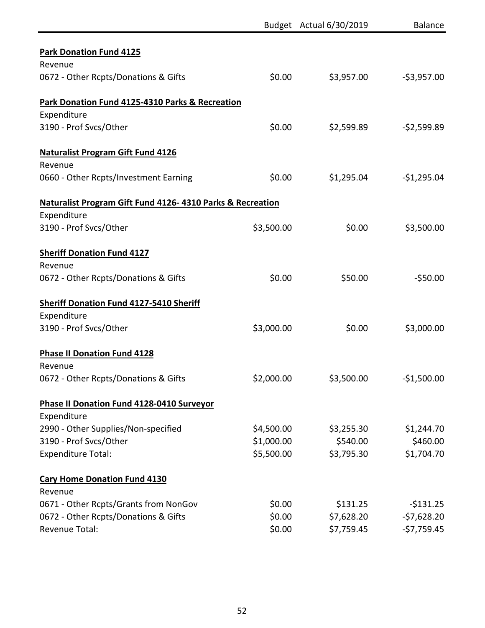|                                                           |            | Budget Actual 6/30/2019 | Balance      |
|-----------------------------------------------------------|------------|-------------------------|--------------|
| <b>Park Donation Fund 4125</b>                            |            |                         |              |
| Revenue                                                   |            |                         |              |
| 0672 - Other Rcpts/Donations & Gifts                      | \$0.00     | \$3,957.00              | $-53,957.00$ |
| Park Donation Fund 4125-4310 Parks & Recreation           |            |                         |              |
| Expenditure                                               |            |                         |              |
| 3190 - Prof Svcs/Other                                    | \$0.00     | \$2,599.89              | $-52,599.89$ |
| <b>Naturalist Program Gift Fund 4126</b>                  |            |                         |              |
| Revenue                                                   |            |                         |              |
| 0660 - Other Rcpts/Investment Earning                     | \$0.00     | \$1,295.04              | $-$1,295.04$ |
| Naturalist Program Gift Fund 4126-4310 Parks & Recreation |            |                         |              |
| Expenditure                                               |            |                         |              |
| 3190 - Prof Svcs/Other                                    | \$3,500.00 | \$0.00                  | \$3,500.00   |
| <b>Sheriff Donation Fund 4127</b>                         |            |                         |              |
| Revenue                                                   |            |                         |              |
| 0672 - Other Rcpts/Donations & Gifts                      | \$0.00     | \$50.00                 | $-550.00$    |
| <b>Sheriff Donation Fund 4127-5410 Sheriff</b>            |            |                         |              |
| Expenditure                                               |            |                         |              |
| 3190 - Prof Svcs/Other                                    | \$3,000.00 | \$0.00                  | \$3,000.00   |
| <b>Phase II Donation Fund 4128</b>                        |            |                         |              |
| Revenue                                                   |            |                         |              |
| 0672 - Other Rcpts/Donations & Gifts                      | \$2,000.00 | \$3,500.00              | $-$1,500.00$ |
| <b>Phase II Donation Fund 4128-0410 Surveyor</b>          |            |                         |              |
| Expenditure                                               |            |                         |              |
| 2990 - Other Supplies/Non-specified                       | \$4,500.00 | \$3,255.30              | \$1,244.70   |
| 3190 - Prof Svcs/Other                                    | \$1,000.00 | \$540.00                | \$460.00     |
| <b>Expenditure Total:</b>                                 | \$5,500.00 | \$3,795.30              | \$1,704.70   |
| <b>Cary Home Donation Fund 4130</b>                       |            |                         |              |
| Revenue                                                   |            |                         |              |
| 0671 - Other Rcpts/Grants from NonGov                     | \$0.00     | \$131.25                | $-5131.25$   |
| 0672 - Other Rcpts/Donations & Gifts                      | \$0.00     | \$7,628.20              | $-57,628.20$ |
| <b>Revenue Total:</b>                                     | \$0.00     | \$7,759.45              | $-57,759.45$ |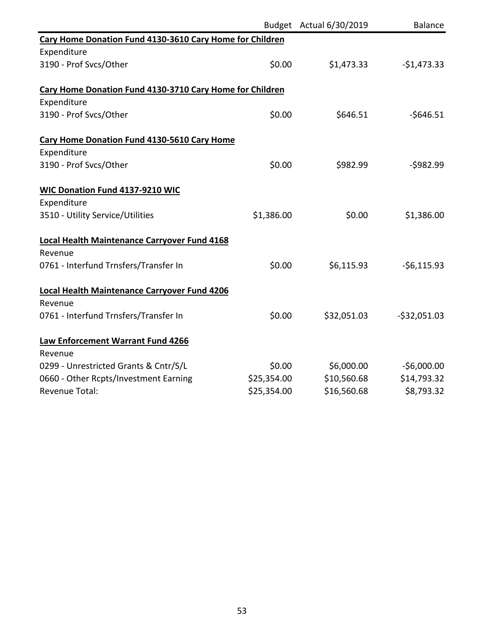|                                                          |             | Budget Actual 6/30/2019 | <b>Balance</b> |
|----------------------------------------------------------|-------------|-------------------------|----------------|
| Cary Home Donation Fund 4130-3610 Cary Home for Children |             |                         |                |
| Expenditure                                              |             |                         |                |
| 3190 - Prof Svcs/Other                                   | \$0.00      | \$1,473.33              | $-$1,473.33$   |
| Cary Home Donation Fund 4130-3710 Cary Home for Children |             |                         |                |
| Expenditure                                              |             |                         |                |
| 3190 - Prof Svcs/Other                                   | \$0.00      | \$646.51                | $-$646.51$     |
| Cary Home Donation Fund 4130-5610 Cary Home              |             |                         |                |
| Expenditure                                              |             |                         |                |
| 3190 - Prof Svcs/Other                                   | \$0.00      | \$982.99                | $-5982.99$     |
| <b>WIC Donation Fund 4137-9210 WIC</b>                   |             |                         |                |
| Expenditure                                              |             |                         |                |
| 3510 - Utility Service/Utilities                         | \$1,386.00  | \$0.00                  | \$1,386.00     |
| Local Health Maintenance Carryover Fund 4168             |             |                         |                |
| Revenue                                                  |             |                         |                |
| 0761 - Interfund Trnsfers/Transfer In                    | \$0.00      | \$6,115.93              | $-56,115.93$   |
| Local Health Maintenance Carryover Fund 4206             |             |                         |                |
| Revenue                                                  |             |                         |                |
| 0761 - Interfund Trnsfers/Transfer In                    | \$0.00      | \$32,051.03             | $-532,051.03$  |
| Law Enforcement Warrant Fund 4266                        |             |                         |                |
| Revenue                                                  |             |                         |                |
| 0299 - Unrestricted Grants & Cntr/S/L                    | \$0.00      | \$6,000.00              | $-$6,000.00$   |
| 0660 - Other Rcpts/Investment Earning                    | \$25,354.00 | \$10,560.68             | \$14,793.32    |
| <b>Revenue Total:</b>                                    | \$25,354.00 | \$16,560.68             | \$8,793.32     |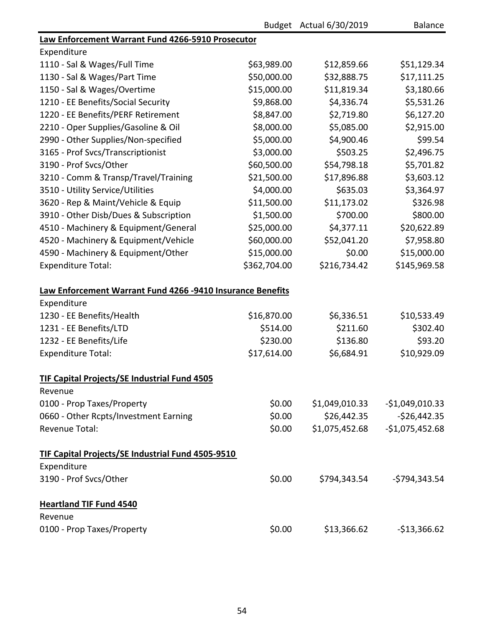|                                                            |              | Budget Actual 6/30/2019 | <b>Balance</b>   |
|------------------------------------------------------------|--------------|-------------------------|------------------|
| Law Enforcement Warrant Fund 4266-5910 Prosecutor          |              |                         |                  |
| Expenditure                                                |              |                         |                  |
| 1110 - Sal & Wages/Full Time                               | \$63,989.00  | \$12,859.66             | \$51,129.34      |
| 1130 - Sal & Wages/Part Time                               | \$50,000.00  | \$32,888.75             | \$17,111.25      |
| 1150 - Sal & Wages/Overtime                                | \$15,000.00  | \$11,819.34             | \$3,180.66       |
| 1210 - EE Benefits/Social Security                         | \$9,868.00   | \$4,336.74              | \$5,531.26       |
| 1220 - EE Benefits/PERF Retirement                         | \$8,847.00   | \$2,719.80              | \$6,127.20       |
| 2210 - Oper Supplies/Gasoline & Oil                        | \$8,000.00   | \$5,085.00              | \$2,915.00       |
| 2990 - Other Supplies/Non-specified                        | \$5,000.00   | \$4,900.46              | \$99.54          |
| 3165 - Prof Svcs/Transcriptionist                          | \$3,000.00   | \$503.25                | \$2,496.75       |
| 3190 - Prof Svcs/Other                                     | \$60,500.00  | \$54,798.18             | \$5,701.82       |
| 3210 - Comm & Transp/Travel/Training                       | \$21,500.00  | \$17,896.88             | \$3,603.12       |
| 3510 - Utility Service/Utilities                           | \$4,000.00   | \$635.03                | \$3,364.97       |
| 3620 - Rep & Maint/Vehicle & Equip                         | \$11,500.00  | \$11,173.02             | \$326.98         |
| 3910 - Other Disb/Dues & Subscription                      | \$1,500.00   | \$700.00                | \$800.00         |
| 4510 - Machinery & Equipment/General                       | \$25,000.00  | \$4,377.11              | \$20,622.89      |
| 4520 - Machinery & Equipment/Vehicle                       | \$60,000.00  | \$52,041.20             | \$7,958.80       |
| 4590 - Machinery & Equipment/Other                         | \$15,000.00  | \$0.00                  | \$15,000.00      |
| <b>Expenditure Total:</b>                                  | \$362,704.00 | \$216,734.42            | \$145,969.58     |
| Law Enforcement Warrant Fund 4266 -9410 Insurance Benefits |              |                         |                  |
| Expenditure                                                |              |                         |                  |
| 1230 - EE Benefits/Health                                  | \$16,870.00  | \$6,336.51              | \$10,533.49      |
| 1231 - EE Benefits/LTD                                     | \$514.00     | \$211.60                | \$302.40         |
| 1232 - EE Benefits/Life                                    | \$230.00     | \$136.80                | \$93.20          |
| <b>Expenditure Total:</b>                                  | \$17,614.00  | \$6,684.91              | \$10,929.09      |
| <b>TIF Capital Projects/SE Industrial Fund 4505</b>        |              |                         |                  |
| Revenue                                                    |              |                         |                  |
| 0100 - Prop Taxes/Property                                 | \$0.00       | \$1,049,010.33          | $-$1,049,010.33$ |
| 0660 - Other Rcpts/Investment Earning                      | \$0.00       | \$26,442.35             | $-$26,442.35$    |
| <b>Revenue Total:</b>                                      | \$0.00       | \$1,075,452.68          | $-$1,075,452.68$ |
| <b>TIF Capital Projects/SE Industrial Fund 4505-9510</b>   |              |                         |                  |
| Expenditure                                                |              |                         |                  |
| 3190 - Prof Svcs/Other                                     | \$0.00       | \$794,343.54            | -\$794,343.54    |
| <b>Heartland TIF Fund 4540</b>                             |              |                         |                  |
| Revenue                                                    |              |                         |                  |
| 0100 - Prop Taxes/Property                                 | \$0.00       | \$13,366.62             | $-$13,366.62$    |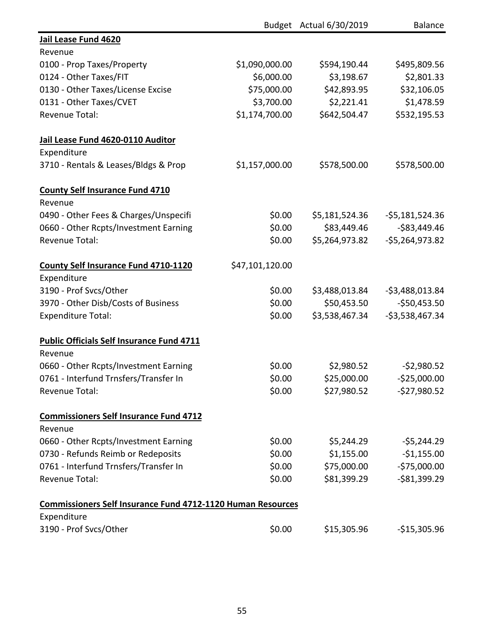|                                                                    |                 | Budget Actual 6/30/2019 | <b>Balance</b>   |
|--------------------------------------------------------------------|-----------------|-------------------------|------------------|
| Jail Lease Fund 4620                                               |                 |                         |                  |
| Revenue                                                            |                 |                         |                  |
| 0100 - Prop Taxes/Property                                         | \$1,090,000.00  | \$594,190.44            | \$495,809.56     |
| 0124 - Other Taxes/FIT                                             | \$6,000.00      | \$3,198.67              | \$2,801.33       |
| 0130 - Other Taxes/License Excise                                  | \$75,000.00     | \$42,893.95             | \$32,106.05      |
| 0131 - Other Taxes/CVET                                            | \$3,700.00      | \$2,221.41              | \$1,478.59       |
| <b>Revenue Total:</b>                                              | \$1,174,700.00  | \$642,504.47            | \$532,195.53     |
| Jail Lease Fund 4620-0110 Auditor                                  |                 |                         |                  |
| Expenditure                                                        |                 |                         |                  |
| 3710 - Rentals & Leases/Bldgs & Prop                               | \$1,157,000.00  | \$578,500.00            | \$578,500.00     |
| <b>County Self Insurance Fund 4710</b>                             |                 |                         |                  |
| Revenue                                                            |                 |                         |                  |
| 0490 - Other Fees & Charges/Unspecifi                              | \$0.00          | \$5,181,524.36          | $-55,181,524.36$ |
| 0660 - Other Rcpts/Investment Earning                              | \$0.00          | \$83,449.46             | $-$ \$83,449.46  |
| <b>Revenue Total:</b>                                              | \$0.00          | \$5,264,973.82          | $-55,264,973.82$ |
| <b>County Self Insurance Fund 4710-1120</b>                        | \$47,101,120.00 |                         |                  |
| Expenditure                                                        |                 |                         |                  |
| 3190 - Prof Svcs/Other                                             | \$0.00          | \$3,488,013.84          | $-53,488,013.84$ |
| 3970 - Other Disb/Costs of Business                                | \$0.00          | \$50,453.50             | $-$ \$50,453.50  |
| <b>Expenditure Total:</b>                                          | \$0.00          | \$3,538,467.34          | $-53,538,467.34$ |
| <b>Public Officials Self Insurance Fund 4711</b>                   |                 |                         |                  |
| Revenue                                                            |                 |                         |                  |
| 0660 - Other Rcpts/Investment Earning                              | \$0.00          | \$2,980.52              | $-52,980.52$     |
| 0761 - Interfund Trnsfers/Transfer In                              | \$0.00          | \$25,000.00             | $-525,000.00$    |
| Revenue Total:                                                     | \$0.00          | \$27,980.52             | $-527,980.52$    |
| <b>Commissioners Self Insurance Fund 4712</b>                      |                 |                         |                  |
| Revenue                                                            |                 |                         |                  |
| 0660 - Other Rcpts/Investment Earning                              | \$0.00          | \$5,244.29              | $-55,244.29$     |
| 0730 - Refunds Reimb or Redeposits                                 | \$0.00          | \$1,155.00              | $-$1,155.00$     |
| 0761 - Interfund Trnsfers/Transfer In                              | \$0.00          | \$75,000.00             | $-575,000.00$    |
| <b>Revenue Total:</b>                                              | \$0.00          | \$81,399.29             | $-581,399.29$    |
| <b>Commissioners Self Insurance Fund 4712-1120 Human Resources</b> |                 |                         |                  |
| Expenditure                                                        |                 |                         |                  |
| 3190 - Prof Svcs/Other                                             | \$0.00          | \$15,305.96             | $-$15,305.96$    |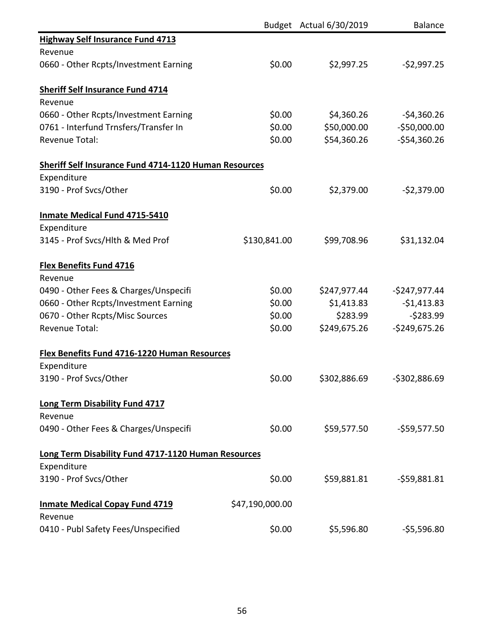|                                                              |                 | Budget Actual 6/30/2019 | <b>Balance</b> |
|--------------------------------------------------------------|-----------------|-------------------------|----------------|
| <b>Highway Self Insurance Fund 4713</b>                      |                 |                         |                |
| Revenue                                                      |                 |                         |                |
| 0660 - Other Rcpts/Investment Earning                        | \$0.00          | \$2,997.25              | $-52,997.25$   |
| <b>Sheriff Self Insurance Fund 4714</b>                      |                 |                         |                |
| Revenue                                                      |                 |                         |                |
| 0660 - Other Rcpts/Investment Earning                        | \$0.00          | \$4,360.26              | $-54,360.26$   |
| 0761 - Interfund Trnsfers/Transfer In                        | \$0.00          | \$50,000.00             | $-$50,000.00$  |
| <b>Revenue Total:</b>                                        | \$0.00          | \$54,360.26             | $-$54,360.26$  |
| <b>Sheriff Self Insurance Fund 4714-1120 Human Resources</b> |                 |                         |                |
| Expenditure                                                  |                 |                         |                |
| 3190 - Prof Svcs/Other                                       | \$0.00          | \$2,379.00              | $-52,379.00$   |
| Inmate Medical Fund 4715-5410                                |                 |                         |                |
| Expenditure                                                  |                 |                         |                |
| 3145 - Prof Svcs/Hlth & Med Prof                             | \$130,841.00    | \$99,708.96             | \$31,132.04    |
| <b>Flex Benefits Fund 4716</b>                               |                 |                         |                |
| Revenue                                                      |                 |                         |                |
| 0490 - Other Fees & Charges/Unspecifi                        | \$0.00          | \$247,977.44            | $-$247,977.44$ |
| 0660 - Other Rcpts/Investment Earning                        | \$0.00          | \$1,413.83              | $-$1,413.83$   |
| 0670 - Other Rcpts/Misc Sources                              | \$0.00          | \$283.99                | $-5283.99$     |
| <b>Revenue Total:</b>                                        | \$0.00          | \$249,675.26            | $-5249,675.26$ |
| <b>Flex Benefits Fund 4716-1220 Human Resources</b>          |                 |                         |                |
| Expenditure                                                  |                 |                         |                |
| 3190 - Prof Svcs/Other                                       | \$0.00          | \$302,886.69            | $-5302,886.69$ |
| <b>Long Term Disability Fund 4717</b>                        |                 |                         |                |
| Revenue                                                      |                 |                         |                |
| 0490 - Other Fees & Charges/Unspecifi                        | \$0.00          | \$59,577.50             | $-$59,577.50$  |
| Long Term Disability Fund 4717-1120 Human Resources          |                 |                         |                |
| Expenditure                                                  |                 |                         |                |
| 3190 - Prof Svcs/Other                                       | \$0.00          | \$59,881.81             | $-559,881.81$  |
| <b>Inmate Medical Copay Fund 4719</b>                        | \$47,190,000.00 |                         |                |
| Revenue                                                      | \$0.00          |                         |                |
| 0410 - Publ Safety Fees/Unspecified                          |                 | \$5,596.80              | $-55,596.80$   |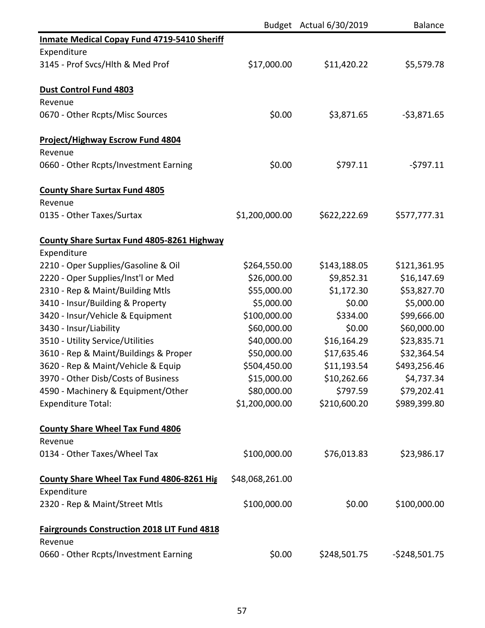|                                                    |                 | Budget Actual 6/30/2019 | Balance        |
|----------------------------------------------------|-----------------|-------------------------|----------------|
| <b>Inmate Medical Copay Fund 4719-5410 Sheriff</b> |                 |                         |                |
| Expenditure                                        |                 |                         |                |
| 3145 - Prof Svcs/Hlth & Med Prof                   | \$17,000.00     | \$11,420.22             | \$5,579.78     |
| <b>Dust Control Fund 4803</b>                      |                 |                         |                |
| Revenue                                            |                 |                         |                |
| 0670 - Other Rcpts/Misc Sources                    | \$0.00          | \$3,871.65              | $-53,871.65$   |
| <b>Project/Highway Escrow Fund 4804</b>            |                 |                         |                |
| Revenue                                            |                 |                         |                |
| 0660 - Other Rcpts/Investment Earning              | \$0.00          | \$797.11                | $-5797.11$     |
| <b>County Share Surtax Fund 4805</b>               |                 |                         |                |
| Revenue                                            |                 |                         |                |
| 0135 - Other Taxes/Surtax                          | \$1,200,000.00  | \$622,222.69            | \$577,777.31   |
| <b>County Share Surtax Fund 4805-8261 Highway</b>  |                 |                         |                |
| Expenditure                                        |                 |                         |                |
| 2210 - Oper Supplies/Gasoline & Oil                | \$264,550.00    | \$143,188.05            | \$121,361.95   |
| 2220 - Oper Supplies/Inst'l or Med                 | \$26,000.00     | \$9,852.31              | \$16,147.69    |
| 2310 - Rep & Maint/Building Mtls                   | \$55,000.00     | \$1,172.30              | \$53,827.70    |
| 3410 - Insur/Building & Property                   | \$5,000.00      | \$0.00                  | \$5,000.00     |
| 3420 - Insur/Vehicle & Equipment                   | \$100,000.00    | \$334.00                | \$99,666.00    |
| 3430 - Insur/Liability                             | \$60,000.00     | \$0.00                  | \$60,000.00    |
| 3510 - Utility Service/Utilities                   | \$40,000.00     | \$16,164.29             | \$23,835.71    |
| 3610 - Rep & Maint/Buildings & Proper              | \$50,000.00     | \$17,635.46             | \$32,364.54    |
| 3620 - Rep & Maint/Vehicle & Equip                 | \$504,450.00    | \$11,193.54             | \$493,256.46   |
| 3970 - Other Disb/Costs of Business                | \$15,000.00     | \$10,262.66             | \$4,737.34     |
| 4590 - Machinery & Equipment/Other                 | \$80,000.00     | \$797.59                | \$79,202.41    |
| <b>Expenditure Total:</b>                          | \$1,200,000.00  | \$210,600.20            | \$989,399.80   |
| <b>County Share Wheel Tax Fund 4806</b>            |                 |                         |                |
| Revenue                                            |                 |                         |                |
| 0134 - Other Taxes/Wheel Tax                       | \$100,000.00    | \$76,013.83             | \$23,986.17    |
| <b>County Share Wheel Tax Fund 4806-8261 Hig</b>   | \$48,068,261.00 |                         |                |
| Expenditure                                        |                 |                         |                |
| 2320 - Rep & Maint/Street Mtls                     | \$100,000.00    | \$0.00                  | \$100,000.00   |
| <b>Fairgrounds Construction 2018 LIT Fund 4818</b> |                 |                         |                |
| Revenue                                            |                 |                         |                |
| 0660 - Other Rcpts/Investment Earning              | \$0.00          | \$248,501.75            | $-$248,501.75$ |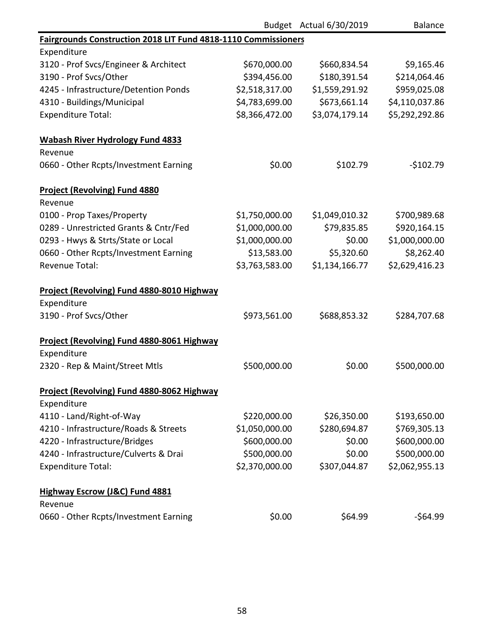|                                                                |                | Budget Actual 6/30/2019 | <b>Balance</b> |
|----------------------------------------------------------------|----------------|-------------------------|----------------|
| Fairgrounds Construction 2018 LIT Fund 4818-1110 Commissioners |                |                         |                |
| Expenditure                                                    |                |                         |                |
| 3120 - Prof Svcs/Engineer & Architect                          | \$670,000.00   | \$660,834.54            | \$9,165.46     |
| 3190 - Prof Svcs/Other                                         | \$394,456.00   | \$180,391.54            | \$214,064.46   |
| 4245 - Infrastructure/Detention Ponds                          | \$2,518,317.00 | \$1,559,291.92          | \$959,025.08   |
| 4310 - Buildings/Municipal                                     | \$4,783,699.00 | \$673,661.14            | \$4,110,037.86 |
| <b>Expenditure Total:</b>                                      | \$8,366,472.00 | \$3,074,179.14          | \$5,292,292.86 |
| <b>Wabash River Hydrology Fund 4833</b>                        |                |                         |                |
| Revenue                                                        |                |                         |                |
| 0660 - Other Rcpts/Investment Earning                          | \$0.00         | \$102.79                | $-$102.79$     |
| <b>Project (Revolving) Fund 4880</b>                           |                |                         |                |
| Revenue                                                        |                |                         |                |
| 0100 - Prop Taxes/Property                                     | \$1,750,000.00 | \$1,049,010.32          | \$700,989.68   |
| 0289 - Unrestricted Grants & Cntr/Fed                          | \$1,000,000.00 | \$79,835.85             | \$920,164.15   |
| 0293 - Hwys & Strts/State or Local                             | \$1,000,000.00 | \$0.00                  | \$1,000,000.00 |
| 0660 - Other Rcpts/Investment Earning                          | \$13,583.00    | \$5,320.60              | \$8,262.40     |
| <b>Revenue Total:</b>                                          | \$3,763,583.00 | \$1,134,166.77          | \$2,629,416.23 |
| Project (Revolving) Fund 4880-8010 Highway                     |                |                         |                |
| Expenditure                                                    |                |                         |                |
| 3190 - Prof Svcs/Other                                         | \$973,561.00   | \$688,853.32            | \$284,707.68   |
| Project (Revolving) Fund 4880-8061 Highway                     |                |                         |                |
| Expenditure                                                    |                |                         |                |
| 2320 - Rep & Maint/Street Mtls                                 | \$500,000.00   | \$0.00                  | \$500,000.00   |
| Project (Revolving) Fund 4880-8062 Highway                     |                |                         |                |
| Expenditure                                                    |                |                         |                |
| 4110 - Land/Right-of-Way                                       | \$220,000.00   | \$26,350.00             | \$193,650.00   |
| 4210 - Infrastructure/Roads & Streets                          | \$1,050,000.00 | \$280,694.87            | \$769,305.13   |
| 4220 - Infrastructure/Bridges                                  | \$600,000.00   | \$0.00                  | \$600,000.00   |
| 4240 - Infrastructure/Culverts & Drai                          | \$500,000.00   | \$0.00                  | \$500,000.00   |
| <b>Expenditure Total:</b>                                      | \$2,370,000.00 | \$307,044.87            | \$2,062,955.13 |
| <b>Highway Escrow (J&amp;C) Fund 4881</b>                      |                |                         |                |
| Revenue                                                        |                |                         |                |
| 0660 - Other Rcpts/Investment Earning                          | \$0.00         | \$64.99                 | -\$64.99       |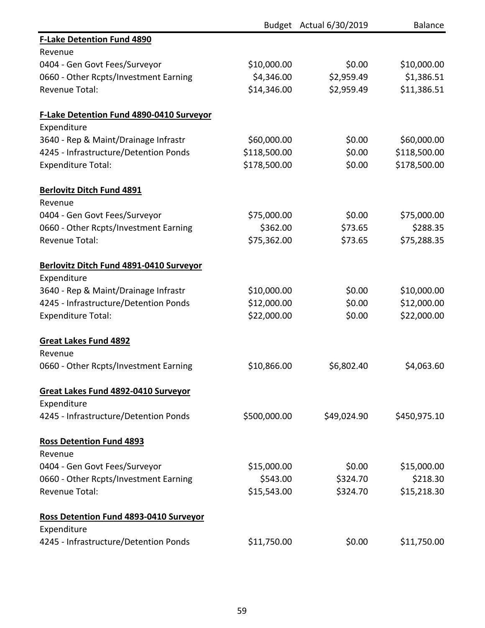|                                               |              | Budget Actual 6/30/2019 | <b>Balance</b> |
|-----------------------------------------------|--------------|-------------------------|----------------|
| <b>F-Lake Detention Fund 4890</b>             |              |                         |                |
| Revenue                                       |              |                         |                |
| 0404 - Gen Govt Fees/Surveyor                 | \$10,000.00  | \$0.00                  | \$10,000.00    |
| 0660 - Other Rcpts/Investment Earning         | \$4,346.00   | \$2,959.49              | \$1,386.51     |
| <b>Revenue Total:</b>                         | \$14,346.00  | \$2,959.49              | \$11,386.51    |
| F-Lake Detention Fund 4890-0410 Surveyor      |              |                         |                |
| Expenditure                                   |              |                         |                |
| 3640 - Rep & Maint/Drainage Infrastr          | \$60,000.00  | \$0.00                  | \$60,000.00    |
| 4245 - Infrastructure/Detention Ponds         | \$118,500.00 | \$0.00                  | \$118,500.00   |
| <b>Expenditure Total:</b>                     | \$178,500.00 | \$0.00                  | \$178,500.00   |
| <b>Berlovitz Ditch Fund 4891</b>              |              |                         |                |
| Revenue                                       |              |                         |                |
| 0404 - Gen Govt Fees/Surveyor                 | \$75,000.00  | \$0.00                  | \$75,000.00    |
| 0660 - Other Rcpts/Investment Earning         | \$362.00     | \$73.65                 | \$288.35       |
| <b>Revenue Total:</b>                         | \$75,362.00  | \$73.65                 | \$75,288.35    |
| Berlovitz Ditch Fund 4891-0410 Surveyor       |              |                         |                |
| Expenditure                                   |              |                         |                |
| 3640 - Rep & Maint/Drainage Infrastr          | \$10,000.00  | \$0.00                  | \$10,000.00    |
| 4245 - Infrastructure/Detention Ponds         | \$12,000.00  | \$0.00                  | \$12,000.00    |
| <b>Expenditure Total:</b>                     | \$22,000.00  | \$0.00                  | \$22,000.00    |
| <b>Great Lakes Fund 4892</b>                  |              |                         |                |
| Revenue                                       |              |                         |                |
| 0660 - Other Rcpts/Investment Earning         | \$10,866.00  | \$6,802.40              | \$4,063.60     |
| <b>Great Lakes Fund 4892-0410 Surveyor</b>    |              |                         |                |
| Expenditure                                   |              |                         |                |
| 4245 - Infrastructure/Detention Ponds         | \$500,000.00 | \$49,024.90             | \$450,975.10   |
| <b>Ross Detention Fund 4893</b>               |              |                         |                |
| Revenue                                       |              |                         |                |
| 0404 - Gen Govt Fees/Surveyor                 | \$15,000.00  | \$0.00                  | \$15,000.00    |
| 0660 - Other Rcpts/Investment Earning         | \$543.00     | \$324.70                | \$218.30       |
| <b>Revenue Total:</b>                         | \$15,543.00  | \$324.70                | \$15,218.30    |
| <b>Ross Detention Fund 4893-0410 Surveyor</b> |              |                         |                |
| Expenditure                                   |              |                         |                |
| 4245 - Infrastructure/Detention Ponds         | \$11,750.00  | \$0.00                  | \$11,750.00    |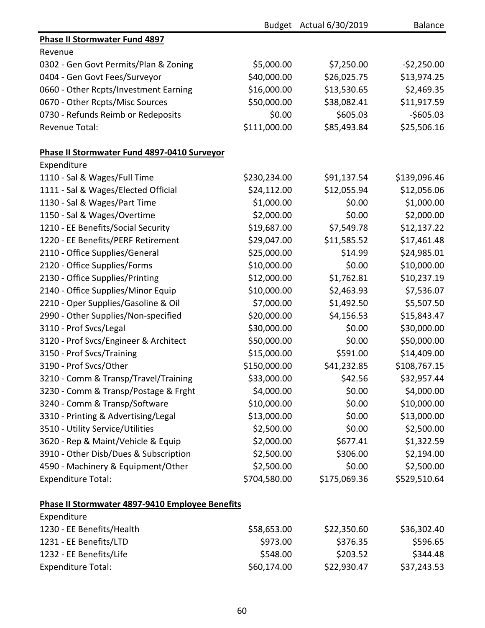|                                                 |              | Budget Actual 6/30/2019 | <b>Balance</b> |
|-------------------------------------------------|--------------|-------------------------|----------------|
| <b>Phase II Stormwater Fund 4897</b>            |              |                         |                |
| Revenue                                         |              |                         |                |
| 0302 - Gen Govt Permits/Plan & Zoning           | \$5,000.00   | \$7,250.00              | $-52,250.00$   |
| 0404 - Gen Govt Fees/Surveyor                   | \$40,000.00  | \$26,025.75             | \$13,974.25    |
| 0660 - Other Rcpts/Investment Earning           | \$16,000.00  | \$13,530.65             | \$2,469.35     |
| 0670 - Other Rcpts/Misc Sources                 | \$50,000.00  | \$38,082.41             | \$11,917.59    |
| 0730 - Refunds Reimb or Redeposits              | \$0.00       | \$605.03                | $-$605.03$     |
| <b>Revenue Total:</b>                           | \$111,000.00 | \$85,493.84             | \$25,506.16    |
| Phase II Stormwater Fund 4897-0410 Surveyor     |              |                         |                |
| Expenditure                                     |              |                         |                |
| 1110 - Sal & Wages/Full Time                    | \$230,234.00 | \$91,137.54             | \$139,096.46   |
| 1111 - Sal & Wages/Elected Official             | \$24,112.00  | \$12,055.94             | \$12,056.06    |
| 1130 - Sal & Wages/Part Time                    | \$1,000.00   | \$0.00                  | \$1,000.00     |
| 1150 - Sal & Wages/Overtime                     | \$2,000.00   | \$0.00                  | \$2,000.00     |
| 1210 - EE Benefits/Social Security              | \$19,687.00  | \$7,549.78              | \$12,137.22    |
| 1220 - EE Benefits/PERF Retirement              | \$29,047.00  | \$11,585.52             | \$17,461.48    |
| 2110 - Office Supplies/General                  | \$25,000.00  | \$14.99                 | \$24,985.01    |
| 2120 - Office Supplies/Forms                    | \$10,000.00  | \$0.00                  | \$10,000.00    |
| 2130 - Office Supplies/Printing                 | \$12,000.00  | \$1,762.81              | \$10,237.19    |
| 2140 - Office Supplies/Minor Equip              | \$10,000.00  | \$2,463.93              | \$7,536.07     |
| 2210 - Oper Supplies/Gasoline & Oil             | \$7,000.00   | \$1,492.50              | \$5,507.50     |
| 2990 - Other Supplies/Non-specified             | \$20,000.00  | \$4,156.53              | \$15,843.47    |
| 3110 - Prof Svcs/Legal                          | \$30,000.00  | \$0.00                  | \$30,000.00    |
| 3120 - Prof Svcs/Engineer & Architect           | \$50,000.00  | \$0.00                  | \$50,000.00    |
| 3150 - Prof Svcs/Training                       | \$15,000.00  | \$591.00                | \$14,409.00    |
| 3190 - Prof Svcs/Other                          | \$150,000.00 | \$41,232.85             | \$108,767.15   |
| 3210 - Comm & Transp/Travel/Training            | \$33,000.00  | \$42.56                 | \$32,957.44    |
| 3230 - Comm & Transp/Postage & Frght            | \$4,000.00   | \$0.00                  | \$4,000.00     |
| 3240 - Comm & Transp/Software                   | \$10,000.00  | \$0.00                  | \$10,000.00    |
| 3310 - Printing & Advertising/Legal             | \$13,000.00  | \$0.00                  | \$13,000.00    |
| 3510 - Utility Service/Utilities                | \$2,500.00   | \$0.00                  | \$2,500.00     |
| 3620 - Rep & Maint/Vehicle & Equip              | \$2,000.00   | \$677.41                | \$1,322.59     |
| 3910 - Other Disb/Dues & Subscription           | \$2,500.00   | \$306.00                | \$2,194.00     |
| 4590 - Machinery & Equipment/Other              | \$2,500.00   | \$0.00                  | \$2,500.00     |
| <b>Expenditure Total:</b>                       | \$704,580.00 | \$175,069.36            | \$529,510.64   |
| Phase II Stormwater 4897-9410 Employee Benefits |              |                         |                |
| Expenditure                                     |              |                         |                |
| 1230 - EE Benefits/Health                       | \$58,653.00  | \$22,350.60             | \$36,302.40    |
| 1231 - EE Benefits/LTD                          | \$973.00     | \$376.35                | \$596.65       |
| 1232 - EE Benefits/Life                         | \$548.00     | \$203.52                | \$344.48       |
| <b>Expenditure Total:</b>                       | \$60,174.00  | \$22,930.47             | \$37,243.53    |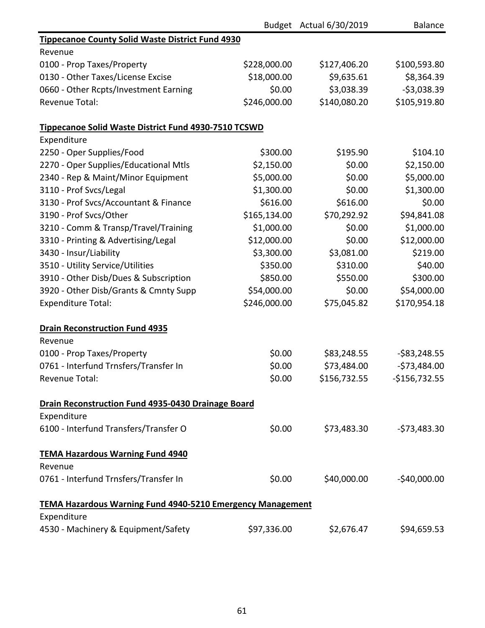|                                                                   |              | Budget Actual 6/30/2019 | <b>Balance</b> |
|-------------------------------------------------------------------|--------------|-------------------------|----------------|
| <b>Tippecanoe County Solid Waste District Fund 4930</b>           |              |                         |                |
| Revenue                                                           |              |                         |                |
| 0100 - Prop Taxes/Property                                        | \$228,000.00 | \$127,406.20            | \$100,593.80   |
| 0130 - Other Taxes/License Excise                                 | \$18,000.00  | \$9,635.61              | \$8,364.39     |
| 0660 - Other Rcpts/Investment Earning                             | \$0.00       | \$3,038.39              | $-53,038.39$   |
| <b>Revenue Total:</b>                                             | \$246,000.00 | \$140,080.20            | \$105,919.80   |
| Tippecanoe Solid Waste District Fund 4930-7510 TCSWD              |              |                         |                |
| Expenditure                                                       |              |                         |                |
| 2250 - Oper Supplies/Food                                         | \$300.00     | \$195.90                | \$104.10       |
| 2270 - Oper Supplies/Educational Mtls                             | \$2,150.00   | \$0.00                  | \$2,150.00     |
| 2340 - Rep & Maint/Minor Equipment                                | \$5,000.00   | \$0.00                  | \$5,000.00     |
| 3110 - Prof Svcs/Legal                                            | \$1,300.00   | \$0.00                  | \$1,300.00     |
| 3130 - Prof Svcs/Accountant & Finance                             | \$616.00     | \$616.00                | \$0.00         |
| 3190 - Prof Svcs/Other                                            | \$165,134.00 | \$70,292.92             | \$94,841.08    |
| 3210 - Comm & Transp/Travel/Training                              | \$1,000.00   | \$0.00                  | \$1,000.00     |
| 3310 - Printing & Advertising/Legal                               | \$12,000.00  | \$0.00                  | \$12,000.00    |
| 3430 - Insur/Liability                                            | \$3,300.00   | \$3,081.00              | \$219.00       |
| 3510 - Utility Service/Utilities                                  | \$350.00     | \$310.00                | \$40.00        |
| 3910 - Other Disb/Dues & Subscription                             | \$850.00     | \$550.00                | \$300.00       |
| 3920 - Other Disb/Grants & Cmnty Supp                             | \$54,000.00  | \$0.00                  | \$54,000.00    |
| <b>Expenditure Total:</b>                                         | \$246,000.00 | \$75,045.82             | \$170,954.18   |
| <b>Drain Reconstruction Fund 4935</b>                             |              |                         |                |
| Revenue                                                           |              |                         |                |
| 0100 - Prop Taxes/Property                                        | \$0.00       | \$83,248.55             | $-583,248.55$  |
| 0761 - Interfund Trnsfers/Transfer In                             | \$0.00       | \$73,484.00             | $-573,484.00$  |
| Revenue Total:                                                    | \$0.00       | \$156,732.55            | $-$156,732.55$ |
| Drain Reconstruction Fund 4935-0430 Drainage Board                |              |                         |                |
| Expenditure                                                       |              |                         |                |
| 6100 - Interfund Transfers/Transfer O                             | \$0.00       | \$73,483.30             | $-573,483.30$  |
| <b>TEMA Hazardous Warning Fund 4940</b>                           |              |                         |                |
| Revenue                                                           |              |                         |                |
| 0761 - Interfund Trnsfers/Transfer In                             | \$0.00       | \$40,000.00             | $-$40,000.00$  |
| <b>TEMA Hazardous Warning Fund 4940-5210 Emergency Management</b> |              |                         |                |
| Expenditure                                                       |              |                         |                |
| 4530 - Machinery & Equipment/Safety                               | \$97,336.00  | \$2,676.47              | \$94,659.53    |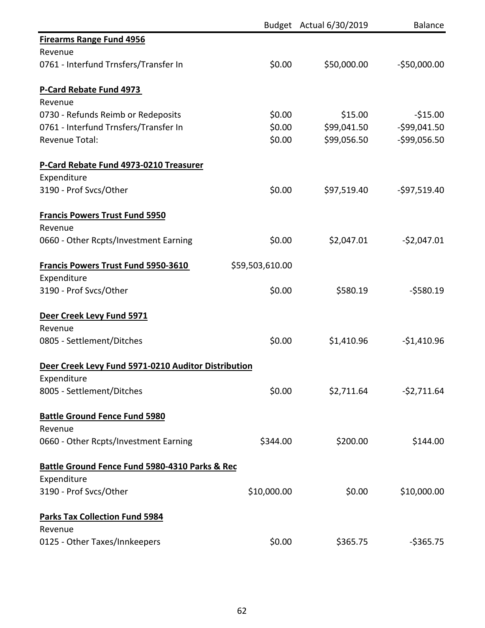|                                                     |                 | Budget Actual 6/30/2019 | <b>Balance</b>  |
|-----------------------------------------------------|-----------------|-------------------------|-----------------|
| <b>Firearms Range Fund 4956</b>                     |                 |                         |                 |
| Revenue                                             |                 |                         |                 |
| 0761 - Interfund Trnsfers/Transfer In               | \$0.00          | \$50,000.00             | $-$50,000.00$   |
| P-Card Rebate Fund 4973                             |                 |                         |                 |
| Revenue                                             |                 |                         |                 |
| 0730 - Refunds Reimb or Redeposits                  | \$0.00          | \$15.00                 | $-$15.00$       |
| 0761 - Interfund Trnsfers/Transfer In               | \$0.00          | \$99,041.50             | $-$ \$99,041.50 |
| <b>Revenue Total:</b>                               | \$0.00          | \$99,056.50             | $-$99,056.50$   |
| P-Card Rebate Fund 4973-0210 Treasurer              |                 |                         |                 |
| Expenditure<br>3190 - Prof Svcs/Other               | \$0.00          | \$97,519.40             | $-597,519.40$   |
|                                                     |                 |                         |                 |
| <b>Francis Powers Trust Fund 5950</b>               |                 |                         |                 |
| Revenue                                             |                 |                         |                 |
| 0660 - Other Rcpts/Investment Earning               | \$0.00          | \$2,047.01              | $-52,047.01$    |
| <b>Francis Powers Trust Fund 5950-3610</b>          | \$59,503,610.00 |                         |                 |
| Expenditure                                         |                 |                         |                 |
| 3190 - Prof Svcs/Other                              | \$0.00          | \$580.19                | $-5580.19$      |
| Deer Creek Levy Fund 5971                           |                 |                         |                 |
| Revenue                                             |                 |                         |                 |
| 0805 - Settlement/Ditches                           | \$0.00          | \$1,410.96              | $-$1,410.96$    |
| Deer Creek Levy Fund 5971-0210 Auditor Distribution |                 |                         |                 |
| Expenditure                                         |                 |                         |                 |
| 8005 - Settlement/Ditches                           | \$0.00          | \$2,711.64              | $-52,711.64$    |
| <b>Battle Ground Fence Fund 5980</b>                |                 |                         |                 |
| Revenue                                             |                 |                         |                 |
| 0660 - Other Rcpts/Investment Earning               | \$344.00        | \$200.00                | \$144.00        |
| Battle Ground Fence Fund 5980-4310 Parks & Rec      |                 |                         |                 |
| Expenditure                                         |                 |                         |                 |
| 3190 - Prof Svcs/Other                              | \$10,000.00     | \$0.00                  | \$10,000.00     |
| <b>Parks Tax Collection Fund 5984</b>               |                 |                         |                 |
| Revenue                                             |                 |                         |                 |
| 0125 - Other Taxes/Innkeepers                       | \$0.00          | \$365.75                | $-$ \$365.75    |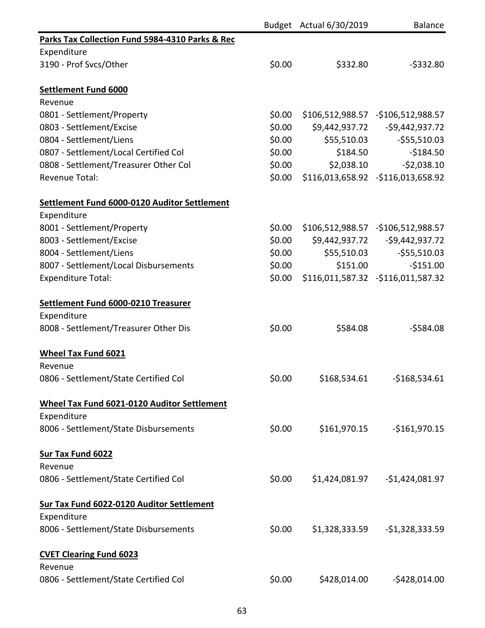|                                                    |        | Budget Actual 6/30/2019 | <b>Balance</b>                      |
|----------------------------------------------------|--------|-------------------------|-------------------------------------|
| Parks Tax Collection Fund 5984-4310 Parks & Rec    |        |                         |                                     |
| Expenditure                                        |        |                         |                                     |
| 3190 - Prof Svcs/Other                             | \$0.00 | \$332.80                | $-$ \$332.80                        |
| Settlement Fund 6000                               |        |                         |                                     |
| Revenue                                            |        |                         |                                     |
| 0801 - Settlement/Property                         | \$0.00 |                         | \$106,512,988.57 - \$106,512,988.57 |
| 0803 - Settlement/Excise                           | \$0.00 |                         |                                     |
| 0804 - Settlement/Liens                            | \$0.00 | \$55,510.03             | $-555,510.03$                       |
| 0807 - Settlement/Local Certified Col              | \$0.00 | \$184.50                | $-$184.50$                          |
| 0808 - Settlement/Treasurer Other Col              | \$0.00 | \$2,038.10              | $-52,038.10$                        |
| <b>Revenue Total:</b>                              | \$0.00 |                         | \$116,013,658.92 - \$116,013,658.92 |
| Settlement Fund 6000-0120 Auditor Settlement       |        |                         |                                     |
| Expenditure                                        |        |                         |                                     |
| 8001 - Settlement/Property                         | \$0.00 |                         | \$106,512,988.57 - \$106,512,988.57 |
| 8003 - Settlement/Excise                           | \$0.00 |                         | \$9,442,937.72 - \$9,442,937.72     |
| 8004 - Settlement/Liens                            | \$0.00 | \$55,510.03             | $-555,510.03$                       |
| 8007 - Settlement/Local Disbursements              | \$0.00 | \$151.00                | $-$151.00$                          |
| <b>Expenditure Total:</b>                          | \$0.00 |                         | \$116,011,587.32 -\$116,011,587.32  |
| Settlement Fund 6000-0210 Treasurer                |        |                         |                                     |
| Expenditure                                        |        |                         |                                     |
| 8008 - Settlement/Treasurer Other Dis              | \$0.00 | \$584.08                | $-5584.08$                          |
| <b>Wheel Tax Fund 6021</b>                         |        |                         |                                     |
| Revenue                                            |        |                         |                                     |
| 0806 - Settlement/State Certified Col              | \$0.00 | \$168,534.61            | $-$168,534.61$                      |
| <b>Wheel Tax Fund 6021-0120 Auditor Settlement</b> |        |                         |                                     |
| Expenditure                                        |        |                         |                                     |
| 8006 - Settlement/State Disbursements              | \$0.00 | \$161,970.15            | $-$161,970.15$                      |
| <b>Sur Tax Fund 6022</b>                           |        |                         |                                     |
| Revenue                                            |        |                         |                                     |
| 0806 - Settlement/State Certified Col              | \$0.00 | \$1,424,081.97          | $-$1,424,081.97$                    |
| Sur Tax Fund 6022-0120 Auditor Settlement          |        |                         |                                     |
| Expenditure                                        |        |                         |                                     |
| 8006 - Settlement/State Disbursements              | \$0.00 | \$1,328,333.59          | $-$1,328,333.59$                    |
| <b>CVET Clearing Fund 6023</b>                     |        |                         |                                     |
| Revenue                                            |        |                         |                                     |
| 0806 - Settlement/State Certified Col              | \$0.00 | \$428,014.00            | $-$ \$428,014.00                    |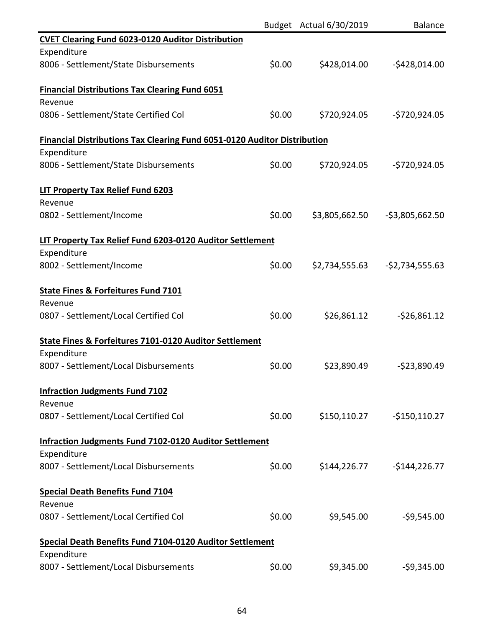|                                                                                 |        | Budget Actual 6/30/2019 | <b>Balance</b>   |
|---------------------------------------------------------------------------------|--------|-------------------------|------------------|
| <b>CVET Clearing Fund 6023-0120 Auditor Distribution</b>                        |        |                         |                  |
| Expenditure                                                                     |        |                         |                  |
| 8006 - Settlement/State Disbursements                                           | \$0.00 | \$428,014.00            | $-$428,014.00$   |
| <b>Financial Distributions Tax Clearing Fund 6051</b>                           |        |                         |                  |
| Revenue                                                                         |        |                         |                  |
| 0806 - Settlement/State Certified Col                                           | \$0.00 | \$720,924.05            | $-5720,924.05$   |
| <b>Financial Distributions Tax Clearing Fund 6051-0120 Auditor Distribution</b> |        |                         |                  |
| Expenditure                                                                     |        |                         |                  |
| 8006 - Settlement/State Disbursements                                           | \$0.00 | \$720,924.05            | $-5720,924.05$   |
| <b>LIT Property Tax Relief Fund 6203</b>                                        |        |                         |                  |
| Revenue                                                                         |        |                         |                  |
| 0802 - Settlement/Income                                                        | \$0.00 | \$3,805,662.50          | $-53,805,662.50$ |
| LIT Property Tax Relief Fund 6203-0120 Auditor Settlement                       |        |                         |                  |
| Expenditure                                                                     |        |                         |                  |
| 8002 - Settlement/Income                                                        | \$0.00 | \$2,734,555.63          | $-52,734,555.63$ |
| <b>State Fines &amp; Forfeitures Fund 7101</b>                                  |        |                         |                  |
| Revenue                                                                         |        |                         |                  |
| 0807 - Settlement/Local Certified Col                                           | \$0.00 | \$26,861.12             | $-526,861.12$    |
| <b>State Fines &amp; Forfeitures 7101-0120 Auditor Settlement</b>               |        |                         |                  |
| Expenditure                                                                     |        |                         |                  |
| 8007 - Settlement/Local Disbursements                                           | \$0.00 | \$23,890.49             | $-523,890.49$    |
| <b>Infraction Judgments Fund 7102</b>                                           |        |                         |                  |
| Revenue                                                                         |        |                         |                  |
| 0807 - Settlement/Local Certified Col                                           | \$0.00 | \$150,110.27            | $-$150,110.27$   |
| <b>Infraction Judgments Fund 7102-0120 Auditor Settlement</b>                   |        |                         |                  |
| Expenditure                                                                     |        |                         |                  |
| 8007 - Settlement/Local Disbursements                                           | \$0.00 | \$144,226.77            | $-$144,226.77$   |
| <b>Special Death Benefits Fund 7104</b>                                         |        |                         |                  |
| Revenue                                                                         |        |                         |                  |
| 0807 - Settlement/Local Certified Col                                           | \$0.00 | \$9,545.00              | $-59,545.00$     |
| Special Death Benefits Fund 7104-0120 Auditor Settlement                        |        |                         |                  |
| Expenditure                                                                     |        |                         |                  |
| 8007 - Settlement/Local Disbursements                                           | \$0.00 | \$9,345.00              | $-59,345.00$     |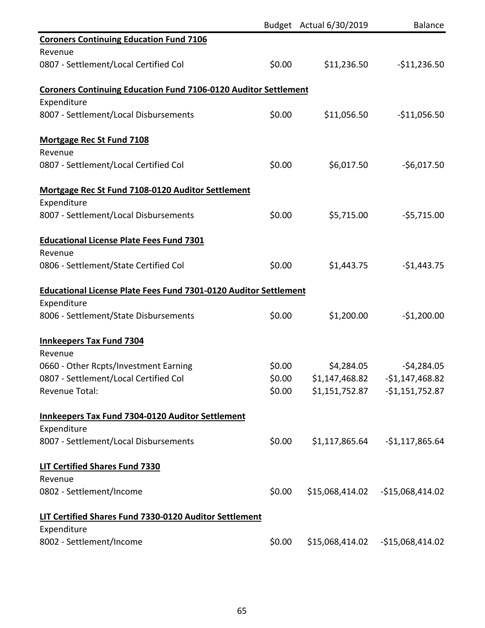|                                                                         |        | Budget Actual 6/30/2019                 | <b>Balance</b>                    |
|-------------------------------------------------------------------------|--------|-----------------------------------------|-----------------------------------|
| <b>Coroners Continuing Education Fund 7106</b>                          |        |                                         |                                   |
| Revenue                                                                 |        |                                         |                                   |
| 0807 - Settlement/Local Certified Col                                   | \$0.00 | \$11,236.50                             | $-$11,236.50$                     |
| <b>Coroners Continuing Education Fund 7106-0120 Auditor Settlement</b>  |        |                                         |                                   |
| Expenditure                                                             |        |                                         |                                   |
| 8007 - Settlement/Local Disbursements                                   | \$0.00 | \$11,056.50                             | $-$11,056.50$                     |
| <b>Mortgage Rec St Fund 7108</b>                                        |        |                                         |                                   |
| Revenue                                                                 |        |                                         |                                   |
| 0807 - Settlement/Local Certified Col                                   | \$0.00 | \$6,017.50                              | $-56,017.50$                      |
| Mortgage Rec St Fund 7108-0120 Auditor Settlement                       |        |                                         |                                   |
| Expenditure                                                             |        |                                         |                                   |
| 8007 - Settlement/Local Disbursements                                   | \$0.00 | \$5,715.00                              | $-$5,715.00$                      |
| <b>Educational License Plate Fees Fund 7301</b>                         |        |                                         |                                   |
| Revenue                                                                 |        |                                         |                                   |
| 0806 - Settlement/State Certified Col                                   | \$0.00 | \$1,443.75                              | $-$1,443.75$                      |
| <b>Educational License Plate Fees Fund 7301-0120 Auditor Settlement</b> |        |                                         |                                   |
| Expenditure                                                             |        |                                         |                                   |
| 8006 - Settlement/State Disbursements                                   | \$0.00 | \$1,200.00                              | $-$1,200.00$                      |
| <b>Innkeepers Tax Fund 7304</b>                                         |        |                                         |                                   |
| Revenue                                                                 |        |                                         |                                   |
| 0660 - Other Rcpts/Investment Earning                                   | \$0.00 | \$4,284.05                              | $-54,284.05$                      |
| 0807 - Settlement/Local Certified Col                                   |        | $$0.00$ $$1,147,468.82$ $$1,147,468.82$ |                                   |
| <b>Revenue Total:</b>                                                   | \$0.00 |                                         | \$1,151,752.87 - \$1,151,752.87   |
| <b>Innkeepers Tax Fund 7304-0120 Auditor Settlement</b>                 |        |                                         |                                   |
| Expenditure                                                             |        |                                         |                                   |
| 8007 - Settlement/Local Disbursements                                   | \$0.00 | \$1,117,865.64                          | $-51,117,865.64$                  |
| <b>LIT Certified Shares Fund 7330</b>                                   |        |                                         |                                   |
| Revenue                                                                 |        |                                         |                                   |
| 0802 - Settlement/Income                                                | \$0.00 |                                         |                                   |
| LIT Certified Shares Fund 7330-0120 Auditor Settlement                  |        |                                         |                                   |
| Expenditure                                                             |        |                                         |                                   |
| 8002 - Settlement/Income                                                | \$0.00 |                                         | \$15,068,414.02 - \$15,068,414.02 |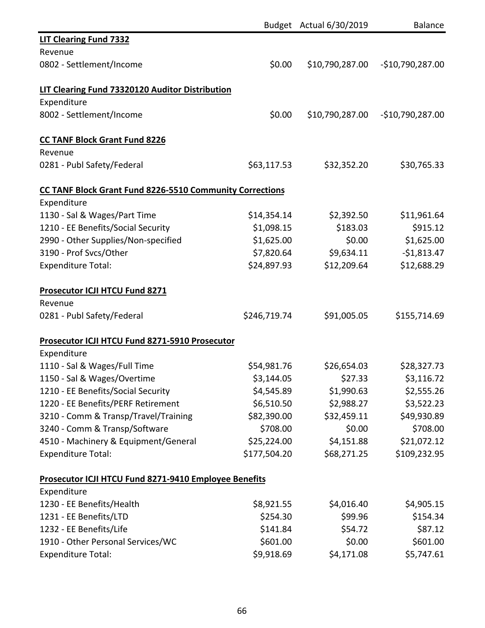|                                                                 |              | Budget Actual 6/30/2019 | <b>Balance</b>    |
|-----------------------------------------------------------------|--------------|-------------------------|-------------------|
| <b>LIT Clearing Fund 7332</b>                                   |              |                         |                   |
| Revenue                                                         |              |                         |                   |
| 0802 - Settlement/Income                                        | \$0.00       | \$10,790,287.00         | $-$10,790,287.00$ |
| LIT Clearing Fund 73320120 Auditor Distribution                 |              |                         |                   |
| Expenditure                                                     |              |                         |                   |
| 8002 - Settlement/Income                                        | \$0.00       | \$10,790,287.00         | $-$10,790,287.00$ |
| <b>CC TANF Block Grant Fund 8226</b>                            |              |                         |                   |
| Revenue                                                         |              |                         |                   |
| 0281 - Publ Safety/Federal                                      | \$63,117.53  | \$32,352.20             | \$30,765.33       |
| <b>CC TANF Block Grant Fund 8226-5510 Community Corrections</b> |              |                         |                   |
| Expenditure                                                     |              |                         |                   |
| 1130 - Sal & Wages/Part Time                                    | \$14,354.14  | \$2,392.50              | \$11,961.64       |
| 1210 - EE Benefits/Social Security                              | \$1,098.15   | \$183.03                | \$915.12          |
| 2990 - Other Supplies/Non-specified                             | \$1,625.00   | \$0.00                  | \$1,625.00        |
| 3190 - Prof Svcs/Other                                          | \$7,820.64   | \$9,634.11              | $-$1,813.47$      |
| <b>Expenditure Total:</b>                                       | \$24,897.93  | \$12,209.64             | \$12,688.29       |
| Prosecutor ICJI HTCU Fund 8271                                  |              |                         |                   |
| Revenue                                                         |              |                         |                   |
| 0281 - Publ Safety/Federal                                      | \$246,719.74 | \$91,005.05             | \$155,714.69      |
| Prosecutor ICJI HTCU Fund 8271-5910 Prosecutor                  |              |                         |                   |
| Expenditure                                                     |              |                         |                   |
| 1110 - Sal & Wages/Full Time                                    | \$54,981.76  | \$26,654.03             | \$28,327.73       |
| 1150 - Sal & Wages/Overtime                                     | \$3,144.05   | \$27.33                 | \$3,116.72        |
| 1210 - EE Benefits/Social Security                              | \$4,545.89   | \$1,990.63              | \$2,555.26        |
| 1220 - EE Benefits/PERF Retirement                              | \$6,510.50   | \$2,988.27              | \$3,522.23        |
| 3210 - Comm & Transp/Travel/Training                            | \$82,390.00  | \$32,459.11             | \$49,930.89       |
| 3240 - Comm & Transp/Software                                   | \$708.00     | \$0.00                  | \$708.00          |
| 4510 - Machinery & Equipment/General                            | \$25,224.00  | \$4,151.88              | \$21,072.12       |
| <b>Expenditure Total:</b>                                       | \$177,504.20 | \$68,271.25             | \$109,232.95      |
| Prosecutor ICJI HTCU Fund 8271-9410 Employee Benefits           |              |                         |                   |
| Expenditure                                                     |              |                         |                   |
| 1230 - EE Benefits/Health                                       | \$8,921.55   | \$4,016.40              | \$4,905.15        |
| 1231 - EE Benefits/LTD                                          | \$254.30     | \$99.96                 | \$154.34          |
| 1232 - EE Benefits/Life                                         | \$141.84     | \$54.72                 | \$87.12           |
| 1910 - Other Personal Services/WC                               | \$601.00     | \$0.00                  | \$601.00          |
| <b>Expenditure Total:</b>                                       | \$9,918.69   | \$4,171.08              | \$5,747.61        |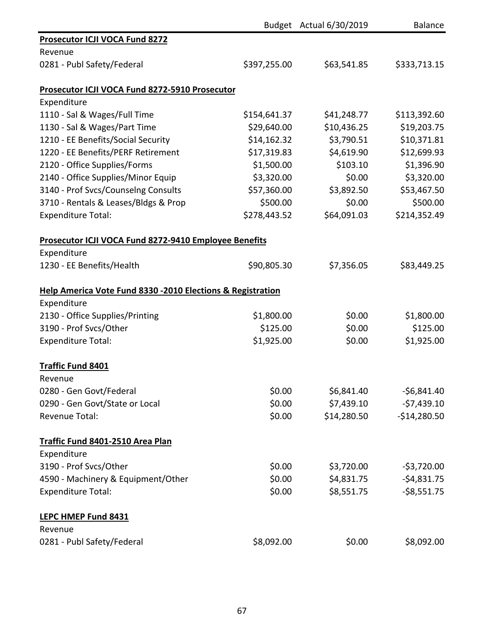|                                                              |              | Budget Actual 6/30/2019 | <b>Balance</b> |
|--------------------------------------------------------------|--------------|-------------------------|----------------|
| <b>Prosecutor ICJI VOCA Fund 8272</b>                        |              |                         |                |
| Revenue                                                      |              |                         |                |
| 0281 - Publ Safety/Federal                                   | \$397,255.00 | \$63,541.85             | \$333,713.15   |
| Prosecutor ICJI VOCA Fund 8272-5910 Prosecutor               |              |                         |                |
| Expenditure                                                  |              |                         |                |
| 1110 - Sal & Wages/Full Time                                 | \$154,641.37 | \$41,248.77             | \$113,392.60   |
| 1130 - Sal & Wages/Part Time                                 | \$29,640.00  | \$10,436.25             | \$19,203.75    |
| 1210 - EE Benefits/Social Security                           | \$14,162.32  | \$3,790.51              | \$10,371.81    |
| 1220 - EE Benefits/PERF Retirement                           | \$17,319.83  | \$4,619.90              | \$12,699.93    |
| 2120 - Office Supplies/Forms                                 | \$1,500.00   | \$103.10                | \$1,396.90     |
| 2140 - Office Supplies/Minor Equip                           | \$3,320.00   | \$0.00                  | \$3,320.00     |
| 3140 - Prof Svcs/Counselng Consults                          | \$57,360.00  | \$3,892.50              | \$53,467.50    |
| 3710 - Rentals & Leases/Bldgs & Prop                         | \$500.00     | \$0.00                  | \$500.00       |
| <b>Expenditure Total:</b>                                    | \$278,443.52 | \$64,091.03             | \$214,352.49   |
| <b>Prosecutor ICJI VOCA Fund 8272-9410 Employee Benefits</b> |              |                         |                |
| Expenditure                                                  |              |                         |                |
| 1230 - EE Benefits/Health                                    | \$90,805.30  | \$7,356.05              | \$83,449.25    |
| Help America Vote Fund 8330 -2010 Elections & Registration   |              |                         |                |
| Expenditure                                                  |              |                         |                |
| 2130 - Office Supplies/Printing                              | \$1,800.00   | \$0.00                  | \$1,800.00     |
| 3190 - Prof Svcs/Other                                       | \$125.00     | \$0.00                  | \$125.00       |
| <b>Expenditure Total:</b>                                    | \$1,925.00   | \$0.00                  | \$1,925.00     |
| <b>Traffic Fund 8401</b>                                     |              |                         |                |
| Revenue                                                      |              |                         |                |
| 0280 - Gen Govt/Federal                                      | \$0.00       | \$6,841.40              | $-56,841.40$   |
| 0290 - Gen Govt/State or Local                               | \$0.00       | \$7,439.10              | $-57,439.10$   |
| <b>Revenue Total:</b>                                        | \$0.00       | \$14,280.50             | $-$14,280.50$  |
| Traffic Fund 8401-2510 Area Plan                             |              |                         |                |
| Expenditure                                                  |              |                         |                |
| 3190 - Prof Svcs/Other                                       | \$0.00       | \$3,720.00              | $-53,720.00$   |
| 4590 - Machinery & Equipment/Other                           | \$0.00       | \$4,831.75              | $-54,831.75$   |
| <b>Expenditure Total:</b>                                    | \$0.00       | \$8,551.75              | $-58,551.75$   |
| LEPC HMEP Fund 8431                                          |              |                         |                |
| Revenue                                                      |              |                         |                |
| 0281 - Publ Safety/Federal                                   | \$8,092.00   | \$0.00                  | \$8,092.00     |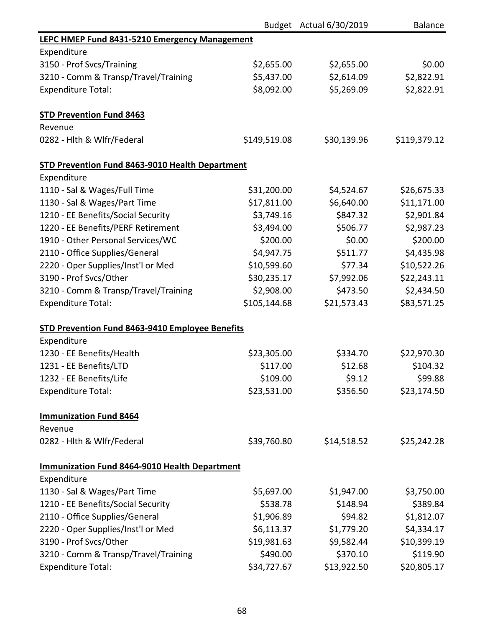|                                                      |              | Budget Actual 6/30/2019 | <b>Balance</b> |
|------------------------------------------------------|--------------|-------------------------|----------------|
| <b>LEPC HMEP Fund 8431-5210 Emergency Management</b> |              |                         |                |
| Expenditure                                          |              |                         |                |
| 3150 - Prof Svcs/Training                            | \$2,655.00   | \$2,655.00              | \$0.00         |
| 3210 - Comm & Transp/Travel/Training                 | \$5,437.00   | \$2,614.09              | \$2,822.91     |
| <b>Expenditure Total:</b>                            | \$8,092.00   | \$5,269.09              | \$2,822.91     |
| <b>STD Prevention Fund 8463</b>                      |              |                         |                |
| Revenue                                              |              |                         |                |
| 0282 - Hith & Wifr/Federal                           | \$149,519.08 | \$30,139.96             | \$119,379.12   |
| STD Prevention Fund 8463-9010 Health Department      |              |                         |                |
| Expenditure                                          |              |                         |                |
| 1110 - Sal & Wages/Full Time                         | \$31,200.00  | \$4,524.67              | \$26,675.33    |
| 1130 - Sal & Wages/Part Time                         | \$17,811.00  | \$6,640.00              | \$11,171.00    |
| 1210 - EE Benefits/Social Security                   | \$3,749.16   | \$847.32                | \$2,901.84     |
| 1220 - EE Benefits/PERF Retirement                   | \$3,494.00   | \$506.77                | \$2,987.23     |
| 1910 - Other Personal Services/WC                    | \$200.00     | \$0.00                  | \$200.00       |
| 2110 - Office Supplies/General                       | \$4,947.75   | \$511.77                | \$4,435.98     |
| 2220 - Oper Supplies/Inst'l or Med                   | \$10,599.60  | \$77.34                 | \$10,522.26    |
| 3190 - Prof Svcs/Other                               | \$30,235.17  | \$7,992.06              | \$22,243.11    |
| 3210 - Comm & Transp/Travel/Training                 | \$2,908.00   | \$473.50                | \$2,434.50     |
| <b>Expenditure Total:</b>                            | \$105,144.68 | \$21,573.43             | \$83,571.25    |
| STD Prevention Fund 8463-9410 Employee Benefits      |              |                         |                |
| Expenditure                                          |              |                         |                |
| 1230 - EE Benefits/Health                            | \$23,305.00  | \$334.70                | \$22,970.30    |
| 1231 - EE Benefits/LTD                               | \$117.00     | \$12.68                 | \$104.32       |
| 1232 - EE Benefits/Life                              | \$109.00     | \$9.12                  | \$99.88        |
| <b>Expenditure Total:</b>                            | \$23,531.00  | \$356.50                | \$23,174.50    |
| <b>Immunization Fund 8464</b>                        |              |                         |                |
| Revenue                                              |              |                         |                |
| 0282 - Hith & Wifr/Federal                           | \$39,760.80  | \$14,518.52             | \$25,242.28    |
| <b>Immunization Fund 8464-9010 Health Department</b> |              |                         |                |
| Expenditure                                          |              |                         |                |
| 1130 - Sal & Wages/Part Time                         | \$5,697.00   | \$1,947.00              | \$3,750.00     |
| 1210 - EE Benefits/Social Security                   | \$538.78     | \$148.94                | \$389.84       |
| 2110 - Office Supplies/General                       | \$1,906.89   | \$94.82                 | \$1,812.07     |
| 2220 - Oper Supplies/Inst'l or Med                   | \$6,113.37   | \$1,779.20              | \$4,334.17     |
| 3190 - Prof Svcs/Other                               | \$19,981.63  | \$9,582.44              | \$10,399.19    |
| 3210 - Comm & Transp/Travel/Training                 | \$490.00     | \$370.10                | \$119.90       |
| <b>Expenditure Total:</b>                            | \$34,727.67  | \$13,922.50             | \$20,805.17    |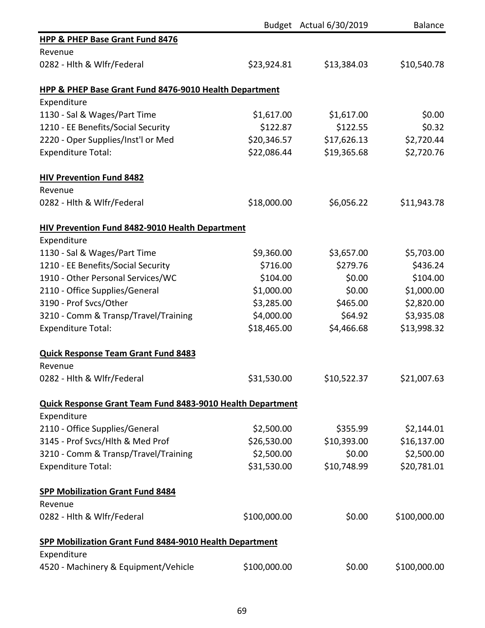|                                                            |              | Budget Actual 6/30/2019 | <b>Balance</b> |
|------------------------------------------------------------|--------------|-------------------------|----------------|
| <b>HPP &amp; PHEP Base Grant Fund 8476</b>                 |              |                         |                |
| Revenue                                                    |              |                         |                |
| 0282 - Hlth & Wlfr/Federal                                 | \$23,924.81  | \$13,384.03             | \$10,540.78    |
| HPP & PHEP Base Grant Fund 8476-9010 Health Department     |              |                         |                |
| Expenditure                                                |              |                         |                |
| 1130 - Sal & Wages/Part Time                               | \$1,617.00   | \$1,617.00              | \$0.00         |
| 1210 - EE Benefits/Social Security                         | \$122.87     | \$122.55                | \$0.32         |
| 2220 - Oper Supplies/Inst'l or Med                         | \$20,346.57  | \$17,626.13             | \$2,720.44     |
| <b>Expenditure Total:</b>                                  | \$22,086.44  | \$19,365.68             | \$2,720.76     |
| <b>HIV Prevention Fund 8482</b>                            |              |                         |                |
| Revenue                                                    |              |                         |                |
| 0282 - Hith & Wifr/Federal                                 | \$18,000.00  | \$6,056.22              | \$11,943.78    |
| HIV Prevention Fund 8482-9010 Health Department            |              |                         |                |
| Expenditure                                                |              |                         |                |
| 1130 - Sal & Wages/Part Time                               | \$9,360.00   | \$3,657.00              | \$5,703.00     |
| 1210 - EE Benefits/Social Security                         | \$716.00     | \$279.76                | \$436.24       |
| 1910 - Other Personal Services/WC                          | \$104.00     | \$0.00                  | \$104.00       |
| 2110 - Office Supplies/General                             | \$1,000.00   | \$0.00                  | \$1,000.00     |
| 3190 - Prof Svcs/Other                                     | \$3,285.00   | \$465.00                | \$2,820.00     |
| 3210 - Comm & Transp/Travel/Training                       | \$4,000.00   | \$64.92                 | \$3,935.08     |
| <b>Expenditure Total:</b>                                  | \$18,465.00  | \$4,466.68              | \$13,998.32    |
| <b>Quick Response Team Grant Fund 8483</b>                 |              |                         |                |
| Revenue                                                    |              |                         |                |
| 0282 - Hlth & Wlfr/Federal                                 | \$31,530.00  | \$10,522.37             | \$21,007.63    |
| Quick Response Grant Team Fund 8483-9010 Health Department |              |                         |                |
| Expenditure                                                |              |                         |                |
| 2110 - Office Supplies/General                             | \$2,500.00   | \$355.99                | \$2,144.01     |
| 3145 - Prof Svcs/Hlth & Med Prof                           | \$26,530.00  | \$10,393.00             | \$16,137.00    |
| 3210 - Comm & Transp/Travel/Training                       | \$2,500.00   | \$0.00                  | \$2,500.00     |
| <b>Expenditure Total:</b>                                  | \$31,530.00  | \$10,748.99             | \$20,781.01    |
| <b>SPP Mobilization Grant Fund 8484</b>                    |              |                         |                |
| Revenue                                                    |              |                         |                |
| 0282 - Hlth & Wlfr/Federal                                 | \$100,000.00 | \$0.00                  | \$100,000.00   |
| SPP Mobilization Grant Fund 8484-9010 Health Department    |              |                         |                |
| Expenditure                                                |              |                         |                |
| 4520 - Machinery & Equipment/Vehicle                       | \$100,000.00 | \$0.00                  | \$100,000.00   |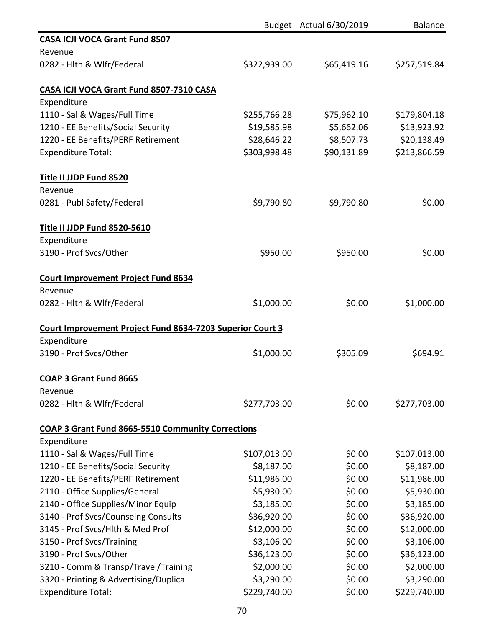|                                                           |              | Budget Actual 6/30/2019 | <b>Balance</b> |
|-----------------------------------------------------------|--------------|-------------------------|----------------|
| <b>CASA ICJI VOCA Grant Fund 8507</b>                     |              |                         |                |
| Revenue                                                   |              |                         |                |
| 0282 - Hlth & Wlfr/Federal                                | \$322,939.00 | \$65,419.16             | \$257,519.84   |
| CASA ICJI VOCA Grant Fund 8507-7310 CASA                  |              |                         |                |
| Expenditure                                               |              |                         |                |
| 1110 - Sal & Wages/Full Time                              | \$255,766.28 | \$75,962.10             | \$179,804.18   |
| 1210 - EE Benefits/Social Security                        | \$19,585.98  | \$5,662.06              | \$13,923.92    |
| 1220 - EE Benefits/PERF Retirement                        | \$28,646.22  | \$8,507.73              | \$20,138.49    |
| <b>Expenditure Total:</b>                                 | \$303,998.48 | \$90,131.89             | \$213,866.59   |
| Title II JJDP Fund 8520                                   |              |                         |                |
| Revenue                                                   |              |                         |                |
| 0281 - Publ Safety/Federal                                | \$9,790.80   | \$9,790.80              | \$0.00         |
| Title II JJDP Fund 8520-5610                              |              |                         |                |
| Expenditure                                               |              |                         |                |
| 3190 - Prof Svcs/Other                                    | \$950.00     | \$950.00                | \$0.00         |
| <b>Court Improvement Project Fund 8634</b>                |              |                         |                |
| Revenue                                                   |              |                         |                |
| 0282 - Hlth & Wlfr/Federal                                | \$1,000.00   | \$0.00                  | \$1,000.00     |
| Court Improvement Project Fund 8634-7203 Superior Court 3 |              |                         |                |
| Expenditure                                               |              |                         |                |
| 3190 - Prof Svcs/Other                                    | \$1,000.00   | \$305.09                | \$694.91       |
| COAP 3 Grant Fund 8665                                    |              |                         |                |
| Revenue                                                   |              |                         |                |
| 0282 - Hlth & Wlfr/Federal                                | \$277,703.00 | \$0.00                  | \$277,703.00   |
| COAP 3 Grant Fund 8665-5510 Community Corrections         |              |                         |                |
| Expenditure                                               |              |                         |                |
| 1110 - Sal & Wages/Full Time                              | \$107,013.00 | \$0.00                  | \$107,013.00   |
| 1210 - EE Benefits/Social Security                        | \$8,187.00   | \$0.00                  | \$8,187.00     |
| 1220 - EE Benefits/PERF Retirement                        | \$11,986.00  | \$0.00                  | \$11,986.00    |
| 2110 - Office Supplies/General                            | \$5,930.00   | \$0.00                  | \$5,930.00     |
| 2140 - Office Supplies/Minor Equip                        | \$3,185.00   | \$0.00                  | \$3,185.00     |
| 3140 - Prof Svcs/Counselng Consults                       | \$36,920.00  | \$0.00                  | \$36,920.00    |
| 3145 - Prof Svcs/Hlth & Med Prof                          | \$12,000.00  | \$0.00                  | \$12,000.00    |
| 3150 - Prof Svcs/Training                                 | \$3,106.00   | \$0.00                  | \$3,106.00     |
| 3190 - Prof Svcs/Other                                    | \$36,123.00  | \$0.00                  | \$36,123.00    |
| 3210 - Comm & Transp/Travel/Training                      | \$2,000.00   | \$0.00                  | \$2,000.00     |
| 3320 - Printing & Advertising/Duplica                     | \$3,290.00   | \$0.00                  | \$3,290.00     |
| <b>Expenditure Total:</b>                                 | \$229,740.00 | \$0.00                  | \$229,740.00   |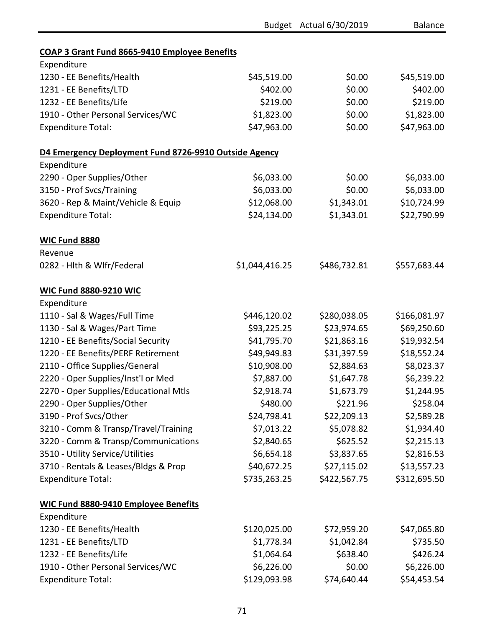|                                                                      |                | Budget Actual 6/30/2019 | Balance      |
|----------------------------------------------------------------------|----------------|-------------------------|--------------|
|                                                                      |                |                         |              |
| <b>COAP 3 Grant Fund 8665-9410 Employee Benefits</b><br>Expenditure  |                |                         |              |
| 1230 - EE Benefits/Health                                            | \$45,519.00    | \$0.00                  | \$45,519.00  |
| 1231 - EE Benefits/LTD                                               | \$402.00       | \$0.00                  | \$402.00     |
| 1232 - EE Benefits/Life                                              | \$219.00       | \$0.00                  | \$219.00     |
| 1910 - Other Personal Services/WC                                    | \$1,823.00     | \$0.00                  | \$1,823.00   |
| <b>Expenditure Total:</b>                                            | \$47,963.00    | \$0.00                  | \$47,963.00  |
|                                                                      |                |                         |              |
| D4 Emergency Deployment Fund 8726-9910 Outside Agency<br>Expenditure |                |                         |              |
|                                                                      |                |                         |              |
| 2290 - Oper Supplies/Other                                           | \$6,033.00     | \$0.00                  | \$6,033.00   |
| 3150 - Prof Svcs/Training                                            | \$6,033.00     | \$0.00                  | \$6,033.00   |
| 3620 - Rep & Maint/Vehicle & Equip                                   | \$12,068.00    | \$1,343.01              | \$10,724.99  |
| <b>Expenditure Total:</b>                                            | \$24,134.00    | \$1,343.01              | \$22,790.99  |
| <b>WIC Fund 8880</b>                                                 |                |                         |              |
| Revenue                                                              |                |                         |              |
| 0282 - Hlth & Wlfr/Federal                                           | \$1,044,416.25 | \$486,732.81            | \$557,683.44 |
| <b>WIC Fund 8880-9210 WIC</b>                                        |                |                         |              |
| Expenditure                                                          |                |                         |              |
| 1110 - Sal & Wages/Full Time                                         | \$446,120.02   | \$280,038.05            | \$166,081.97 |
| 1130 - Sal & Wages/Part Time                                         | \$93,225.25    | \$23,974.65             | \$69,250.60  |
| 1210 - EE Benefits/Social Security                                   | \$41,795.70    | \$21,863.16             | \$19,932.54  |
| 1220 - EE Benefits/PERF Retirement                                   | \$49,949.83    | \$31,397.59             | \$18,552.24  |
| 2110 - Office Supplies/General                                       | \$10,908.00    | \$2,884.63              | \$8,023.37   |
| 2220 - Oper Supplies/Inst'l or Med                                   | \$7,887.00     | \$1,647.78              | \$6,239.22   |
| 2270 - Oper Supplies/Educational Mtls                                | \$2,918.74     | \$1,673.79              | \$1,244.95   |
| 2290 - Oper Supplies/Other                                           | \$480.00       | \$221.96                | \$258.04     |
| 3190 - Prof Svcs/Other                                               | \$24,798.41    | \$22,209.13             | \$2,589.28   |
| 3210 - Comm & Transp/Travel/Training                                 | \$7,013.22     | \$5,078.82              | \$1,934.40   |
| 3220 - Comm & Transp/Communications                                  | \$2,840.65     | \$625.52                | \$2,215.13   |
| 3510 - Utility Service/Utilities                                     | \$6,654.18     | \$3,837.65              | \$2,816.53   |
| 3710 - Rentals & Leases/Bldgs & Prop                                 | \$40,672.25    | \$27,115.02             | \$13,557.23  |
| <b>Expenditure Total:</b>                                            | \$735,263.25   | \$422,567.75            | \$312,695.50 |
| <b>WIC Fund 8880-9410 Employee Benefits</b>                          |                |                         |              |
| Expenditure                                                          |                |                         |              |
| 1230 - EE Benefits/Health                                            | \$120,025.00   | \$72,959.20             | \$47,065.80  |
| 1231 - EE Benefits/LTD                                               | \$1,778.34     | \$1,042.84              | \$735.50     |
| 1232 - EE Benefits/Life                                              | \$1,064.64     | \$638.40                | \$426.24     |
| 1910 - Other Personal Services/WC                                    | \$6,226.00     | \$0.00                  | \$6,226.00   |
| <b>Expenditure Total:</b>                                            | \$129,093.98   | \$74,640.44             | \$54,453.54  |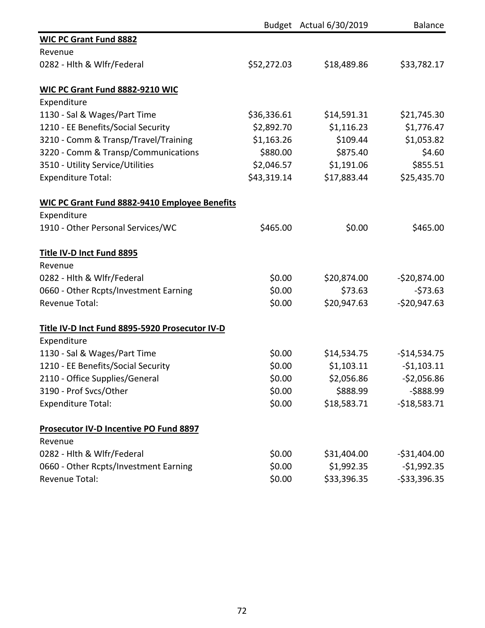|                                                      |             | Budget Actual 6/30/2019 | <b>Balance</b> |
|------------------------------------------------------|-------------|-------------------------|----------------|
| <b>WIC PC Grant Fund 8882</b>                        |             |                         |                |
| Revenue                                              |             |                         |                |
| 0282 - Hlth & Wlfr/Federal                           | \$52,272.03 | \$18,489.86             | \$33,782.17    |
| <b>WIC PC Grant Fund 8882-9210 WIC</b>               |             |                         |                |
| Expenditure                                          |             |                         |                |
| 1130 - Sal & Wages/Part Time                         | \$36,336.61 | \$14,591.31             | \$21,745.30    |
| 1210 - EE Benefits/Social Security                   | \$2,892.70  | \$1,116.23              | \$1,776.47     |
| 3210 - Comm & Transp/Travel/Training                 | \$1,163.26  | \$109.44                | \$1,053.82     |
| 3220 - Comm & Transp/Communications                  | \$880.00    | \$875.40                | \$4.60         |
| 3510 - Utility Service/Utilities                     | \$2,046.57  | \$1,191.06              | \$855.51       |
| <b>Expenditure Total:</b>                            | \$43,319.14 | \$17,883.44             | \$25,435.70    |
| <b>WIC PC Grant Fund 8882-9410 Employee Benefits</b> |             |                         |                |
| Expenditure                                          |             |                         |                |
| 1910 - Other Personal Services/WC                    | \$465.00    | \$0.00                  | \$465.00       |
| <b>Title IV-D Inct Fund 8895</b>                     |             |                         |                |
| Revenue                                              |             |                         |                |
| 0282 - Hith & Wifr/Federal                           | \$0.00      | \$20,874.00             | $-520,874.00$  |
| 0660 - Other Rcpts/Investment Earning                | \$0.00      | \$73.63                 | $-573.63$      |
| <b>Revenue Total:</b>                                | \$0.00      | \$20,947.63             | $-$20,947.63$  |
| Title IV-D Inct Fund 8895-5920 Prosecutor IV-D       |             |                         |                |
| Expenditure                                          |             |                         |                |
| 1130 - Sal & Wages/Part Time                         | \$0.00      | \$14,534.75             | $-$14,534.75$  |
| 1210 - EE Benefits/Social Security                   | \$0.00      | \$1,103.11              | $-51,103.11$   |
| 2110 - Office Supplies/General                       | \$0.00      | \$2,056.86              | $-$2,056.86$   |
| 3190 - Prof Svcs/Other                               | \$0.00      | \$888.99                | $-5888.99$     |
| <b>Expenditure Total:</b>                            | \$0.00      | \$18,583.71             | $-518,583.71$  |
| Prosecutor IV-D Incentive PO Fund 8897               |             |                         |                |
| Revenue                                              |             |                         |                |
| 0282 - Hlth & Wlfr/Federal                           | \$0.00      | \$31,404.00             | $-531,404.00$  |
| 0660 - Other Rcpts/Investment Earning                | \$0.00      | \$1,992.35              | $-$1,992.35$   |
| Revenue Total:                                       | \$0.00      | \$33,396.35             | $-533,396.35$  |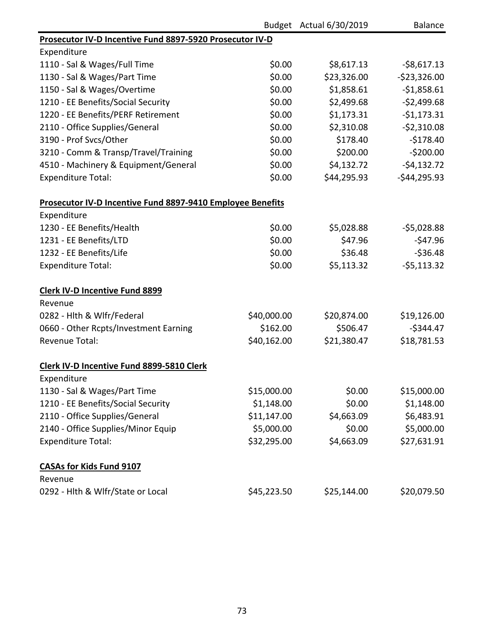|                                                            |             | Budget Actual 6/30/2019 | <b>Balance</b> |
|------------------------------------------------------------|-------------|-------------------------|----------------|
| Prosecutor IV-D Incentive Fund 8897-5920 Prosecutor IV-D   |             |                         |                |
| Expenditure                                                |             |                         |                |
| 1110 - Sal & Wages/Full Time                               | \$0.00      | \$8,617.13              | $-$8,617.13$   |
| 1130 - Sal & Wages/Part Time                               | \$0.00      | \$23,326.00             | $-523,326.00$  |
| 1150 - Sal & Wages/Overtime                                | \$0.00      | \$1,858.61              | $-$1,858.61$   |
| 1210 - EE Benefits/Social Security                         | \$0.00      | \$2,499.68              | $-52,499.68$   |
| 1220 - EE Benefits/PERF Retirement                         | \$0.00      | \$1,173.31              | $-51,173.31$   |
| 2110 - Office Supplies/General                             | \$0.00      | \$2,310.08              | $-52,310.08$   |
| 3190 - Prof Svcs/Other                                     | \$0.00      | \$178.40                | $-$178.40$     |
| 3210 - Comm & Transp/Travel/Training                       | \$0.00      | \$200.00                | $-5200.00$     |
| 4510 - Machinery & Equipment/General                       | \$0.00      | \$4,132.72              | $-54,132.72$   |
| <b>Expenditure Total:</b>                                  | \$0.00      | \$44,295.93             | $-$44,295.93$  |
| Prosecutor IV-D Incentive Fund 8897-9410 Employee Benefits |             |                         |                |
| Expenditure                                                |             |                         |                |
| 1230 - EE Benefits/Health                                  | \$0.00      | \$5,028.88              | $-55,028.88$   |
| 1231 - EE Benefits/LTD                                     | \$0.00      | \$47.96                 | $-547.96$      |
| 1232 - EE Benefits/Life                                    | \$0.00      | \$36.48                 | $-536.48$      |
| <b>Expenditure Total:</b>                                  | \$0.00      | \$5,113.32              | $-55,113.32$   |
| <b>Clerk IV-D Incentive Fund 8899</b>                      |             |                         |                |
| Revenue                                                    |             |                         |                |
| 0282 - Hlth & Wlfr/Federal                                 | \$40,000.00 | \$20,874.00             | \$19,126.00    |
| 0660 - Other Rcpts/Investment Earning                      | \$162.00    | \$506.47                | $-$344.47$     |
| <b>Revenue Total:</b>                                      | \$40,162.00 | \$21,380.47             | \$18,781.53    |
| Clerk IV-D Incentive Fund 8899-5810 Clerk                  |             |                         |                |
| Expenditure                                                |             |                         |                |
| 1130 - Sal & Wages/Part Time                               | \$15,000.00 | \$0.00                  | \$15,000.00    |
| 1210 - EE Benefits/Social Security                         | \$1,148.00  | \$0.00                  | \$1,148.00     |
| 2110 - Office Supplies/General                             | \$11,147.00 | \$4,663.09              | \$6,483.91     |
| 2140 - Office Supplies/Minor Equip                         | \$5,000.00  | \$0.00                  | \$5,000.00     |
| <b>Expenditure Total:</b>                                  | \$32,295.00 | \$4,663.09              | \$27,631.91    |
| <b>CASAs for Kids Fund 9107</b>                            |             |                         |                |
| Revenue                                                    |             |                         |                |
| 0292 - Hlth & Wlfr/State or Local                          | \$45,223.50 | \$25,144.00             | \$20,079.50    |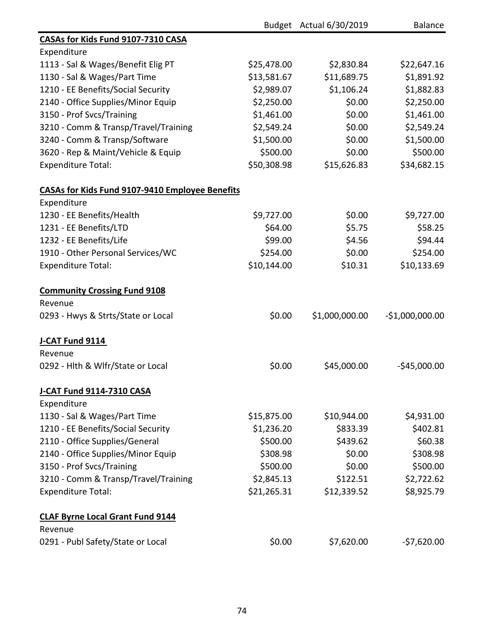|                                                        |             | Budget Actual 6/30/2019 | <b>Balance</b>   |
|--------------------------------------------------------|-------------|-------------------------|------------------|
| CASAs for Kids Fund 9107-7310 CASA                     |             |                         |                  |
| Expenditure                                            |             |                         |                  |
| 1113 - Sal & Wages/Benefit Elig PT                     | \$25,478.00 | \$2,830.84              | \$22,647.16      |
| 1130 - Sal & Wages/Part Time                           | \$13,581.67 | \$11,689.75             | \$1,891.92       |
| 1210 - EE Benefits/Social Security                     | \$2,989.07  | \$1,106.24              | \$1,882.83       |
| 2140 - Office Supplies/Minor Equip                     | \$2,250.00  | \$0.00                  | \$2,250.00       |
| 3150 - Prof Svcs/Training                              | \$1,461.00  | \$0.00                  | \$1,461.00       |
| 3210 - Comm & Transp/Travel/Training                   | \$2,549.24  | \$0.00                  | \$2,549.24       |
| 3240 - Comm & Transp/Software                          | \$1,500.00  | \$0.00                  | \$1,500.00       |
| 3620 - Rep & Maint/Vehicle & Equip                     | \$500.00    | \$0.00                  | \$500.00         |
| <b>Expenditure Total:</b>                              | \$50,308.98 | \$15,626.83             | \$34,682.15      |
| <b>CASAs for Kids Fund 9107-9410 Employee Benefits</b> |             |                         |                  |
| Expenditure                                            |             |                         |                  |
| 1230 - EE Benefits/Health                              | \$9,727.00  | \$0.00                  | \$9,727.00       |
| 1231 - EE Benefits/LTD                                 | \$64.00     | \$5.75                  | \$58.25          |
| 1232 - EE Benefits/Life                                | \$99.00     | \$4.56                  | \$94.44          |
| 1910 - Other Personal Services/WC                      | \$254.00    | \$0.00                  | \$254.00         |
| <b>Expenditure Total:</b>                              | \$10,144.00 | \$10.31                 | \$10,133.69      |
| <b>Community Crossing Fund 9108</b>                    |             |                         |                  |
| Revenue                                                |             |                         |                  |
| 0293 - Hwys & Strts/State or Local                     | \$0.00      | \$1,000,000.00          | $-$1,000,000.00$ |
| J-CAT Fund 9114                                        |             |                         |                  |
| Revenue                                                |             |                         |                  |
| 0292 - Hith & Wifr/State or Local                      | \$0.00      | \$45,000.00             | $-$45,000.00$    |
| <b>J-CAT Fund 9114-7310 CASA</b>                       |             |                         |                  |
| Expenditure                                            |             |                         |                  |
| 1130 - Sal & Wages/Part Time                           | \$15,875.00 | \$10,944.00             | \$4,931.00       |
| 1210 - EE Benefits/Social Security                     | \$1,236.20  | \$833.39                | \$402.81         |
| 2110 - Office Supplies/General                         | \$500.00    | \$439.62                | \$60.38          |
| 2140 - Office Supplies/Minor Equip                     | \$308.98    | \$0.00                  | \$308.98         |
| 3150 - Prof Svcs/Training                              | \$500.00    | \$0.00                  | \$500.00         |
| 3210 - Comm & Transp/Travel/Training                   | \$2,845.13  | \$122.51                | \$2,722.62       |
| <b>Expenditure Total:</b>                              | \$21,265.31 | \$12,339.52             | \$8,925.79       |
| <b>CLAF Byrne Local Grant Fund 9144</b>                |             |                         |                  |
| Revenue                                                |             |                         |                  |
| 0291 - Publ Safety/State or Local                      | \$0.00      | \$7,620.00              | $-57,620.00$     |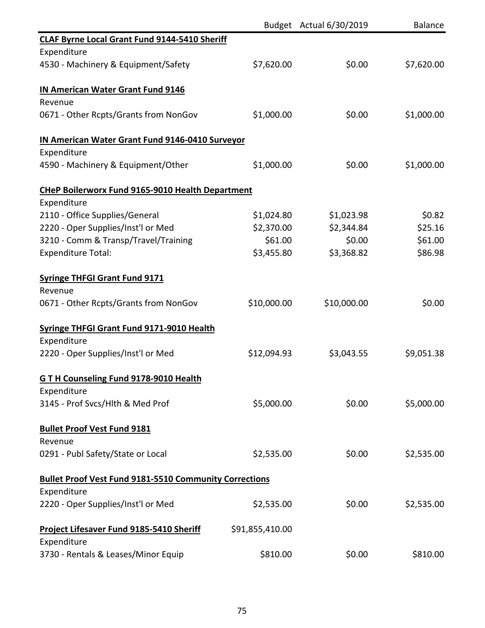|                                                                       |                 | Budget Actual 6/30/2019 | <b>Balance</b> |
|-----------------------------------------------------------------------|-----------------|-------------------------|----------------|
| <b>CLAF Byrne Local Grant Fund 9144-5410 Sheriff</b>                  |                 |                         |                |
| Expenditure                                                           |                 |                         |                |
| 4530 - Machinery & Equipment/Safety                                   | \$7,620.00      | \$0.00                  | \$7,620.00     |
| <b>IN American Water Grant Fund 9146</b><br>Revenue                   |                 |                         |                |
| 0671 - Other Rcpts/Grants from NonGov                                 | \$1,000.00      | \$0.00                  | \$1,000.00     |
| <b>IN American Water Grant Fund 9146-0410 Surveyor</b><br>Expenditure |                 |                         |                |
| 4590 - Machinery & Equipment/Other                                    | \$1,000.00      | \$0.00                  | \$1,000.00     |
| <b>CHeP Boilerworx Fund 9165-9010 Health Department</b>               |                 |                         |                |
| Expenditure                                                           |                 |                         |                |
| 2110 - Office Supplies/General                                        | \$1,024.80      | \$1,023.98              | \$0.82         |
| 2220 - Oper Supplies/Inst'l or Med                                    | \$2,370.00      | \$2,344.84              | \$25.16        |
| 3210 - Comm & Transp/Travel/Training                                  | \$61.00         | \$0.00                  | \$61.00        |
| <b>Expenditure Total:</b>                                             | \$3,455.80      | \$3,368.82              | \$86.98        |
| <b>Syringe THFGI Grant Fund 9171</b>                                  |                 |                         |                |
| Revenue                                                               |                 |                         |                |
| 0671 - Other Rcpts/Grants from NonGov                                 | \$10,000.00     | \$10,000.00             | \$0.00         |
| <b>Syringe THFGI Grant Fund 9171-9010 Health</b>                      |                 |                         |                |
| Expenditure                                                           |                 |                         |                |
| 2220 - Oper Supplies/Inst'l or Med                                    | \$12,094.93     | \$3,043.55              | \$9,051.38     |
| GTH Counseling Fund 9178-9010 Health                                  |                 |                         |                |
| Expenditure                                                           |                 |                         |                |
| 3145 - Prof Svcs/Hlth & Med Prof                                      | \$5,000.00      | \$0.00                  | \$5,000.00     |
| <b>Bullet Proof Vest Fund 9181</b>                                    |                 |                         |                |
| Revenue                                                               |                 |                         |                |
| 0291 - Publ Safety/State or Local                                     | \$2,535.00      | \$0.00                  | \$2,535.00     |
| <b>Bullet Proof Vest Fund 9181-5510 Community Corrections</b>         |                 |                         |                |
| Expenditure                                                           |                 |                         |                |
| 2220 - Oper Supplies/Inst'l or Med                                    | \$2,535.00      | \$0.00                  | \$2,535.00     |
| Project Lifesaver Fund 9185-5410 Sheriff                              | \$91,855,410.00 |                         |                |
| Expenditure                                                           |                 |                         |                |
| 3730 - Rentals & Leases/Minor Equip                                   | \$810.00        | \$0.00                  | \$810.00       |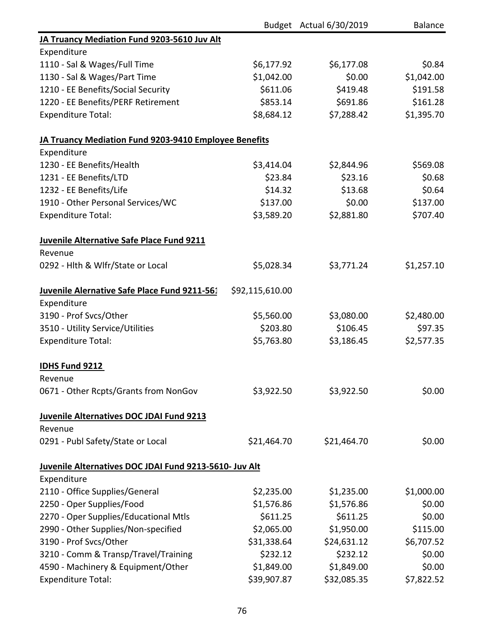|                                                        |                 | Budget Actual 6/30/2019 | <b>Balance</b> |
|--------------------------------------------------------|-----------------|-------------------------|----------------|
| JA Truancy Mediation Fund 9203-5610 Juv Alt            |                 |                         |                |
| Expenditure                                            |                 |                         |                |
| 1110 - Sal & Wages/Full Time                           | \$6,177.92      | \$6,177.08              | \$0.84         |
| 1130 - Sal & Wages/Part Time                           | \$1,042.00      | \$0.00                  | \$1,042.00     |
| 1210 - EE Benefits/Social Security                     | \$611.06        | \$419.48                | \$191.58       |
| 1220 - EE Benefits/PERF Retirement                     | \$853.14        | \$691.86                | \$161.28       |
| <b>Expenditure Total:</b>                              | \$8,684.12      | \$7,288.42              | \$1,395.70     |
| JA Truancy Mediation Fund 9203-9410 Employee Benefits  |                 |                         |                |
| Expenditure                                            |                 |                         |                |
| 1230 - EE Benefits/Health                              | \$3,414.04      | \$2,844.96              | \$569.08       |
| 1231 - EE Benefits/LTD                                 | \$23.84         | \$23.16                 | \$0.68         |
| 1232 - EE Benefits/Life                                | \$14.32         | \$13.68                 | \$0.64         |
| 1910 - Other Personal Services/WC                      | \$137.00        | \$0.00                  | \$137.00       |
| <b>Expenditure Total:</b>                              | \$3,589.20      | \$2,881.80              | \$707.40       |
| Juvenile Alternative Safe Place Fund 9211              |                 |                         |                |
| Revenue                                                |                 |                         |                |
| 0292 - Hith & Wifr/State or Local                      | \$5,028.34      | \$3,771.24              | \$1,257.10     |
| Juvenile Alernative Safe Place Fund 9211-561           | \$92,115,610.00 |                         |                |
| Expenditure                                            |                 |                         |                |
| 3190 - Prof Svcs/Other                                 | \$5,560.00      | \$3,080.00              | \$2,480.00     |
| 3510 - Utility Service/Utilities                       | \$203.80        | \$106.45                | \$97.35        |
| <b>Expenditure Total:</b>                              | \$5,763.80      | \$3,186.45              | \$2,577.35     |
| IDHS Fund 9212                                         |                 |                         |                |
| Revenue                                                |                 |                         |                |
| 0671 - Other Rcpts/Grants from NonGov                  | \$3,922.50      | \$3,922.50              | \$0.00         |
| <b>Juvenile Alternatives DOC JDAI Fund 9213</b>        |                 |                         |                |
| Revenue                                                |                 |                         |                |
| 0291 - Publ Safety/State or Local                      | \$21,464.70     | \$21,464.70             | \$0.00         |
| Juvenile Alternatives DOC JDAI Fund 9213-5610- Juv Alt |                 |                         |                |
| Expenditure                                            |                 |                         |                |
| 2110 - Office Supplies/General                         | \$2,235.00      | \$1,235.00              | \$1,000.00     |
| 2250 - Oper Supplies/Food                              | \$1,576.86      | \$1,576.86              | \$0.00         |
| 2270 - Oper Supplies/Educational Mtls                  | \$611.25        | \$611.25                | \$0.00         |
| 2990 - Other Supplies/Non-specified                    | \$2,065.00      | \$1,950.00              | \$115.00       |
| 3190 - Prof Svcs/Other                                 | \$31,338.64     | \$24,631.12             | \$6,707.52     |
| 3210 - Comm & Transp/Travel/Training                   | \$232.12        | \$232.12                | \$0.00         |
| 4590 - Machinery & Equipment/Other                     | \$1,849.00      | \$1,849.00              | \$0.00         |
| <b>Expenditure Total:</b>                              | \$39,907.87     | \$32,085.35             | \$7,822.52     |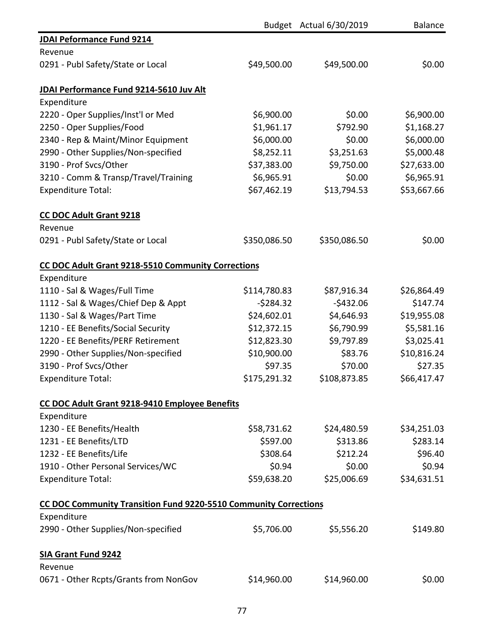|                                                                  |              | Budget Actual 6/30/2019 | <b>Balance</b> |
|------------------------------------------------------------------|--------------|-------------------------|----------------|
| <b>JDAI Peformance Fund 9214</b>                                 |              |                         |                |
| Revenue                                                          |              |                         |                |
| 0291 - Publ Safety/State or Local                                | \$49,500.00  | \$49,500.00             | \$0.00         |
| JDAI Performance Fund 9214-5610 Juv Alt                          |              |                         |                |
| Expenditure                                                      |              |                         |                |
| 2220 - Oper Supplies/Inst'l or Med                               | \$6,900.00   | \$0.00                  | \$6,900.00     |
| 2250 - Oper Supplies/Food                                        | \$1,961.17   | \$792.90                | \$1,168.27     |
| 2340 - Rep & Maint/Minor Equipment                               | \$6,000.00   | \$0.00                  | \$6,000.00     |
| 2990 - Other Supplies/Non-specified                              | \$8,252.11   | \$3,251.63              | \$5,000.48     |
| 3190 - Prof Svcs/Other                                           | \$37,383.00  | \$9,750.00              | \$27,633.00    |
| 3210 - Comm & Transp/Travel/Training                             | \$6,965.91   | \$0.00                  | \$6,965.91     |
| <b>Expenditure Total:</b>                                        | \$67,462.19  | \$13,794.53             | \$53,667.66    |
| <b>CC DOC Adult Grant 9218</b>                                   |              |                         |                |
| Revenue                                                          |              |                         |                |
| 0291 - Publ Safety/State or Local                                | \$350,086.50 | \$350,086.50            | \$0.00         |
| CC DOC Adult Grant 9218-5510 Community Corrections               |              |                         |                |
| Expenditure                                                      |              |                         |                |
| 1110 - Sal & Wages/Full Time                                     | \$114,780.83 | \$87,916.34             | \$26,864.49    |
| 1112 - Sal & Wages/Chief Dep & Appt                              | $-5284.32$   | $-5432.06$              | \$147.74       |
| 1130 - Sal & Wages/Part Time                                     | \$24,602.01  | \$4,646.93              | \$19,955.08    |
| 1210 - EE Benefits/Social Security                               | \$12,372.15  | \$6,790.99              | \$5,581.16     |
| 1220 - EE Benefits/PERF Retirement                               | \$12,823.30  | \$9,797.89              | \$3,025.41     |
| 2990 - Other Supplies/Non-specified                              | \$10,900.00  | \$83.76                 | \$10,816.24    |
| 3190 - Prof Svcs/Other                                           | \$97.35      | \$70.00                 | \$27.35        |
| <b>Expenditure Total:</b>                                        | \$175,291.32 | \$108,873.85            | \$66,417.47    |
| CC DOC Adult Grant 9218-9410 Employee Benefits                   |              |                         |                |
| Expenditure                                                      |              |                         |                |
| 1230 - EE Benefits/Health                                        | \$58,731.62  | \$24,480.59             | \$34,251.03    |
| 1231 - EE Benefits/LTD                                           | \$597.00     | \$313.86                | \$283.14       |
| 1232 - EE Benefits/Life                                          | \$308.64     | \$212.24                | \$96.40        |
| 1910 - Other Personal Services/WC                                | \$0.94       | \$0.00                  | \$0.94         |
| <b>Expenditure Total:</b>                                        | \$59,638.20  | \$25,006.69             | \$34,631.51    |
| CC DOC Community Transition Fund 9220-5510 Community Corrections |              |                         |                |
| Expenditure                                                      |              |                         |                |
| 2990 - Other Supplies/Non-specified                              | \$5,706.00   | \$5,556.20              | \$149.80       |
| <b>SIA Grant Fund 9242</b>                                       |              |                         |                |
| Revenue                                                          |              |                         |                |
| 0671 - Other Rcpts/Grants from NonGov                            | \$14,960.00  | \$14,960.00             | \$0.00         |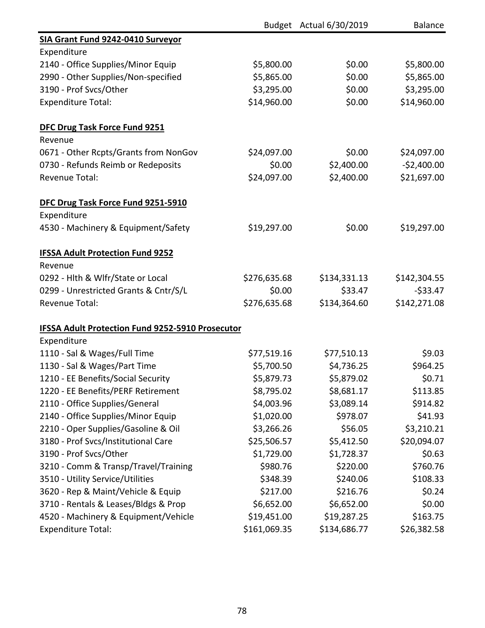|                                                  |              | Budget Actual 6/30/2019 | <b>Balance</b> |
|--------------------------------------------------|--------------|-------------------------|----------------|
| SIA Grant Fund 9242-0410 Surveyor                |              |                         |                |
| Expenditure                                      |              |                         |                |
| 2140 - Office Supplies/Minor Equip               | \$5,800.00   | \$0.00                  | \$5,800.00     |
| 2990 - Other Supplies/Non-specified              | \$5,865.00   | \$0.00                  | \$5,865.00     |
| 3190 - Prof Svcs/Other                           | \$3,295.00   | \$0.00                  | \$3,295.00     |
| <b>Expenditure Total:</b>                        | \$14,960.00  | \$0.00                  | \$14,960.00    |
| <b>DFC Drug Task Force Fund 9251</b>             |              |                         |                |
| Revenue                                          |              |                         |                |
| 0671 - Other Rcpts/Grants from NonGov            | \$24,097.00  | \$0.00                  | \$24,097.00    |
| 0730 - Refunds Reimb or Redeposits               | \$0.00       | \$2,400.00              | $-52,400.00$   |
| <b>Revenue Total:</b>                            | \$24,097.00  | \$2,400.00              | \$21,697.00    |
| DFC Drug Task Force Fund 9251-5910               |              |                         |                |
| Expenditure                                      |              |                         |                |
| 4530 - Machinery & Equipment/Safety              | \$19,297.00  | \$0.00                  | \$19,297.00    |
| <b>IFSSA Adult Protection Fund 9252</b>          |              |                         |                |
| Revenue                                          |              |                         |                |
| 0292 - Hlth & Wlfr/State or Local                | \$276,635.68 | \$134,331.13            | \$142,304.55   |
| 0299 - Unrestricted Grants & Cntr/S/L            | \$0.00       | \$33.47                 | $-533.47$      |
| Revenue Total:                                   | \$276,635.68 | \$134,364.60            | \$142,271.08   |
| IFSSA Adult Protection Fund 9252-5910 Prosecutor |              |                         |                |
| Expenditure                                      |              |                         |                |
| 1110 - Sal & Wages/Full Time                     | \$77,519.16  | \$77,510.13             | \$9.03         |
| 1130 - Sal & Wages/Part Time                     | \$5,700.50   | \$4,736.25              | \$964.25       |
| 1210 - EE Benefits/Social Security               | \$5,879.73   | \$5,879.02              | \$0.71         |
| 1220 - EE Benefits/PERF Retirement               | \$8,795.02   | \$8,681.17              | \$113.85       |
| 2110 - Office Supplies/General                   | \$4,003.96   | \$3,089.14              | \$914.82       |
| 2140 - Office Supplies/Minor Equip               | \$1,020.00   | \$978.07                | \$41.93        |
| 2210 - Oper Supplies/Gasoline & Oil              | \$3,266.26   | \$56.05                 | \$3,210.21     |
| 3180 - Prof Svcs/Institutional Care              | \$25,506.57  | \$5,412.50              | \$20,094.07    |
| 3190 - Prof Svcs/Other                           | \$1,729.00   | \$1,728.37              | \$0.63         |
| 3210 - Comm & Transp/Travel/Training             | \$980.76     | \$220.00                | \$760.76       |
| 3510 - Utility Service/Utilities                 | \$348.39     | \$240.06                | \$108.33       |
| 3620 - Rep & Maint/Vehicle & Equip               | \$217.00     | \$216.76                | \$0.24         |
| 3710 - Rentals & Leases/Bldgs & Prop             | \$6,652.00   | \$6,652.00              | \$0.00         |
| 4520 - Machinery & Equipment/Vehicle             | \$19,451.00  | \$19,287.25             | \$163.75       |
| <b>Expenditure Total:</b>                        | \$161,069.35 | \$134,686.77            | \$26,382.58    |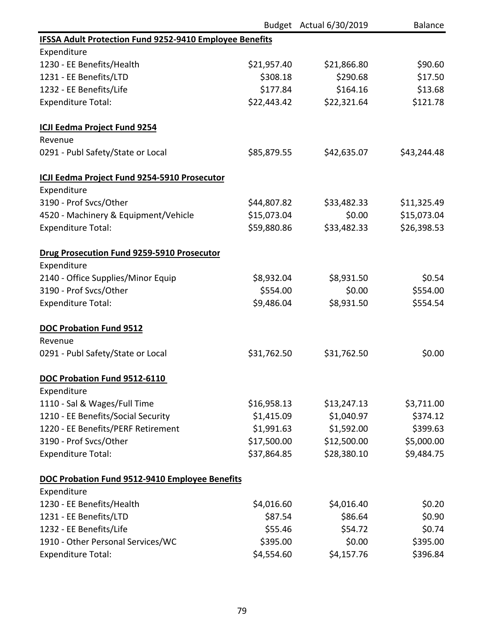|                                                                |             | Budget Actual 6/30/2019 | <b>Balance</b> |
|----------------------------------------------------------------|-------------|-------------------------|----------------|
| <b>IFSSA Adult Protection Fund 9252-9410 Employee Benefits</b> |             |                         |                |
| Expenditure                                                    |             |                         |                |
| 1230 - EE Benefits/Health                                      | \$21,957.40 | \$21,866.80             | \$90.60        |
| 1231 - EE Benefits/LTD                                         | \$308.18    | \$290.68                | \$17.50        |
| 1232 - EE Benefits/Life                                        | \$177.84    | \$164.16                | \$13.68        |
| <b>Expenditure Total:</b>                                      | \$22,443.42 | \$22,321.64             | \$121.78       |
| <b>ICJI Eedma Project Fund 9254</b>                            |             |                         |                |
| Revenue                                                        |             |                         |                |
| 0291 - Publ Safety/State or Local                              | \$85,879.55 | \$42,635.07             | \$43,244.48    |
| ICJI Eedma Project Fund 9254-5910 Prosecutor                   |             |                         |                |
| Expenditure                                                    |             |                         |                |
| 3190 - Prof Svcs/Other                                         | \$44,807.82 | \$33,482.33             | \$11,325.49    |
| 4520 - Machinery & Equipment/Vehicle                           | \$15,073.04 | \$0.00                  | \$15,073.04    |
| <b>Expenditure Total:</b>                                      | \$59,880.86 | \$33,482.33             | \$26,398.53    |
| Drug Prosecution Fund 9259-5910 Prosecutor                     |             |                         |                |
| Expenditure                                                    |             |                         |                |
| 2140 - Office Supplies/Minor Equip                             | \$8,932.04  | \$8,931.50              | \$0.54         |
| 3190 - Prof Svcs/Other                                         | \$554.00    | \$0.00                  | \$554.00       |
| <b>Expenditure Total:</b>                                      | \$9,486.04  | \$8,931.50              | \$554.54       |
| <b>DOC Probation Fund 9512</b>                                 |             |                         |                |
| Revenue                                                        |             |                         |                |
| 0291 - Publ Safety/State or Local                              | \$31,762.50 | \$31,762.50             | \$0.00         |
| DOC Probation Fund 9512-6110                                   |             |                         |                |
| Expenditure                                                    |             |                         |                |
| 1110 - Sal & Wages/Full Time                                   | \$16,958.13 | \$13,247.13             | \$3,711.00     |
| 1210 - EE Benefits/Social Security                             | \$1,415.09  | \$1,040.97              | \$374.12       |
| 1220 - EE Benefits/PERF Retirement                             | \$1,991.63  | \$1,592.00              | \$399.63       |
| 3190 - Prof Svcs/Other                                         | \$17,500.00 | \$12,500.00             | \$5,000.00     |
| <b>Expenditure Total:</b>                                      | \$37,864.85 | \$28,380.10             | \$9,484.75     |
| DOC Probation Fund 9512-9410 Employee Benefits                 |             |                         |                |
| Expenditure                                                    |             |                         |                |
| 1230 - EE Benefits/Health                                      | \$4,016.60  | \$4,016.40              | \$0.20         |
| 1231 - EE Benefits/LTD                                         | \$87.54     | \$86.64                 | \$0.90         |
| 1232 - EE Benefits/Life                                        | \$55.46     | \$54.72                 | \$0.74         |
| 1910 - Other Personal Services/WC                              | \$395.00    | \$0.00                  | \$395.00       |
| <b>Expenditure Total:</b>                                      | \$4,554.60  | \$4,157.76              | \$396.84       |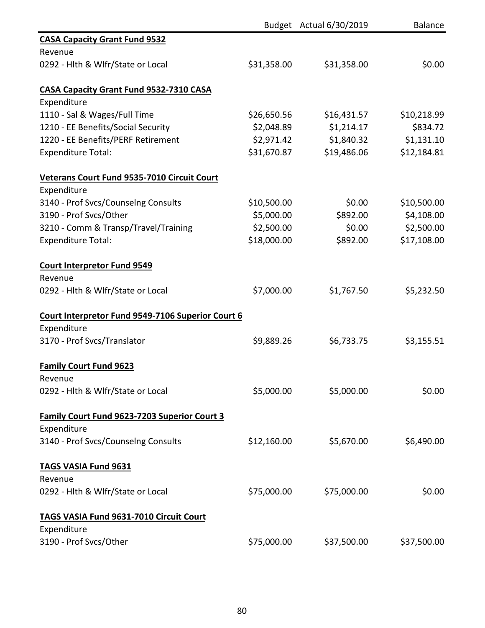|                                                     |             | Budget Actual 6/30/2019 | <b>Balance</b> |
|-----------------------------------------------------|-------------|-------------------------|----------------|
| <b>CASA Capacity Grant Fund 9532</b>                |             |                         |                |
| Revenue                                             |             |                         |                |
| 0292 - Hlth & Wlfr/State or Local                   | \$31,358.00 | \$31,358.00             | \$0.00         |
| <b>CASA Capacity Grant Fund 9532-7310 CASA</b>      |             |                         |                |
| Expenditure                                         |             |                         |                |
| 1110 - Sal & Wages/Full Time                        | \$26,650.56 | \$16,431.57             | \$10,218.99    |
| 1210 - EE Benefits/Social Security                  | \$2,048.89  | \$1,214.17              | \$834.72       |
| 1220 - EE Benefits/PERF Retirement                  | \$2,971.42  | \$1,840.32              | \$1,131.10     |
| <b>Expenditure Total:</b>                           | \$31,670.87 | \$19,486.06             | \$12,184.81    |
| Veterans Court Fund 9535-7010 Circuit Court         |             |                         |                |
| Expenditure                                         |             |                         |                |
| 3140 - Prof Svcs/Counselng Consults                 | \$10,500.00 | \$0.00                  | \$10,500.00    |
| 3190 - Prof Svcs/Other                              | \$5,000.00  | \$892.00                | \$4,108.00     |
| 3210 - Comm & Transp/Travel/Training                | \$2,500.00  | \$0.00                  | \$2,500.00     |
| <b>Expenditure Total:</b>                           | \$18,000.00 | \$892.00                | \$17,108.00    |
| <b>Court Interpretor Fund 9549</b><br>Revenue       |             |                         |                |
| 0292 - Hlth & Wlfr/State or Local                   | \$7,000.00  | \$1,767.50              | \$5,232.50     |
| Court Interpretor Fund 9549-7106 Superior Court 6   |             |                         |                |
| Expenditure                                         |             |                         |                |
| 3170 - Prof Svcs/Translator                         | \$9,889.26  | \$6,733.75              | \$3,155.51     |
| <b>Family Court Fund 9623</b>                       |             |                         |                |
| Revenue                                             |             |                         |                |
| 0292 - Hlth & Wlfr/State or Local                   | \$5,000.00  | \$5,000.00              | \$0.00         |
| <b>Family Court Fund 9623-7203 Superior Court 3</b> |             |                         |                |
| Expenditure                                         |             |                         |                |
| 3140 - Prof Svcs/Counselng Consults                 | \$12,160.00 | \$5,670.00              | \$6,490.00     |
| <b>TAGS VASIA Fund 9631</b>                         |             |                         |                |
| Revenue                                             |             |                         |                |
| 0292 - Hlth & Wlfr/State or Local                   | \$75,000.00 | \$75,000.00             | \$0.00         |
| <b>TAGS VASIA Fund 9631-7010 Circuit Court</b>      |             |                         |                |
| Expenditure                                         |             |                         |                |
| 3190 - Prof Svcs/Other                              | \$75,000.00 | \$37,500.00             | \$37,500.00    |